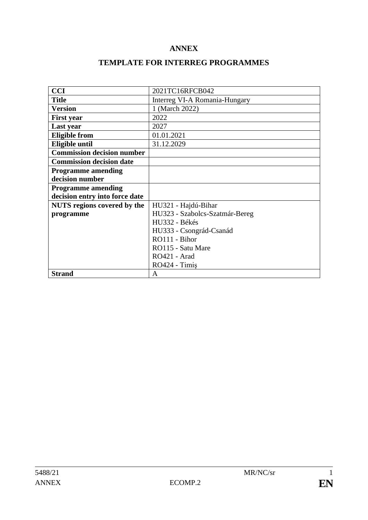# **ANNEX**

# **TEMPLATE FOR INTERREG PROGRAMMES**

| <b>CCI</b>                         | 2021TC16RFCB042                |  |  |
|------------------------------------|--------------------------------|--|--|
| <b>Title</b>                       | Interreg VI-A Romania-Hungary  |  |  |
| <b>Version</b>                     | 1 (March 2022)                 |  |  |
| <b>First year</b>                  | 2022                           |  |  |
| Last year                          | 2027                           |  |  |
| <b>Eligible from</b>               | 01.01.2021                     |  |  |
| Eligible until                     | 31.12.2029                     |  |  |
| <b>Commission decision number</b>  |                                |  |  |
| <b>Commission decision date</b>    |                                |  |  |
| <b>Programme amending</b>          |                                |  |  |
| decision number                    |                                |  |  |
| <b>Programme amending</b>          |                                |  |  |
| decision entry into force date     |                                |  |  |
| <b>NUTS</b> regions covered by the | HU321 - Hajdú-Bihar            |  |  |
| programme                          | HU323 - Szabolcs-Szatmár-Bereg |  |  |
|                                    | HU332 - Békés                  |  |  |
|                                    | HU333 - Csongrád-Csanád        |  |  |
|                                    | RO111 - Bihor                  |  |  |
|                                    | RO115 - Satu Mare              |  |  |
|                                    | RO421 - Arad                   |  |  |
|                                    | RO424 - Timis                  |  |  |
| <b>Strand</b>                      | A                              |  |  |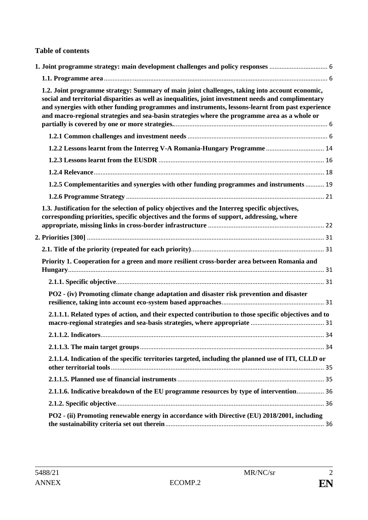### **Table of contents**

| 1.2. Joint programme strategy: Summary of main joint challenges, taking into account economic,<br>social and territorial disparities as well as inequalities, joint investment needs and complimentary<br>and synergies with other funding programmes and instruments, lessons-learnt from past experience<br>and macro-regional strategies and sea-basin strategies where the programme area as a whole or |  |
|-------------------------------------------------------------------------------------------------------------------------------------------------------------------------------------------------------------------------------------------------------------------------------------------------------------------------------------------------------------------------------------------------------------|--|
|                                                                                                                                                                                                                                                                                                                                                                                                             |  |
|                                                                                                                                                                                                                                                                                                                                                                                                             |  |
|                                                                                                                                                                                                                                                                                                                                                                                                             |  |
|                                                                                                                                                                                                                                                                                                                                                                                                             |  |
| 1.2.5 Complementarities and synergies with other funding programmes and instruments  19                                                                                                                                                                                                                                                                                                                     |  |
|                                                                                                                                                                                                                                                                                                                                                                                                             |  |
| 1.3. Justification for the selection of policy objectives and the Interreg specific objectives,<br>corresponding priorities, specific objectives and the forms of support, addressing, where                                                                                                                                                                                                                |  |
|                                                                                                                                                                                                                                                                                                                                                                                                             |  |
|                                                                                                                                                                                                                                                                                                                                                                                                             |  |
| Priority 1. Cooperation for a green and more resilient cross-border area between Romania and                                                                                                                                                                                                                                                                                                                |  |
|                                                                                                                                                                                                                                                                                                                                                                                                             |  |
| PO2 - (iv) Promoting climate change adaptation and disaster risk prevention and disaster                                                                                                                                                                                                                                                                                                                    |  |
| 2.1.1.1. Related types of action, and their expected contribution to those specific objectives and to                                                                                                                                                                                                                                                                                                       |  |
|                                                                                                                                                                                                                                                                                                                                                                                                             |  |
|                                                                                                                                                                                                                                                                                                                                                                                                             |  |
| 2.1.1.4. Indication of the specific territories targeted, including the planned use of ITI, CLLD or                                                                                                                                                                                                                                                                                                         |  |
|                                                                                                                                                                                                                                                                                                                                                                                                             |  |
| 2.1.1.6. Indicative breakdown of the EU programme resources by type of intervention 36                                                                                                                                                                                                                                                                                                                      |  |
|                                                                                                                                                                                                                                                                                                                                                                                                             |  |
| PO2 - (ii) Promoting renewable energy in accordance with Directive (EU) 2018/2001, including                                                                                                                                                                                                                                                                                                                |  |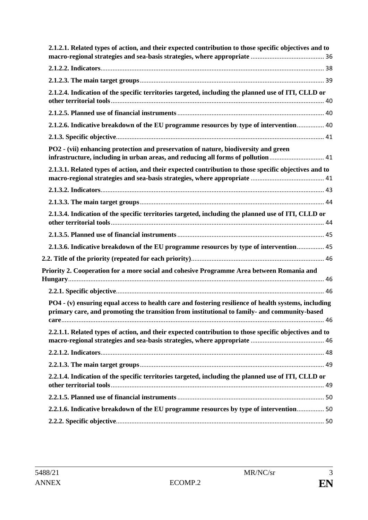| 2.1.2.1. Related types of action, and their expected contribution to those specific objectives and to                                                                                                |  |
|------------------------------------------------------------------------------------------------------------------------------------------------------------------------------------------------------|--|
|                                                                                                                                                                                                      |  |
|                                                                                                                                                                                                      |  |
| 2.1.2.4. Indication of the specific territories targeted, including the planned use of ITI, CLLD or                                                                                                  |  |
|                                                                                                                                                                                                      |  |
| 2.1.2.6. Indicative breakdown of the EU programme resources by type of intervention 40                                                                                                               |  |
|                                                                                                                                                                                                      |  |
| PO2 - (vii) enhancing protection and preservation of nature, biodiversity and green<br>infrastructure, including in urban areas, and reducing all forms of pollution  41                             |  |
| 2.1.3.1. Related types of action, and their expected contribution to those specific objectives and to                                                                                                |  |
|                                                                                                                                                                                                      |  |
|                                                                                                                                                                                                      |  |
|                                                                                                                                                                                                      |  |
| 2.1.3.4. Indication of the specific territories targeted, including the planned use of ITI, CLLD or                                                                                                  |  |
|                                                                                                                                                                                                      |  |
| 2.1.3.6. Indicative breakdown of the EU programme resources by type of intervention 45                                                                                                               |  |
|                                                                                                                                                                                                      |  |
| Priority 2. Cooperation for a more social and cohesive Programme Area between Romania and                                                                                                            |  |
|                                                                                                                                                                                                      |  |
| PO4 - (v) ensuring equal access to health care and fostering resilience of health systems, including<br>primary care, and promoting the transition from institutional to family- and community-based |  |
| 2.2.1.1. Related types of action, and their expected contribution to those specific objectives and to                                                                                                |  |
|                                                                                                                                                                                                      |  |
|                                                                                                                                                                                                      |  |
| 2.2.1.4. Indication of the specific territories targeted, including the planned use of ITI, CLLD or                                                                                                  |  |
|                                                                                                                                                                                                      |  |
| 2.2.1.6. Indicative breakdown of the EU programme resources by type of intervention 50                                                                                                               |  |
|                                                                                                                                                                                                      |  |
|                                                                                                                                                                                                      |  |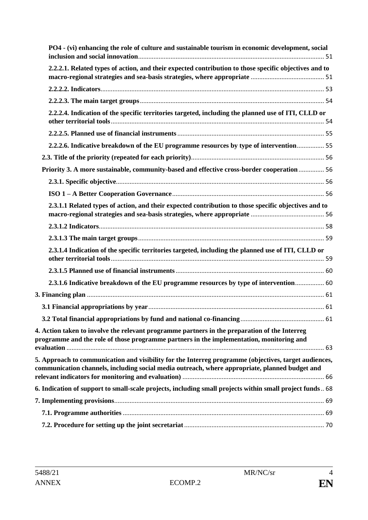| PO4 - (vi) enhancing the role of culture and sustainable tourism in economic development, social                                                                                                        |  |
|---------------------------------------------------------------------------------------------------------------------------------------------------------------------------------------------------------|--|
| 2.2.2.1. Related types of action, and their expected contribution to those specific objectives and to                                                                                                   |  |
|                                                                                                                                                                                                         |  |
|                                                                                                                                                                                                         |  |
| 2.2.2.4. Indication of the specific territories targeted, including the planned use of ITI, CLLD or                                                                                                     |  |
|                                                                                                                                                                                                         |  |
| 2.2.2.6. Indicative breakdown of the EU programme resources by type of intervention 55                                                                                                                  |  |
|                                                                                                                                                                                                         |  |
| Priority 3. A more sustainable, community-based and effective cross-border cooperation  56                                                                                                              |  |
|                                                                                                                                                                                                         |  |
|                                                                                                                                                                                                         |  |
| 2.3.1.1 Related types of action, and their expected contribution to those specific objectives and to                                                                                                    |  |
|                                                                                                                                                                                                         |  |
|                                                                                                                                                                                                         |  |
| 2.3.1.4 Indication of the specific territories targeted, including the planned use of ITI, CLLD or                                                                                                      |  |
|                                                                                                                                                                                                         |  |
| 2.3.1.6 Indicative breakdown of the EU programme resources by type of intervention 60                                                                                                                   |  |
|                                                                                                                                                                                                         |  |
|                                                                                                                                                                                                         |  |
|                                                                                                                                                                                                         |  |
| 4. Action taken to involve the relevant programme partners in the preparation of the Interreg<br>programme and the role of those programme partners in the implementation, monitoring and               |  |
|                                                                                                                                                                                                         |  |
| 5. Approach to communication and visibility for the Interreg programme (objectives, target audiences,<br>communication channels, including social media outreach, where appropriate, planned budget and |  |
|                                                                                                                                                                                                         |  |
| 6. Indication of support to small-scale projects, including small projects within small project funds 68                                                                                                |  |
|                                                                                                                                                                                                         |  |
|                                                                                                                                                                                                         |  |
|                                                                                                                                                                                                         |  |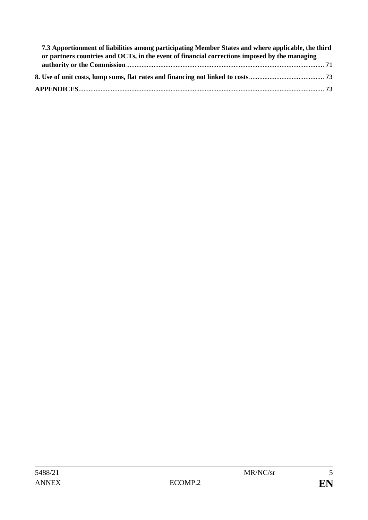| 7.3 Apportionment of liabilities among participating Member States and where applicable, the third |  |
|----------------------------------------------------------------------------------------------------|--|
| or partners countries and OCTs, in the event of financial corrections imposed by the managing      |  |
|                                                                                                    |  |
|                                                                                                    |  |
|                                                                                                    |  |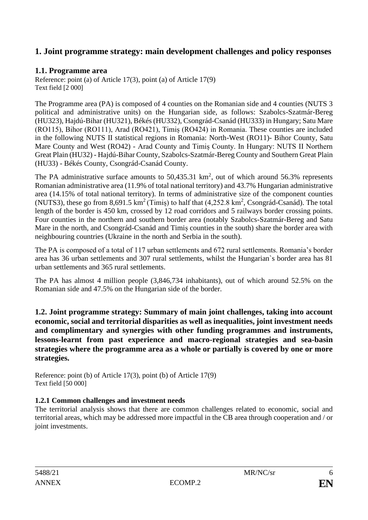# <span id="page-5-0"></span>**1. Joint programme strategy: main development challenges and policy responses**

# <span id="page-5-1"></span>**1.1. Programme area**

Reference: point (a) of Article 17(3), point (a) of Article 17(9) Text field [2 000]

The Programme area (PA) is composed of 4 counties on the Romanian side and 4 counties (NUTS 3 political and administrative units) on the Hungarian side, as follows: Szabolcs-Szatmár-Bereg (HU323), Hajdú-Bihar (HU321), Békés (HU332), Csongrád-Csanád (HU333) in Hungary; Satu Mare (RO115), Bihor (RO111), Arad (RO421), Timiș (RO424) in Romania. These counties are included in the following NUTS II statistical regions in Romania: North-West (RO11)- Bihor County, Satu Mare County and West (RO42) - Arad County and Timiș County. In Hungary: NUTS II Northern Great Plain (HU32) - Hajdú-Bihar County, Szabolcs-Szatmár-Bereg County and Southern Great Plain (HU33) - Békés County, Csongrád-Csanád County.

The PA administrative surface amounts to  $50,435.31 \text{ km}^2$ , out of which around  $56.3\%$  represents Romanian administrative area (11.9% of total national territory) and 43.7% Hungarian administrative area (14.15% of total national territory). In terms of administrative size of the component counties (NUTS3), these go from  $8,691.5 \text{ km}^2$  (Timiș) to half that  $(4,252.8 \text{ km}^2, \text{Cosongrád-Csanád})$ . The total length of the border is 450 km, crossed by 12 road corridors and 5 railways border crossing points. Four counties in the northern and southern border area (notably Szabolcs-Szatmár-Bereg and Satu Mare in the north, and Csongrád-Csanád and Timiș counties in the south) share the border area with neighbouring countries (Ukraine in the north and Serbia in the south).

The PA is composed of a total of 117 urban settlements and 672 rural settlements. Romania's border area has 36 urban settlements and 307 rural settlements, whilst the Hungarian`s border area has 81 urban settlements and 365 rural settlements.

The PA has almost 4 million people (3,846,734 inhabitants), out of which around 52.5% on the Romanian side and 47.5% on the Hungarian side of the border.

<span id="page-5-2"></span>**1.2. Joint programme strategy: Summary of main joint challenges, taking into account economic, social and territorial disparities as well as inequalities, joint investment needs and complimentary and synergies with other funding programmes and instruments, lessons-learnt from past experience and macro-regional strategies and sea-basin strategies where the programme area as a whole or partially is covered by one or more strategies.** 

Reference: point (b) of Article 17(3), point (b) of Article 17(9) Text field [50 000]

# <span id="page-5-3"></span>**1.2.1 Common challenges and investment needs**

The territorial analysis shows that there are common challenges related to economic, social and territorial areas, which may be addressed more impactful in the CB area through cooperation and / or joint investments.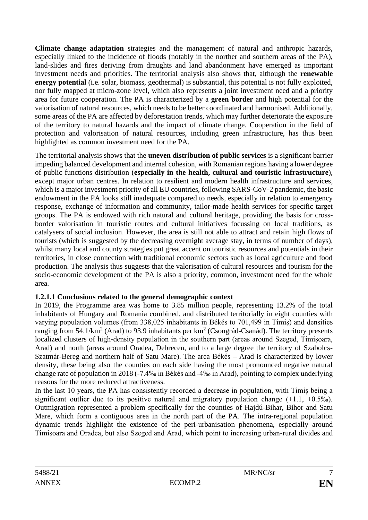**Climate change adaptation** strategies and the management of natural and anthropic hazards, especially linked to the incidence of floods (notably in the norther and southern areas of the PA), land-slides and fires deriving from draughts and land abandonment have emerged as important investment needs and priorities. The territorial analysis also shows that, although the **renewable energy potential** (i.e. solar, biomass, geothermal) is substantial, this potential is not fully exploited, nor fully mapped at micro-zone level, which also represents a joint investment need and a priority area for future cooperation. The PA is characterized by a **green border** and high potential for the valorisation of natural resources, which needs to be better coordinated and harmonised. Additionally, some areas of the PA are affected by deforestation trends, which may further deteriorate the exposure of the territory to natural hazards and the impact of climate change. Cooperation in the field of protection and valorisation of natural resources, including green infrastructure, has thus been highlighted as common investment need for the PA.

The territorial analysis shows that the **uneven distribution of public services** is a significant barrier impeding balanced development and internal cohesion, with Romanian regions having a lower degree of public functions distribution (**especially in the health, cultural and touristic infrastructure**), except major urban centres. In relation to resilient and modern health infrastructure and services, which is a major investment priority of all EU countries, following SARS-CoV-2 pandemic, the basic endowment in the PA looks still inadequate compared to needs, especially in relation to emergency response, exchange of information and community, tailor-made health services for specific target groups. The PA is endowed with rich natural and cultural heritage, providing the basis for crossborder valorisation in touristic routes and cultural initiatives focussing on local traditions, as catalysers of social inclusion. However, the area is still not able to attract and retain high flows of tourists (which is suggested by the decreasing overnight average stay, in terms of number of days), whilst many local and county strategies put great accent on touristic resources and potentials in their territories, in close connection with traditional economic sectors such as local agriculture and food production. The analysis thus suggests that the valorisation of cultural resources and tourism for the socio-economic development of the PA is also a priority, common, investment need for the whole area.

# **1.2.1.1 Conclusions related to the general demographic context**

In 2019, the Programme area was home to 3.85 million people, representing 13.2% of the total inhabitants of Hungary and Romania combined, and distributed territorially in eight counties with varying population volumes (from 338,025 inhabitants in Békés to 701,499 in Timiș) and densities ranging from 54.1/km<sup>2</sup> (Arad) to 93.9 inhabitants per  $km^2$  (Csongrád-Csanád). The territory presents localized clusters of high-density population in the southern part (areas around Szeged, Timișoara, Arad) and north (areas around Oradea, Debrecen, and to a large degree the territory of Szabolcs-Szatmár-Bereg and northern half of Satu Mare). The area Békés – Arad is characterized by lower density, these being also the counties on each side having the most pronounced negative natural change rate of population in 2018 (-7.4‰ in Békés and -4‰ in Arad), pointing to complex underlying reasons for the more reduced attractiveness.

In the last 10 years, the PA has consistently recorded a decrease in population, with Timiș being a significant outlier due to its positive natural and migratory population change  $(+1.1, +0.5\%)$ . Outmigration represented a problem specifically for the counties of Hajdú-Bihar, Bihor and Satu Mare, which form a contiguous area in the north part of the PA. The intra-regional population dynamic trends highlight the existence of the peri-urbanisation phenomena, especially around Timișoara and Oradea, but also Szeged and Arad, which point to increasing urban-rural divides and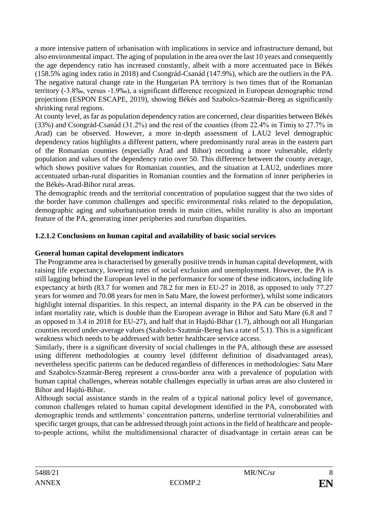a more intensive pattern of urbanisation with implications in service and infrastructure demand, but also environmental impact. The aging of population in the area over the last 10 years and consequently the age dependency ratio has increased constantly, albeit with a more accentuated pace in Békés (158.5% aging index ratio in 2018) and Csongrád-Csanád (147.9%), which are the outliers in the PA. The negative natural change rate in the Hungarian PA territory is two times that of the Romanian territory (-3.8‰, versus -1.9‰), a significant difference recognized in European demographic trend projections (ESPON ESCAPE, 2019), showing Békés and Szabolcs-Szatmár-Bereg as significantly shrinking rural regions.

At county level, as far as population dependency ratios are concerned, clear disparities between Békés (33%) and Csongrád-Csanád (31.2%) and the rest of the counties (from 22.4% in Timiș to 27.7% in Arad) can be observed. However, a more in-depth assessment of LAU2 level demographic dependency ratios highlights a different pattern, where predominantly rural areas in the eastern part of the Romanian counties (especially Arad and Bihor) recording a more vulnerable, elderly population and values of the dependency ratio over 50. This difference between the county average, which shows positive values for Romanian counties, and the situation at LAU2, underlines more accentuated urban-rural disparities in Romanian counties and the formation of inner peripheries in the Békés-Arad-Bihor rural areas.

The demographic trends and the territorial concentration of population suggest that the two sides of the border have common challenges and specific environmental risks related to the depopulation, demographic aging and suburbanisation trends in main cities, whilst rurality is also an important feature of the PA, generating inner peripheries and rururban disparities.

# **1.2.1.2 Conclusions on human capital and availability of basic social services**

## **General human capital development indicators**

The Programme area is characterised by generally positive trends in human capital development, with raising life expectancy, lowering rates of social exclusion and unemployment. However, the PA is still lagging behind the European level in the performance for some of these indicators, including life expectancy at birth (83.7 for women and 78.2 for men in EU-27 in 2018, as opposed to only 77.27 years for women and 70.08 years for men in Satu Mare, the lowest performer), whilst some indicators highlight internal disparities. In this respect, an internal disparity in the PA can be observed in the infant mortality rate, which is double than the European average in Bihor and Satu Mare (6.8 and 7 as opposed to 3.4 in 2018 for EU-27), and half that in Hajdú-Bihar (1.7), although not all Hungarian counties record under-average values (Szabolcs-Szatmár-Bereg has a rate of 5.1). This is a significant weakness which needs to be addressed with better healthcare service access.

Similarly, there is a significant diversity of social challenges in the PA, although these are assessed using different methodologies at country level (different definition of disadvantaged areas), nevertheless specific patterns can be deduced regardless of differences in methodologies: Satu Mare and Szabolcs-Szatmár-Bereg represent a cross-border area with a prevalence of population with human capital challenges, whereas notable challenges especially in urban areas are also clustered in Bihor and Hajdú-Bihar.

Although social assistance stands in the realm of a typical national policy level of governance, common challenges related to human capital development identified in the PA, corroborated with demographic trends and settlements' concentration patterns, underline territorial vulnerabilities and specific target groups, that can be addressed through joint actions in the field of healthcare and peopleto-people actions, whilst the multidimensional character of disadvantage in certain areas can be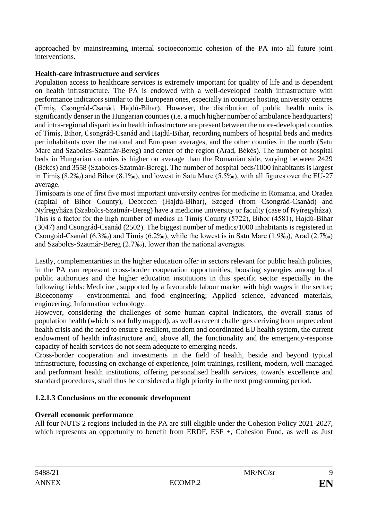approached by mainstreaming internal socioeconomic cohesion of the PA into all future joint interventions.

## **Health-care infrastructure and services**

Population access to healthcare services is extremely important for quality of life and is dependent on health infrastructure. The PA is endowed with a well-developed health infrastructure with performance indicators similar to the European ones, especially in counties hosting university centres (Timiș, Csongrád-Csanád, Hajdú-Bihar). However, the distribution of public health units is significantly denser in the Hungarian counties (i.e. a much higher number of ambulance headquarters) and intra-regional disparities in health infrastructure are present between the more-developed counties of Timiș, Bihor, Csongrád-Csanád and Hajdú-Bihar, recording numbers of hospital beds and medics per inhabitants over the national and European averages, and the other counties in the north (Satu Mare and Szabolcs-Szatmár-Bereg) and center of the region (Arad, Békés). The number of hospital beds in Hungarian counties is higher on average than the Romanian side, varying between 2429 (Békés) and 3558 (Szabolcs-Szatmár-Bereg). The number of hospital beds/1000 inhabitants is largest in Timiș (8.2‰) and Bihor (8.1‰), and lowest in Satu Mare (5.5‰), with all figures over the EU-27 average.

Timișoara is one of first five most important university centres for medicine in Romania, and Oradea (capital of Bihor County), Debrecen (Hajdú-Bihar), Szeged (from Csongrád-Csanád) and Nyíregyháza (Szabolcs-Szatmár-Bereg) have a medicine university or faculty (case of Nyíregyháza). This is a factor for the high number of medics in Timiș County (5722), Bihor (4581), Hajdú-Bihar (3047) and Csongrád-Csanád (2502). The biggest number of medics/1000 inhabitants is registered in Csongrád-Csanád (6.3‰) and Timiș (6.2‰), while the lowest is in Satu Mare (1.9‰), Arad (2.7‰) and Szabolcs-Szatmár-Bereg (2.7‰), lower than the national averages.

Lastly, complementarities in the higher education offer in sectors relevant for public health policies, in the PA can represent cross-border cooperation opportunities, boosting synergies among local public authorities and the higher education institutions in this specific sector especially in the following fields: Medicine , supported by a favourable labour market with high wages in the sector; Bioeconomy – environmental and food engineering; Applied science, advanced materials, engineering; Information technology.

However, considering the challenges of some human capital indicators, the overall status of population health (which is not fully mapped), as well as recent challenges deriving from unprecedent health crisis and the need to ensure a resilient, modern and coordinated EU health system, the current endowment of health infrastructure and, above all, the functionality and the emergency-response capacity of health services do not seem adequate to emerging needs.

Cross-border cooperation and investments in the field of health, beside and beyond typical infrastructure, focussing on exchange of experience, joint trainings, resilient, modern, well-managed and performant health institutions, offering personalised health services, towards excellence and standard procedures, shall thus be considered a high priority in the next programming period.

# **1.2.1.3 Conclusions on the economic development**

### **Overall economic performance**

All four NUTS 2 regions included in the PA are still eligible under the Cohesion Policy 2021-2027, which represents an opportunity to benefit from ERDF, ESF +, Cohesion Fund, as well as Just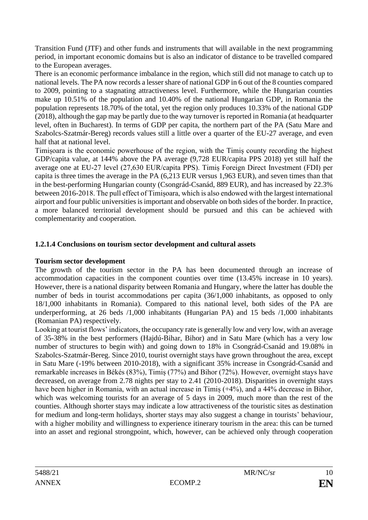Transition Fund (JTF) and other funds and instruments that will available in the next programming period, in important economic domains but is also an indicator of distance to be travelled compared to the European averages.

There is an economic performance imbalance in the region, which still did not manage to catch up to national levels. The PA now records a lesser share of national GDP in 6 out of the 8 counties compared to 2009, pointing to a stagnating attractiveness level. Furthermore, while the Hungarian counties make up 10.51% of the population and 10.40% of the national Hungarian GDP, in Romania the population represents 18.70% of the total, yet the region only produces 10.33% of the national GDP (2018), although the gap may be partly due to the way turnover is reported in Romania (at headquarter level, often in Bucharest). In terms of GDP per capita, the northern part of the PA (Satu Mare and Szabolcs-Szatmár-Bereg) records values still a little over a quarter of the EU-27 average, and even half that at national level.

Timișoara is the economic powerhouse of the region, with the Timiș county recording the highest GDP/capita value, at 144% above the PA average (9,728 EUR/capita PPS 2018) yet still half the average one at EU-27 level (27,630 EUR/capita PPS). Timiș Foreign Direct Investment (FDI) per capita is three times the average in the PA (6,213 EUR versus 1,963 EUR), and seven times than that in the best-performing Hungarian county (Csongrád-Csanád, 889 EUR), and has increased by 22.3% between 2016-2018. The pull effect of Timișoara, which is also endowed with the largest international airport and four public universities is important and observable on both sides of the border. In practice, a more balanced territorial development should be pursued and this can be achieved with complementarity and cooperation.

## **1.2.1.4 Conclusions on tourism sector development and cultural assets**

### **Tourism sector development**

The growth of the tourism sector in the PA has been documented through an increase of accommodation capacities in the component counties over time (13.45% increase in 10 years). However, there is a national disparity between Romania and Hungary, where the latter has double the number of beds in tourist accommodations per capita (36/1,000 inhabitants, as opposed to only 18/1,000 inhabitants in Romania). Compared to this national level, both sides of the PA are underperforming, at 26 beds /1,000 inhabitants (Hungarian PA) and 15 beds /1,000 inhabitants (Romanian PA) respectively.

Looking at tourist flows' indicators, the occupancy rate is generally low and very low, with an average of 35-38% in the best performers (Hajdú-Bihar, Bihor) and in Satu Mare (which has a very low number of structures to begin with) and going down to 18% in Csongrád-Csanád and 19.08% in Szabolcs-Szatmár-Bereg. Since 2010, tourist overnight stays have grown throughout the area, except in Satu Mare (-19% between 2010-2018), with a significant 35% increase in Csongrád-Csanád and remarkable increases in Békés (83%), Timiș (77%) and Bihor (72%). However, overnight stays have decreased, on average from 2.78 nights per stay to 2.41 (2010-2018). Disparities in overnight stays have been higher in Romania, with an actual increase in Timiș (+4%), and a 44% decrease in Bihor, which was welcoming tourists for an average of 5 days in 2009, much more than the rest of the counties. Although shorter stays may indicate a low attractiveness of the touristic sites as destination for medium and long-term holidays, shorter stays may also suggest a change in tourists' behaviour, with a higher mobility and willingness to experience itinerary tourism in the area: this can be turned into an asset and regional strongpoint, which, however, can be achieved only through cooperation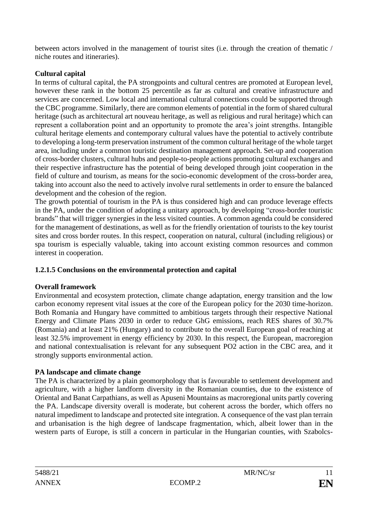between actors involved in the management of tourist sites (i.e. through the creation of thematic / niche routes and itineraries).

# **Cultural capital**

In terms of cultural capital, the PA strongpoints and cultural centres are promoted at European level, however these rank in the bottom 25 percentile as far as cultural and creative infrastructure and services are concerned. Low local and international cultural connections could be supported through the CBC programme. Similarly, there are common elements of potential in the form of shared cultural heritage (such as architectural art nouveau heritage, as well as religious and rural heritage) which can represent a collaboration point and an opportunity to promote the area's joint strengths. Intangible cultural heritage elements and contemporary cultural values have the potential to actively contribute to developing a long-term preservation instrument of the common cultural heritage of the whole target area, including under a common touristic destination management approach. Set-up and cooperation of cross-border clusters, cultural hubs and people-to-people actions promoting cultural exchanges and their respective infrastructure has the potential of being developed through joint cooperation in the field of culture and tourism, as means for the socio-economic development of the cross-border area, taking into account also the need to actively involve rural settlements in order to ensure the balanced development and the cohesion of the region.

The growth potential of tourism in the PA is thus considered high and can produce leverage effects in the PA, under the condition of adopting a unitary approach, by developing "cross-border touristic brands" that will trigger synergies in the less visited counties. A common agenda could be considered for the management of destinations, as well as for the friendly orientation of tourists to the key tourist sites and cross border routes. In this respect, cooperation on natural, cultural (including religious) or spa tourism is especially valuable, taking into account existing common resources and common interest in cooperation.

# **1.2.1.5 Conclusions on the environmental protection and capital**

# **Overall framework**

Environmental and ecosystem protection, climate change adaptation, energy transition and the low carbon economy represent vital issues at the core of the European policy for the 2030 time-horizon. Both Romania and Hungary have committed to ambitious targets through their respective National Energy and Climate Plans 2030 in order to reduce GhG emissions, reach RES shares of 30.7% (Romania) and at least 21% (Hungary) and to contribute to the overall European goal of reaching at least 32.5% improvement in energy efficiency by 2030. In this respect, the European, macroregion and national contextualisation is relevant for any subsequent PO2 action in the CBC area, and it strongly supports environmental action.

# **PA landscape and climate change**

The PA is characterized by a plain geomorphology that is favourable to settlement development and agriculture, with a higher landform diversity in the Romanian counties, due to the existence of Oriental and Banat Carpathians, as well as Apuseni Mountains as macroregional units partly covering the PA. Landscape diversity overall is moderate, but coherent across the border, which offers no natural impediment to landscape and protected site integration. A consequence of the vast plan terrain and urbanisation is the high degree of landscape fragmentation, which, albeit lower than in the western parts of Europe, is still a concern in particular in the Hungarian counties, with Szabolcs-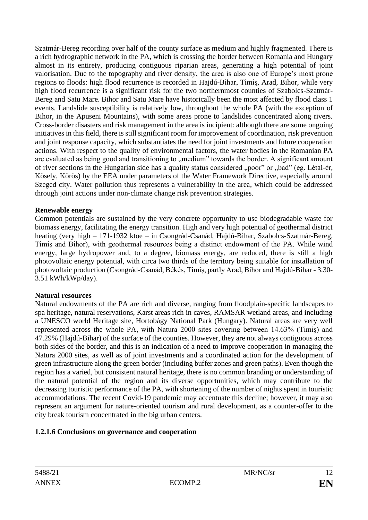Szatmár-Bereg recording over half of the county surface as medium and highly fragmented. There is a rich hydrographic network in the PA, which is crossing the border between Romania and Hungary almost in its entirety, producing contiguous riparian areas, generating a high potential of joint valorisation. Due to the topography and river density, the area is also one of Europe's most prone regions to floods: high flood recurrence is recorded in Hajdú-Bihar, Timiș, Arad, Bihor, while very high flood recurrence is a significant risk for the two northernmost counties of Szabolcs-Szatmár-Bereg and Satu Mare. Bihor and Satu Mare have historically been the most affected by flood class 1 events. Landslide susceptibility is relatively low, throughout the whole PA (with the exception of Bihor, in the Apuseni Mountains), with some areas prone to landslides concentrated along rivers. Cross-border disasters and risk management in the area is incipient: although there are some ongoing initiatives in this field, there is still significant room for improvement of coordination, risk prevention and joint response capacity, which substantiates the need for joint investments and future cooperation actions. With respect to the quality of environmental factors, the water bodies in the Romanian PA are evaluated as being good and transitioning to "medium" towards the border. A significant amount of river sections in the Hungarian side has a quality status considered "poor" or "bad" (eg. Létai-ér, Kösely, Körös) by the EEA under parameters of the Water Framework Directive, especially around Szeged city. Water pollution thus represents a vulnerability in the area, which could be addressed through joint actions under non-climate change risk prevention strategies.

## **Renewable energy**

Common potentials are sustained by the very concrete opportunity to use biodegradable waste for biomass energy, facilitating the energy transition. High and very high potential of geothermal district heating (very high – 171-1932 ktoe – in Csongrád-Csanád, Hajdú-Bihar, Szabolcs-Szatmár-Bereg, Timiș and Bihor), with geothermal resources being a distinct endowment of the PA. While wind energy, large hydropower and, to a degree, biomass energy, are reduced, there is still a high photovoltaic energy potential, with circa two thirds of the territory being suitable for installation of photovoltaic production (Csongrád-Csanád, Békés, Timiș, partly Arad, Bihor and Hajdú-Bihar - 3.30- 3.51 kWh/kWp/day).

# **Natural resources**

Natural endowments of the PA are rich and diverse, ranging from floodplain-specific landscapes to spa heritage, natural reservations, Karst areas rich in caves, RAMSAR wetland areas, and including a UNESCO world Heritage site, Hortobágy National Park (Hungary). Natural areas are very well represented across the whole PA, with Natura 2000 sites covering between 14.63% (Timiș) and 47.29% (Hajdú-Bihar) of the surface of the counties. However, they are not always contiguous across both sides of the border, and this is an indication of a need to improve cooperation in managing the Natura 2000 sites, as well as of joint investments and a coordinated action for the development of green infrastructure along the green border (including buffer zones and green paths). Even though the region has a varied, but consistent natural heritage, there is no common branding or understanding of the natural potential of the region and its diverse opportunities, which may contribute to the decreasing touristic performance of the PA, with shortening of the number of nights spent in touristic accommodations. The recent Covid-19 pandemic may accentuate this decline; however, it may also represent an argument for nature-oriented tourism and rural development, as a counter-offer to the city break tourism concentrated in the big urban centers.

# **1.2.1.6 Conclusions on governance and cooperation**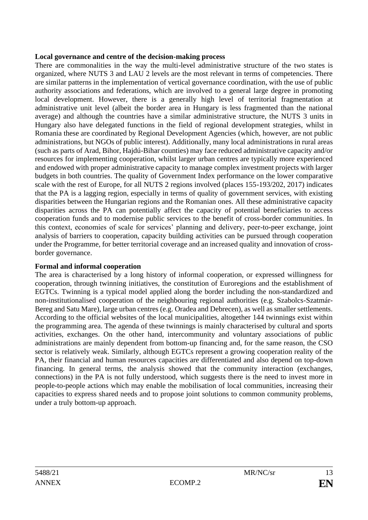#### **Local governance and centre of the decision-making process**

There are commonalities in the way the multi-level administrative structure of the two states is organized, where NUTS 3 and LAU 2 levels are the most relevant in terms of competencies. There are similar patterns in the implementation of vertical governance coordination, with the use of public authority associations and federations, which are involved to a general large degree in promoting local development. However, there is a generally high level of territorial fragmentation at administrative unit level (albeit the border area in Hungary is less fragmented than the national average) and although the countries have a similar administrative structure, the NUTS 3 units in Hungary also have delegated functions in the field of regional development strategies, whilst in Romania these are coordinated by Regional Development Agencies (which, however, are not public administrations, but NGOs of public interest). Additionally, many local administrations in rural areas (such as parts of Arad, Bihor, Hajdú-Bihar counties) may face reduced administrative capacity and/or resources for implementing cooperation, whilst larger urban centres are typically more experienced and endowed with proper administrative capacity to manage complex investment projects with larger budgets in both countries. The quality of Government Index performance on the lower comparative scale with the rest of Europe, for all NUTS 2 regions involved (places 155-193/202, 2017) indicates that the PA is a lagging region, especially in terms of quality of government services, with existing disparities between the Hungarian regions and the Romanian ones. All these administrative capacity disparities across the PA can potentially affect the capacity of potential beneficiaries to access cooperation funds and to modernise public services to the benefit of cross-border communities. In this context, economies of scale for services' planning and delivery, peer-to-peer exchange, joint analysis of barriers to cooperation, capacity building activities can be pursued through cooperation under the Programme, for better territorial coverage and an increased quality and innovation of crossborder governance.

### **Formal and informal cooperation**

The area is characterised by a long history of informal cooperation, or expressed willingness for cooperation, through twinning initiatives, the constitution of Euroregions and the establishment of EGTCs. Twinning is a typical model applied along the border including the non-standardized and non-institutionalised cooperation of the neighbouring regional authorities (e.g. Szabolcs-Szatmár-Bereg and Satu Mare), large urban centres (e.g. Oradea and Debrecen), as well as smaller settlements. According to the official websites of the local municipalities, altogether 144 twinnings exist within the programming area. The agenda of these twinnings is mainly characterised by cultural and sports activities, exchanges. On the other hand, intercommunity and voluntary associations of public administrations are mainly dependent from bottom-up financing and, for the same reason, the CSO sector is relatively weak. Similarly, although EGTCs represent a growing cooperation reality of the PA, their financial and human resources capacities are differentiated and also depend on top-down financing. In general terms, the analysis showed that the community interaction (exchanges, connections) in the PA is not fully understood, which suggests there is the need to invest more in people-to-people actions which may enable the mobilisation of local communities, increasing their capacities to express shared needs and to propose joint solutions to common community problems, under a truly bottom-up approach.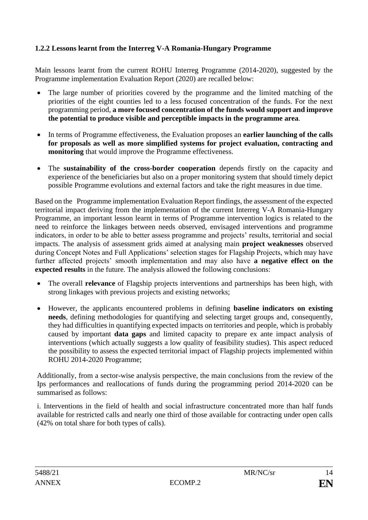## <span id="page-13-0"></span>**1.2.2 Lessons learnt from the Interreg V-A Romania-Hungary Programme**

Main lessons learnt from the current ROHU Interreg Programme (2014-2020), suggested by the Programme implementation Evaluation Report (2020) are recalled below:

- The large number of priorities covered by the programme and the limited matching of the priorities of the eight counties led to a less focused concentration of the funds. For the next programming period, **a more focused concentration of the funds would support and improve the potential to produce visible and perceptible impacts in the programme area**.
- In terms of Programme effectiveness, the Evaluation proposes an **earlier launching of the calls for proposals as well as more simplified systems for project evaluation, contracting and monitoring** that would improve the Programme effectiveness.
- The **sustainability of the cross-border cooperation** depends firstly on the capacity and experience of the beneficiaries but also on a proper monitoring system that should timely depict possible Programme evolutions and external factors and take the right measures in due time.

Based on the Programme implementation Evaluation Report findings, the assessment of the expected territorial impact deriving from the implementation of the current Interreg V-A Romania-Hungary Programme, an important lesson learnt in terms of Programme intervention logics is related to the need to reinforce the linkages between needs observed, envisaged interventions and programme indicators, in order to be able to better assess programme and projects' results, territorial and social impacts. The analysis of assessment grids aimed at analysing main **project weaknesses** observed during Concept Notes and Full Applications' selection stages for Flagship Projects, which may have further affected projects' smooth implementation and may also have **a negative effect on the expected results** in the future. The analysis allowed the following conclusions:

- The overall **relevance** of Flagship projects interventions and partnerships has been high, with strong linkages with previous projects and existing networks;
- However, the applicants encountered problems in defining **baseline indicators on existing needs**, defining methodologies for quantifying and selecting target groups and, consequently, they had difficulties in quantifying expected impacts on territories and people, which is probably caused by important **data gaps** and limited capacity to prepare ex ante impact analysis of interventions (which actually suggests a low quality of feasibility studies). This aspect reduced the possibility to assess the expected territorial impact of Flagship projects implemented within ROHU 2014-2020 Programme;

Additionally, from a sector-wise analysis perspective, the main conclusions from the review of the Ips performances and reallocations of funds during the programming period 2014-2020 can be summarised as follows:

i. Interventions in the field of health and social infrastructure concentrated more than half funds available for restricted calls and nearly one third of those available for contracting under open calls (42% on total share for both types of calls).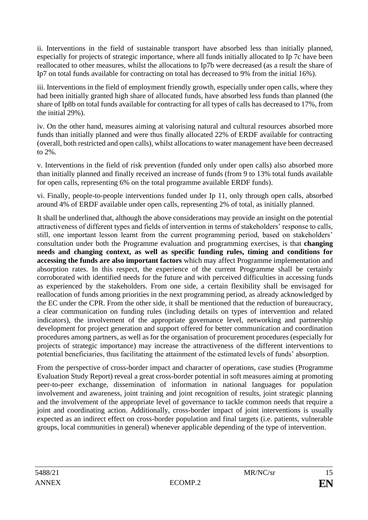ii. Interventions in the field of sustainable transport have absorbed less than initially planned, especially for projects of strategic importance, where all funds initially allocated to Ip 7c have been reallocated to other measures, whilst the allocations to Ip7b were decreased (as a result the share of Ip7 on total funds available for contracting on total has decreased to 9% from the initial 16%).

iii. Interventions in the field of employment friendly growth, especially under open calls, where they had been initially granted high share of allocated funds, have absorbed less funds than planned (the share of Ip8b on total funds available for contracting for all types of calls has decreased to 17%, from the initial 29%).

iv. On the other hand, measures aiming at valorising natural and cultural resources absorbed more funds than initially planned and were thus finally allocated 22% of ERDF available for contracting (overall, both restricted and open calls), whilst allocations to water management have been decreased to 2%.

v. Interventions in the field of risk prevention (funded only under open calls) also absorbed more than initially planned and finally received an increase of funds (from 9 to 13% total funds available for open calls, representing 6% on the total programme available ERDF funds).

vi. Finally, people-to-people interventions funded under Ip 11, only through open calls, absorbed around 4% of ERDF available under open calls, representing 2% of total, as initially planned.

It shall be underlined that, although the above considerations may provide an insight on the potential attractiveness of different types and fields of intervention in terms of stakeholders' response to calls, still, one important lesson learnt from the current programming period, based on stakeholders' consultation under both the Programme evaluation and programming exercises, is that **changing needs and changing context, as well as specific funding rules, timing and conditions for accessing the funds are also important factors** which may affect Programme implementation and absorption rates. In this respect, the experience of the current Programme shall be certainly corroborated with identified needs for the future and with perceived difficulties in accessing funds as experienced by the stakeholders. From one side, a certain flexibility shall be envisaged for reallocation of funds among priorities in the next programming period, as already acknowledged by the EC under the CPR. From the other side, it shall be mentioned that the reduction of bureaucracy, a clear communication on funding rules (including details on types of intervention and related indicators), the involvement of the appropriate governance level, networking and partnership development for project generation and support offered for better communication and coordination procedures among partners, as well as for the organisation of procurement procedures (especially for projects of strategic importance) may increase the attractiveness of the different interventions to potential beneficiaries, thus facilitating the attainment of the estimated levels of funds' absorption.

From the perspective of cross-border impact and character of operations, case studies (Programme Evaluation Study Report) reveal a great cross-border potential in soft measures aiming at promoting peer-to-peer exchange, dissemination of information in national languages for population involvement and awareness, joint training and joint recognition of results, joint strategic planning and the involvement of the appropriate level of governance to tackle common needs that require a joint and coordinating action. Additionally, cross-border impact of joint interventions is usually expected as an indirect effect on cross-border population and final targets (i.e. patients, vulnerable groups, local communities in general) whenever applicable depending of the type of intervention.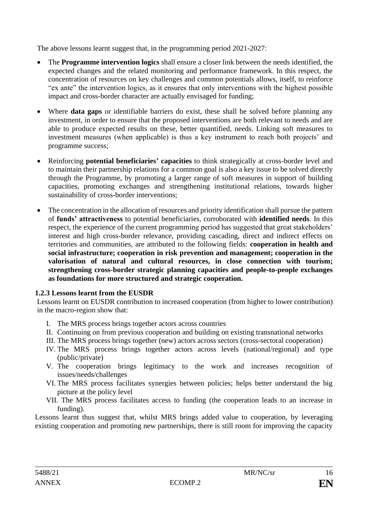The above lessons learnt suggest that, in the programming period 2021-2027:

- The **Programme intervention logics** shall ensure a closer link between the needs identified, the expected changes and the related monitoring and performance framework. In this respect, the concentration of resources on key challenges and common potentials allows, itself, to reinforce "ex ante" the intervention logics, as it ensures that only interventions with the highest possible impact and cross-border character are actually envisaged for funding;
- Where **data gaps** or identifiable barriers do exist, these shall be solved before planning any investment, in order to ensure that the proposed interventions are both relevant to needs and are able to produce expected results on these, better quantified, needs. Linking soft measures to investment measures (when applicable) is thus a key instrument to reach both projects' and programme success;
- Reinforcing **potential beneficiaries' capacities** to think strategically at cross-border level and to maintain their partnership relations for a common goal is also a key issue to be solved directly through the Programme, by promoting a larger range of soft measures in support of building capacities, promoting exchanges and strengthening institutional relations, towards higher sustainability of cross-border interventions;
- The concentration in the allocation of resources and priority identification shall pursue the pattern of **funds' attractiveness** to potential beneficiaries, corroborated with **identified needs**. In this respect, the experience of the current programming period has suggested that great stakeholders' interest and high cross-border relevance, providing cascading, direct and indirect effects on territories and communities, are attributed to the following fields: **cooperation in health and social infrastructure; cooperation in risk prevention and management; cooperation in the valorisation of natural and cultural resources, in close connection with tourism; strengthening cross-border strategic planning capacities and people-to-people exchanges as foundations for more structured and strategic cooperation.**

### <span id="page-15-0"></span>**1.2.3 Lessons learnt from the EUSDR**

Lessons learnt on EUSDR contribution to increased cooperation (from higher to lower contribution) in the macro-region show that:

- I. The MRS process brings together actors across countries
- II. Continuing on from previous cooperation and building on existing transnational networks
- III. The MRS process brings together (new) actors across sectors (cross-sectoral cooperation)
- IV. The MRS process brings together actors across levels (national/regional) and type (public/private)
- V. The cooperation brings legitimacy to the work and increases recognition of issues/needs/challenges
- VI. The MRS process facilitates synergies between policies; helps better understand the big picture at the policy level
- VII. The MRS process facilitates access to funding (the cooperation leads to an increase in funding).

Lessons learnt thus suggest that, whilst MRS brings added value to cooperation, by leveraging existing cooperation and promoting new partnerships, there is still room for improving the capacity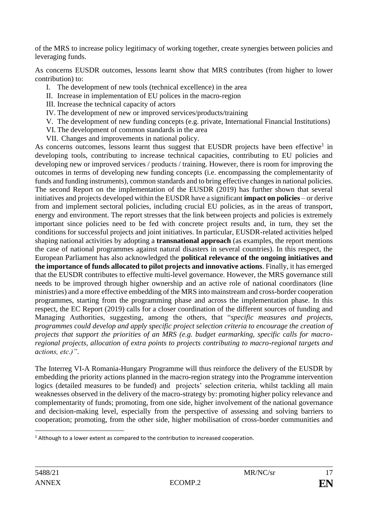of the MRS to increase policy legitimacy of working together, create synergies between policies and leveraging funds.

As concerns EUSDR outcomes, lessons learnt show that MRS contributes (from higher to lower contribution) to:

- I. The development of new tools (technical excellence) in the area
- II. Increase in implementation of EU polices in the macro-region
- III. Increase the technical capacity of actors
- IV. The development of new or improved services/products/training
- V. The development of new funding concepts (e.g. private, International Financial Institutions)
- VI. The development of common standards in the area
- VII. Changes and improvements in national policy.

As concerns outcomes, lessons learnt thus suggest that EUSDR projects have been effective<sup>1</sup> in developing tools, contributing to increase technical capacities, contributing to EU policies and developing new or improved services / products / training. However, there is room for improving the outcomes in terms of developing new funding concepts (i.e. encompassing the complementarity of funds and funding instruments), common standards and to bring effective changes in national policies. The second Report on the implementation of the EUSDR (2019) has further shown that several initiatives and projects developed within the EUSDR have a significant **impact on policies** – or derive from and implement sectoral policies, including crucial EU policies, as in the areas of transport, energy and environment. The report stresses that the link between projects and policies is extremely important since policies need to be fed with concrete project results and, in turn, they set the conditions for successful projects and joint initiatives. In particular, EUSDR-related activities helped shaping national activities by adopting a **transnational approach** (as examples, the report mentions the case of national programmes against natural disasters in several countries). In this respect, the European Parliament has also acknowledged the **political relevance of the ongoing initiatives and the importance of funds allocated to pilot projects and innovative actions**. Finally, it has emerged that the EUSDR contributes to effective multi-level governance. However, the MRS governance still needs to be improved through higher ownership and an active role of national coordinators (line ministries) and a more effective embedding of the MRS into mainstream and cross-border cooperation programmes, starting from the programming phase and across the implementation phase. In this respect, the EC Report (2019) calls for a closer coordination of the different sources of funding and Managing Authorities, suggesting, among the others, that "*specific measures and projects, programmes could develop and apply specific project selection criteria to encourage the creation of projects that support the priorities of an MRS (e.g. budget earmarking, specific calls for macroregional projects, allocation of extra points to projects contributing to macro-regional targets and actions, etc.)"*.

The Interreg VI-A Romania-Hungary Programme will thus reinforce the delivery of the EUSDR by embedding the priority actions planned in the macro-region strategy into the Programme intervention logics (detailed measures to be funded) and projects' selection criteria, whilst tackling all main weaknesses observed in the delivery of the macro-strategy by: promoting higher policy relevance and complementarity of funds; promoting, from one side, higher involvement of the national governance and decision-making level, especially from the perspective of assessing and solving barriers to cooperation; promoting, from the other side, higher mobilisation of cross-border communities and

 $1$  Although to a lower extent as compared to the contribution to increased cooperation.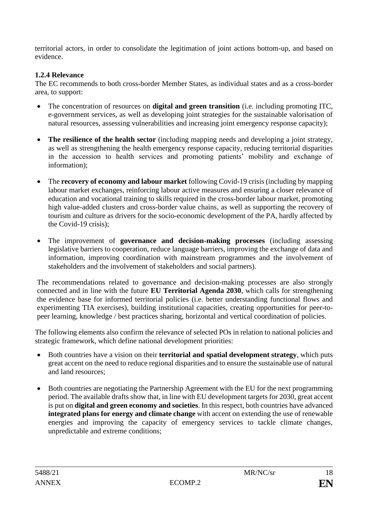territorial actors, in order to consolidate the legitimation of joint actions bottom-up, and based on evidence.

## <span id="page-17-0"></span>**1.2.4 Relevance**

The EC recommends to both cross-border Member States, as individual states and as a cross-border area, to support:

- The concentration of resources on **digital and green transition** (i.e. including promoting ITC, e-government services, as well as developing joint strategies for the sustainable valorisation of natural resources, assessing vulnerabilities and increasing joint emergency response capacity);
- **The resilience of the health sector** (including mapping needs and developing a joint strategy, as well as strengthening the health emergency response capacity, reducing territorial disparities in the accession to health services and promoting patients' mobility and exchange of information);
- The **recovery of economy and labour market** following Covid-19 crisis (including by mapping labour market exchanges, reinforcing labour active measures and ensuring a closer relevance of education and vocational training to skills required in the cross-border labour market, promoting high value-added clusters and cross-border value chains, as well as supporting the recovery of tourism and culture as drivers for the socio-economic development of the PA, hardly affected by the Covid-19 crisis);
- The improvement of **governance and decision-making processes** (including assessing legislative barriers to cooperation, reduce language barriers, improving the exchange of data and information, improving coordination with mainstream programmes and the involvement of stakeholders and the involvement of stakeholders and social partners).

The recommendations related to governance and decision-making processes are also strongly connected and in line with the future **EU Territorial Agenda 2030**, which calls for strengthening the evidence base for informed territorial policies (i.e. better understanding functional flows and experimenting TIA exercises), building institutional capacities, creating opportunities for peer-topeer learning, knowledge / best practices sharing, horizontal and vertical coordination of policies.

The following elements also confirm the relevance of selected POs in relation to national policies and strategic framework, which define national development priorities:

- Both countries have a vision on their **territorial and spatial development strategy**, which puts great accent on the need to reduce regional disparities and to ensure the sustainable use of natural and land resources;
- Both countries are negotiating the Partnership Agreement with the EU for the next programming period. The available drafts show that, in line with EU development targets for 2030, great accent is put on **digital and green economy and societies**. In this respect, both countries have advanced **integrated plans for energy and climate change** with accent on extending the use of renewable energies and improving the capacity of emergency services to tackle climate changes, unpredictable and extreme conditions;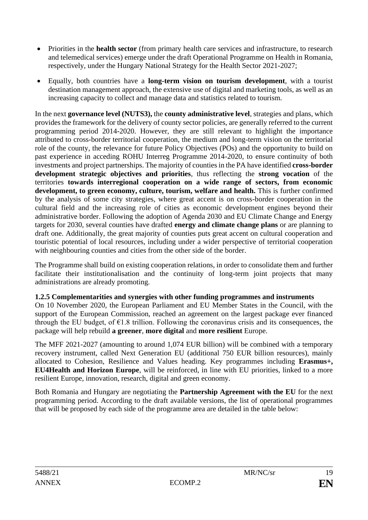- Priorities in the **health sector** (from primary health care services and infrastructure, to research and telemedical services) emerge under the draft Operational Programme on Health in Romania, respectively, under the Hungary National Strategy for the Health Sector 2021-2027;
- Equally, both countries have a **long-term vision on tourism development**, with a tourist destination management approach, the extensive use of digital and marketing tools, as well as an increasing capacity to collect and manage data and statistics related to tourism.

In the next **governance level (NUTS3),** the **county administrative level**, strategies and plans, which provides the framework for the delivery of county sector policies, are generally referred to the current programming period 2014-2020. However, they are still relevant to highlight the importance attributed to cross-border territorial cooperation, the medium and long-term vision on the territorial role of the county, the relevance for future Policy Objectives (POs) and the opportunity to build on past experience in acceding ROHU Interreg Programme 2014-2020, to ensure continuity of both investments and project partnerships. The majority of counties in the PA have identified **cross-border development strategic objectives and priorities**, thus reflecting the **strong vocation** of the territories **towards interregional cooperation on a wide range of sectors, from economic development, to green economy, culture, tourism, welfare and health.** This is further confirmed by the analysis of some city strategies, where great accent is on cross-border cooperation in the cultural field and the increasing role of cities as economic development engines beyond their administrative border. Following the adoption of Agenda 2030 and EU Climate Change and Energy targets for 2030, several counties have drafted **energy and climate change plans** or are planning to draft one. Additionally, the great majority of counties puts great accent on cultural cooperation and touristic potential of local resources, including under a wider perspective of territorial cooperation with neighbouring counties and cities from the other side of the border.

The Programme shall build on existing cooperation relations, in order to consolidate them and further facilitate their institutionalisation and the continuity of long-term joint projects that many administrations are already promoting.

### <span id="page-18-0"></span>**1.2.5 Complementarities and synergies with other funding programmes and instruments**

On 10 November 2020, the European Parliament and EU Member States in the Council, with the support of the European Commission, reached an agreement on the largest package ever financed through the EU budget, of  $\epsilon$ 1.8 trillion. Following the coronavirus crisis and its consequences, the package will help rebuild **a greener**, **more digital** and **more resilient** Europe.

The MFF 2021-2027 (amounting to around 1,074 EUR billion) will be combined with a temporary recovery instrument, called Next Generation EU (additional 750 EUR billion resources), mainly allocated to Cohesion, Resilience and Values heading. Key programmes including **Erasmus+, EU4Health and Horizon Europe**, will be reinforced, in line with EU priorities, linked to a more resilient Europe, innovation, research, digital and green economy.

Both Romania and Hungary are negotiating the **Partnership Agreement with the EU** for the next programming period. According to the draft available versions, the list of operational programmes that will be proposed by each side of the programme area are detailed in the table below: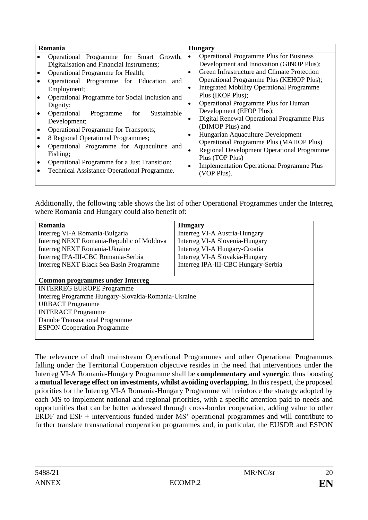| <b>Operational Programme Plus for Business</b><br>Operational Programme for Smart Growth,<br>$\bullet$<br>Development and Innovation (GINOP Plus);<br>Digitalisation and Financial Instruments;<br>Green Infrastructure and Climate Protection<br>Operational Programme for Health;<br>$\bullet$<br>Operational Programme Plus (KEHOP Plus);<br>Operational Programme for Education and<br><b>Integrated Mobility Operational Programme</b><br>$\bullet$<br>Employment;<br>Plus (IKOP Plus);<br>Operational Programme for Social Inclusion and<br>Operational Programme Plus for Human<br>$\bullet$<br>Dignity;<br>Development (EFOP Plus);<br>Operational<br>Sustainable<br>Programme<br>for<br>Digital Renewal Operational Programme Plus<br>$\bullet$<br>Development;<br>(DIMOP Plus) and<br><b>Operational Programme for Transports;</b><br>Hungarian Aquaculture Development<br>$\bullet$<br>8 Regional Operational Programmes;<br><b>Operational Programme Plus (MAHOP Plus)</b><br>Operational Programme for Aquaculture and<br>Regional Development Operational Programme<br>$\bullet$<br>Fishing;<br>Plus (TOP Plus)<br>Operational Programme for a Just Transition;<br><b>Implementation Operational Programme Plus</b><br>$\bullet$<br>Technical Assistance Operational Programme.<br>(VOP Plus). |
|--------------------------------------------------------------------------------------------------------------------------------------------------------------------------------------------------------------------------------------------------------------------------------------------------------------------------------------------------------------------------------------------------------------------------------------------------------------------------------------------------------------------------------------------------------------------------------------------------------------------------------------------------------------------------------------------------------------------------------------------------------------------------------------------------------------------------------------------------------------------------------------------------------------------------------------------------------------------------------------------------------------------------------------------------------------------------------------------------------------------------------------------------------------------------------------------------------------------------------------------------------------------------------------------------------------|
|                                                                                                                                                                                                                                                                                                                                                                                                                                                                                                                                                                                                                                                                                                                                                                                                                                                                                                                                                                                                                                                                                                                                                                                                                                                                                                              |

Additionally, the following table shows the list of other Operational Programmes under the Interreg where Romania and Hungary could also benefit of:

| Romania                                             | <b>Hungary</b>                      |  |  |
|-----------------------------------------------------|-------------------------------------|--|--|
| Interreg VI-A Romania-Bulgaria                      | Interreg VI-A Austria-Hungary       |  |  |
| Interreg NEXT Romania-Republic of Moldova           | Interreg VI-A Slovenia-Hungary      |  |  |
| <b>Interreg NEXT Romania-Ukraine</b>                | Interreg VI-A Hungary-Croatia       |  |  |
| Interreg IPA-III-CBC Romania-Serbia                 | Interreg VI-A Slovakia-Hungary      |  |  |
| Interreg NEXT Black Sea Basin Programme             | Interreg IPA-III-CBC Hungary-Serbia |  |  |
|                                                     |                                     |  |  |
| <b>Common programmes under Interreg</b>             |                                     |  |  |
| <b>INTERREG EUROPE Programme</b>                    |                                     |  |  |
| Interreg Programme Hungary-Slovakia-Romania-Ukraine |                                     |  |  |
| <b>URBACT</b> Programme                             |                                     |  |  |
| <b>INTERACT Programme</b>                           |                                     |  |  |
| Danube Transnational Programme                      |                                     |  |  |
| <b>ESPON Cooperation Programme</b>                  |                                     |  |  |
|                                                     |                                     |  |  |

The relevance of draft mainstream Operational Programmes and other Operational Programmes falling under the Territorial Cooperation objective resides in the need that interventions under the Interreg VI-A Romania-Hungary Programme shall be **complementary and synergic**, thus boosting a **mutual leverage effect on investments, whilst avoiding overlapping**. In this respect, the proposed priorities for the Interreg VI-A Romania-Hungary Programme will reinforce the strategy adopted by each MS to implement national and regional priorities, with a specific attention paid to needs and opportunities that can be better addressed through cross-border cooperation, adding value to other ERDF and ESF + interventions funded under MS' operational programmes and will contribute to further translate transnational cooperation programmes and, in particular, the EUSDR and ESPON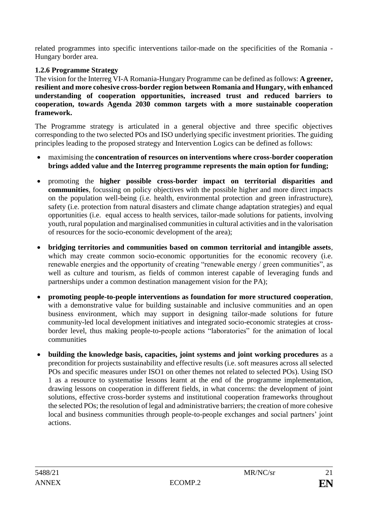related programmes into specific interventions tailor-made on the specificities of the Romania - Hungary border area.

## <span id="page-20-0"></span>**1.2.6 Programme Strategy**

The vision for the Interreg VI-A Romania-Hungary Programme can be defined as follows: **A greener, resilient and more cohesive cross-border region between Romania and Hungary, with enhanced understanding of cooperation opportunities, increased trust and reduced barriers to cooperation, towards Agenda 2030 common targets with a more sustainable cooperation framework.**

The Programme strategy is articulated in a general objective and three specific objectives corresponding to the two selected POs and ISO underlying specific investment priorities. The guiding principles leading to the proposed strategy and Intervention Logics can be defined as follows:

- maximising the **concentration of resources on interventions where cross-border cooperation brings added value and the Interreg programme represents the main option for funding;**
- promoting the **higher possible cross-border impact on territorial disparities and communities**, focussing on policy objectives with the possible higher and more direct impacts on the population well-being (i.e. health, environmental protection and green infrastructure), safety (i.e. protection from natural disasters and climate change adaptation strategies) and equal opportunities (i.e. equal access to health services, tailor-made solutions for patients, involving youth, rural population and marginalised communities in cultural activities and in the valorisation of resources for the socio-economic development of the area);
- **bridging territories and communities based on common territorial and intangible assets**, which may create common socio-economic opportunities for the economic recovery (i.e. renewable energies and the opportunity of creating "renewable energy / green communities", as well as culture and tourism, as fields of common interest capable of leveraging funds and partnerships under a common destination management vision for the PA);
- **promoting people-to-people interventions as foundation for more structured cooperation**, with a demonstrative value for building sustainable and inclusive communities and an open business environment, which may support in designing tailor-made solutions for future community-led local development initiatives and integrated socio-economic strategies at crossborder level, thus making people-to-people actions "laboratories" for the animation of local communities
- **building the knowledge basis, capacities, joint systems and joint working procedures** as a precondition for projects sustainability and effective results (i.e. soft measures across all selected POs and specific measures under ISO1 on other themes not related to selected POs). Using ISO 1 as a resource to systematise lessons learnt at the end of the programme implementation, drawing lessons on cooperation in different fields, in what concerns: the development of joint solutions, effective cross-border systems and institutional cooperation frameworks throughout the selected POs; the resolution of legal and administrative barriers; the creation of more cohesive local and business communities through people-to-people exchanges and social partners' joint actions.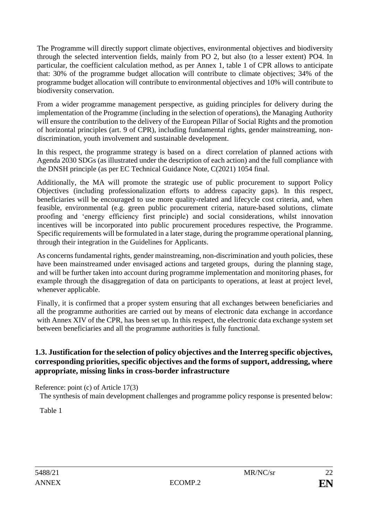The Programme will directly support climate objectives, environmental objectives and biodiversity through the selected intervention fields, mainly from PO 2, but also (to a lesser extent) PO4. In particular, the coefficient calculation method, as per Annex 1, table 1 of CPR allows to anticipate that: 30% of the programme budget allocation will contribute to climate objectives; 34% of the programme budget allocation will contribute to environmental objectives and 10% will contribute to biodiversity conservation.

From a wider programme management perspective, as guiding principles for delivery during the implementation of the Programme (including in the selection of operations), the Managing Authority will ensure the contribution to the delivery of the European Pillar of Social Rights and the promotion of horizontal principles (art. 9 of CPR), including fundamental rights, gender mainstreaming, nondiscrimination, youth involvement and sustainable development.

In this respect, the programme strategy is based on a direct correlation of planned actions with Agenda 2030 SDGs (as illustrated under the description of each action) and the full compliance with the DNSH principle (as per EC Technical Guidance Note, C(2021) 1054 final.

Additionally, the MA will promote the strategic use of public procurement to support Policy Objectives (including professionalization efforts to address capacity gaps). In this respect, beneficiaries will be encouraged to use more quality-related and lifecycle cost criteria, and, when feasible, environmental (e.g. green public procurement criteria, nature-based solutions, climate proofing and 'energy efficiency first principle) and social considerations, whilst innovation incentives will be incorporated into public procurement procedures respective, the Programme. Specific requirements will be formulated in a later stage, during the programme operational planning, through their integration in the Guidelines for Applicants.

As concerns fundamental rights, gender mainstreaming, non-discrimination and youth policies, these have been mainstreamed under envisaged actions and targeted groups, during the planning stage, and will be further taken into account during programme implementation and monitoring phases, for example through the disaggregation of data on participants to operations, at least at project level, whenever applicable.

Finally, it is confirmed that a proper system ensuring that all exchanges between beneficiaries and all the programme authorities are carried out by means of electronic data exchange in accordance with Annex XIV of the CPR, has been set up. In this respect, the electronic data exchange system set between beneficiaries and all the programme authorities is fully functional.

## <span id="page-21-0"></span>**1.3. Justification for the selection of policy objectives and the Interreg specific objectives, corresponding priorities, specific objectives and the forms of support, addressing, where appropriate, missing links in cross-border infrastructure**

Reference: point (c) of Article 17(3)

The synthesis of main development challenges and programme policy response is presented below:

Table 1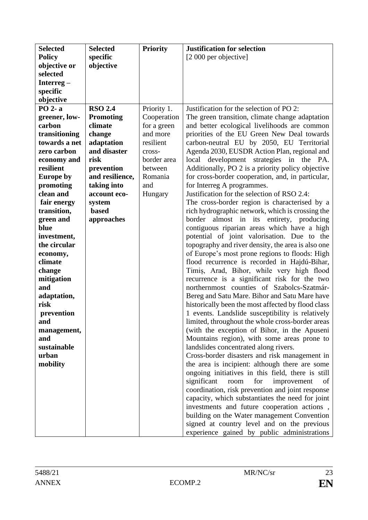| <b>Selected</b>     | <b>Selected</b>  | <b>Priority</b> | <b>Justification for selection</b>                                                                   |
|---------------------|------------------|-----------------|------------------------------------------------------------------------------------------------------|
| <b>Policy</b>       | specific         |                 | [2 000 per objective]                                                                                |
| objective or        | objective        |                 |                                                                                                      |
| selected            |                  |                 |                                                                                                      |
| Interreg $-$        |                  |                 |                                                                                                      |
| specific            |                  |                 |                                                                                                      |
| objective           |                  |                 |                                                                                                      |
| PO 2-a              | <b>RSO 2.4</b>   | Priority 1.     | Justification for the selection of PO 2:                                                             |
| greener, low-       | <b>Promoting</b> | Cooperation     | The green transition, climate change adaptation                                                      |
| carbon              | climate          | for a green     | and better ecological livelihoods are common                                                         |
| transitioning       | change           | and more        | priorities of the EU Green New Deal towards                                                          |
| towards a net       | adaptation       | resilient       | carbon-neutral EU by 2050, EU Territorial                                                            |
| zero carbon         | and disaster     | cross-          | Agenda 2030, EUSDR Action Plan, regional and                                                         |
| economy and         | risk             | border area     | local development strategies in the PA.                                                              |
| resilient           | prevention       | between         | Additionally, PO 2 is a priority policy objective                                                    |
| <b>Europe by</b>    | and resilience,  | Romania         | for cross-border cooperation, and, in particular,                                                    |
| promoting           | taking into      | and             | for Interreg A programmes.                                                                           |
| clean and           | account eco-     | Hungary         | Justification for the selection of RSO 2.4:                                                          |
| fair energy         | system           |                 | The cross-border region is characterised by a                                                        |
| transition,         | <b>based</b>     |                 | rich hydrographic network, which is crossing the                                                     |
| green and           | approaches       |                 | almost in its entirety, producing<br>border                                                          |
| blue                |                  |                 | contiguous riparian areas which have a high                                                          |
| investment,         |                  |                 | potential of joint valorisation. Due to the                                                          |
| the circular        |                  |                 | topography and river density, the area is also one                                                   |
| economy,            |                  |                 | of Europe's most prone regions to floods: High                                                       |
| climate             |                  |                 | flood recurrence is recorded in Hajdú-Bihar,                                                         |
| change              |                  |                 | Timis, Arad, Bihor, while very high flood                                                            |
| mitigation          |                  |                 | recurrence is a significant risk for the two                                                         |
| and                 |                  |                 | northernmost counties of Szabolcs-Szatmár-                                                           |
| adaptation,<br>risk |                  |                 | Bereg and Satu Mare. Bihor and Satu Mare have                                                        |
|                     |                  |                 | historically been the most affected by flood class                                                   |
| prevention<br>and   |                  |                 | 1 events. Landslide susceptibility is relatively<br>limited, throughout the whole cross-border areas |
|                     |                  |                 | (with the exception of Bihor, in the Apuseni                                                         |
| management,<br>and  |                  |                 | Mountains region), with some areas prone to                                                          |
| sustainable         |                  |                 | landslides concentrated along rivers.                                                                |
| urban               |                  |                 | Cross-border disasters and risk management in                                                        |
| mobility            |                  |                 | the area is incipient: although there are some                                                       |
|                     |                  |                 | ongoing initiatives in this field, there is still                                                    |
|                     |                  |                 | significant<br>for<br>improvement<br>room<br>of                                                      |
|                     |                  |                 | coordination, risk prevention and joint response                                                     |
|                     |                  |                 | capacity, which substantiates the need for joint                                                     |
|                     |                  |                 | investments and future cooperation actions,                                                          |
|                     |                  |                 | building on the Water management Convention                                                          |
|                     |                  |                 | signed at country level and on the previous                                                          |
|                     |                  |                 | experience gained by public administrations                                                          |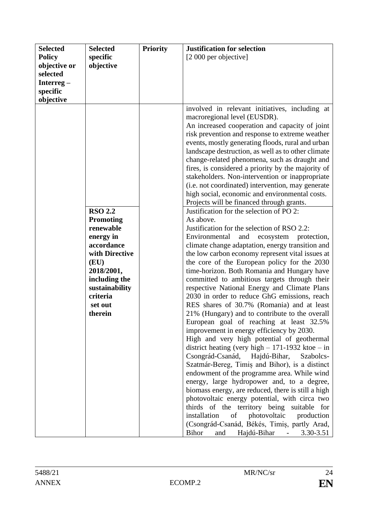| <b>Selected</b> | <b>Selected</b>  | <b>Priority</b> | <b>Justification for selection</b>                                    |
|-----------------|------------------|-----------------|-----------------------------------------------------------------------|
| <b>Policy</b>   | specific         |                 | [2 000 per objective]                                                 |
| objective or    | objective        |                 |                                                                       |
| selected        |                  |                 |                                                                       |
| Interreg $-$    |                  |                 |                                                                       |
| specific        |                  |                 |                                                                       |
| objective       |                  |                 |                                                                       |
|                 |                  |                 | involved in relevant initiatives, including at                        |
|                 |                  |                 | macroregional level (EUSDR).                                          |
|                 |                  |                 | An increased cooperation and capacity of joint                        |
|                 |                  |                 | risk prevention and response to extreme weather                       |
|                 |                  |                 | events, mostly generating floods, rural and urban                     |
|                 |                  |                 | landscape destruction, as well as to other climate                    |
|                 |                  |                 | change-related phenomena, such as draught and                         |
|                 |                  |                 | fires, is considered a priority by the majority of                    |
|                 |                  |                 | stakeholders. Non-intervention or inappropriate                       |
|                 |                  |                 | (i.e. not coordinated) intervention, may generate                     |
|                 |                  |                 | high social, economic and environmental costs.                        |
|                 | <b>RSO 2.2</b>   |                 | Projects will be financed through grants.                             |
|                 | <b>Promoting</b> |                 | Justification for the selection of PO 2:<br>As above.                 |
|                 | renewable        |                 | Justification for the selection of RSO 2.2:                           |
|                 | energy in        |                 | Environmental<br>and<br>ecosystem<br>protection,                      |
|                 | accordance       |                 | climate change adaptation, energy transition and                      |
|                 | with Directive   |                 | the low carbon economy represent vital issues at                      |
|                 | (EU)             |                 | the core of the European policy for the 2030                          |
|                 | 2018/2001,       |                 | time-horizon. Both Romania and Hungary have                           |
|                 | including the    |                 | committed to ambitious targets through their                          |
|                 | sustainability   |                 | respective National Energy and Climate Plans                          |
|                 | criteria         |                 | 2030 in order to reduce GhG emissions, reach                          |
|                 | set out          |                 | RES shares of 30.7% (Romania) and at least                            |
|                 | therein          |                 | 21% (Hungary) and to contribute to the overall                        |
|                 |                  |                 | European goal of reaching at least 32.5%                              |
|                 |                  |                 | improvement in energy efficiency by 2030.                             |
|                 |                  |                 | High and very high potential of geothermal                            |
|                 |                  |                 | district heating (very high $-171-1932$ ktoe $-$ in                   |
|                 |                  |                 | Csongrád-Csanád, Hajdú-Bihar,<br>Szabolcs-                            |
|                 |                  |                 | Szatmár-Bereg, Timiș and Bihor), is a distinct                        |
|                 |                  |                 | endowment of the programme area. While wind                           |
|                 |                  |                 | energy, large hydropower and, to a degree,                            |
|                 |                  |                 | biomass energy, are reduced, there is still a high                    |
|                 |                  |                 | photovoltaic energy potential, with circa two                         |
|                 |                  |                 | thirds of the territory being suitable for                            |
|                 |                  |                 | installation<br>of photovoltaic production                            |
|                 |                  |                 | (Csongrád-Csanád, Békés, Timiș, partly Arad,                          |
|                 |                  |                 | <b>Bihor</b><br>Hajdú-Bihar<br>$3.30 - 3.51$<br>and<br>$\blacksquare$ |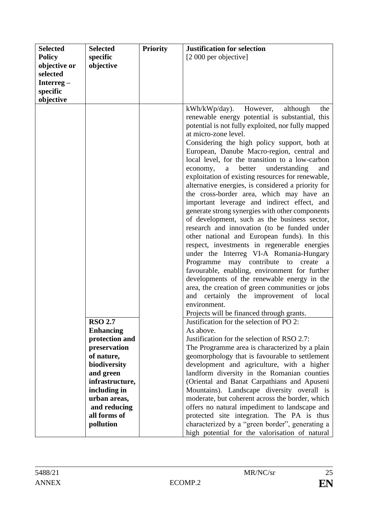| <b>Selected</b> | <b>Selected</b>  | <b>Priority</b> | <b>Justification for selection</b>                                                         |
|-----------------|------------------|-----------------|--------------------------------------------------------------------------------------------|
| <b>Policy</b>   | specific         |                 | [2 000 per objective]                                                                      |
| objective or    | objective        |                 |                                                                                            |
| selected        |                  |                 |                                                                                            |
| Interreg $-$    |                  |                 |                                                                                            |
| specific        |                  |                 |                                                                                            |
| objective       |                  |                 |                                                                                            |
|                 |                  |                 | $kWh/kWp/day)$ .<br>However,<br>although<br>the                                            |
|                 |                  |                 | renewable energy potential is substantial, this                                            |
|                 |                  |                 | potential is not fully exploited, nor fully mapped                                         |
|                 |                  |                 | at micro-zone level.                                                                       |
|                 |                  |                 | Considering the high policy support, both at                                               |
|                 |                  |                 | European, Danube Macro-region, central and                                                 |
|                 |                  |                 | local level, for the transition to a low-carbon                                            |
|                 |                  |                 | understanding<br>better<br>economy,<br>and<br>a                                            |
|                 |                  |                 | exploitation of existing resources for renewable,                                          |
|                 |                  |                 | alternative energies, is considered a priority for                                         |
|                 |                  |                 | the cross-border area, which may have an                                                   |
|                 |                  |                 | important leverage and indirect effect, and                                                |
|                 |                  |                 | generate strong synergies with other components                                            |
|                 |                  |                 | of development, such as the business sector,                                               |
|                 |                  |                 | research and innovation (to be funded under<br>other national and European funds). In this |
|                 |                  |                 | respect, investments in regenerable energies                                               |
|                 |                  |                 | under the Interreg VI-A Romania-Hungary                                                    |
|                 |                  |                 | may contribute<br>Programme<br>to<br>create<br><sub>a</sub>                                |
|                 |                  |                 | favourable, enabling, environment for further                                              |
|                 |                  |                 | developments of the renewable energy in the                                                |
|                 |                  |                 | area, the creation of green communities or jobs                                            |
|                 |                  |                 | and certainly the improvement<br>local<br>of                                               |
|                 |                  |                 | environment.                                                                               |
|                 |                  |                 | Projects will be financed through grants.                                                  |
|                 | <b>RSO 2.7</b>   |                 | Justification for the selection of PO 2:                                                   |
|                 | <b>Enhancing</b> |                 | As above.                                                                                  |
|                 | protection and   |                 | Justification for the selection of RSO 2.7:                                                |
|                 | preservation     |                 | The Programme area is characterized by a plain                                             |
|                 | of nature,       |                 | geomorphology that is favourable to settlement                                             |
|                 | biodiversity     |                 | development and agriculture, with a higher                                                 |
|                 | and green        |                 | landform diversity in the Romanian counties                                                |
|                 | infrastructure,  |                 | (Oriental and Banat Carpathians and Apuseni                                                |
|                 | including in     |                 | Mountains). Landscape diversity overall is                                                 |
|                 | urban areas,     |                 | moderate, but coherent across the border, which                                            |
|                 | and reducing     |                 | offers no natural impediment to landscape and                                              |
|                 | all forms of     |                 | protected site integration. The PA is thus                                                 |
|                 | pollution        |                 | characterized by a "green border", generating a                                            |
|                 |                  |                 | high potential for the valorisation of natural                                             |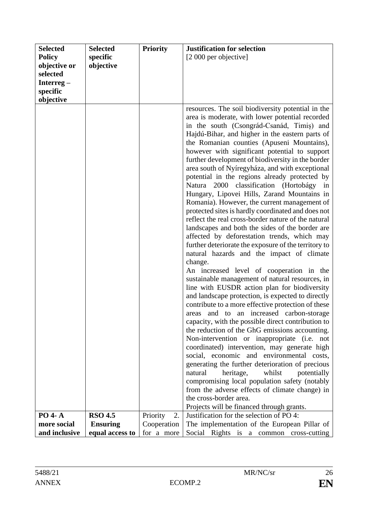| <b>Selected</b> | <b>Selected</b> | <b>Priority</b> | <b>Justification for selection</b>                                                                                                                                                                                                                                                                                                                                                                                                                                                                                                                                                                                                                                                                                                                                                                                                                                                                                                                                                                                                                                                                                                                                                                                                                                                                                                                                                                                                                                                                                                                      |
|-----------------|-----------------|-----------------|---------------------------------------------------------------------------------------------------------------------------------------------------------------------------------------------------------------------------------------------------------------------------------------------------------------------------------------------------------------------------------------------------------------------------------------------------------------------------------------------------------------------------------------------------------------------------------------------------------------------------------------------------------------------------------------------------------------------------------------------------------------------------------------------------------------------------------------------------------------------------------------------------------------------------------------------------------------------------------------------------------------------------------------------------------------------------------------------------------------------------------------------------------------------------------------------------------------------------------------------------------------------------------------------------------------------------------------------------------------------------------------------------------------------------------------------------------------------------------------------------------------------------------------------------------|
| <b>Policy</b>   | specific        |                 | [2 000 per objective]                                                                                                                                                                                                                                                                                                                                                                                                                                                                                                                                                                                                                                                                                                                                                                                                                                                                                                                                                                                                                                                                                                                                                                                                                                                                                                                                                                                                                                                                                                                                   |
| objective or    | objective       |                 |                                                                                                                                                                                                                                                                                                                                                                                                                                                                                                                                                                                                                                                                                                                                                                                                                                                                                                                                                                                                                                                                                                                                                                                                                                                                                                                                                                                                                                                                                                                                                         |
| selected        |                 |                 |                                                                                                                                                                                                                                                                                                                                                                                                                                                                                                                                                                                                                                                                                                                                                                                                                                                                                                                                                                                                                                                                                                                                                                                                                                                                                                                                                                                                                                                                                                                                                         |
| Interreg $-$    |                 |                 |                                                                                                                                                                                                                                                                                                                                                                                                                                                                                                                                                                                                                                                                                                                                                                                                                                                                                                                                                                                                                                                                                                                                                                                                                                                                                                                                                                                                                                                                                                                                                         |
| specific        |                 |                 |                                                                                                                                                                                                                                                                                                                                                                                                                                                                                                                                                                                                                                                                                                                                                                                                                                                                                                                                                                                                                                                                                                                                                                                                                                                                                                                                                                                                                                                                                                                                                         |
|                 |                 |                 |                                                                                                                                                                                                                                                                                                                                                                                                                                                                                                                                                                                                                                                                                                                                                                                                                                                                                                                                                                                                                                                                                                                                                                                                                                                                                                                                                                                                                                                                                                                                                         |
| objective       |                 |                 | resources. The soil biodiversity potential in the<br>area is moderate, with lower potential recorded<br>in the south (Csongrád-Csanád, Timis) and<br>Hajdú-Bihar, and higher in the eastern parts of<br>the Romanian counties (Apuseni Mountains),<br>however with significant potential to support<br>further development of biodiversity in the border<br>area south of Nyíregyháza, and with exceptional<br>potential in the regions already protected by<br>classification (Hortobágy in<br>Natura 2000<br>Hungary, Lipovei Hills, Zarand Mountains in<br>Romania). However, the current management of<br>protected sites is hardly coordinated and does not<br>reflect the real cross-border nature of the natural<br>landscapes and both the sides of the border are<br>affected by deforestation trends, which may<br>further deteriorate the exposure of the territory to<br>natural hazards and the impact of climate<br>change.<br>An increased level of cooperation in the<br>sustainable management of natural resources, in<br>line with EUSDR action plan for biodiversity<br>and landscape protection, is expected to directly<br>contribute to a more effective protection of these<br>areas and to an increased carbon-storage<br>capacity, with the possible direct contribution to<br>the reduction of the GhG emissions accounting.<br>Non-intervention or inappropriate (i.e. not<br>coordinated) intervention, may generate high<br>social, economic and environmental costs,<br>generating the further deterioration of precious |
|                 |                 |                 | natural<br>heritage,<br>whilst<br>potentially                                                                                                                                                                                                                                                                                                                                                                                                                                                                                                                                                                                                                                                                                                                                                                                                                                                                                                                                                                                                                                                                                                                                                                                                                                                                                                                                                                                                                                                                                                           |
|                 |                 |                 | compromising local population safety (notably                                                                                                                                                                                                                                                                                                                                                                                                                                                                                                                                                                                                                                                                                                                                                                                                                                                                                                                                                                                                                                                                                                                                                                                                                                                                                                                                                                                                                                                                                                           |
|                 |                 |                 | from the adverse effects of climate change) in<br>the cross-border area.                                                                                                                                                                                                                                                                                                                                                                                                                                                                                                                                                                                                                                                                                                                                                                                                                                                                                                                                                                                                                                                                                                                                                                                                                                                                                                                                                                                                                                                                                |
|                 |                 |                 | Projects will be financed through grants.                                                                                                                                                                                                                                                                                                                                                                                                                                                                                                                                                                                                                                                                                                                                                                                                                                                                                                                                                                                                                                                                                                                                                                                                                                                                                                                                                                                                                                                                                                               |
| <b>PO 4-A</b>   | <b>RSO 4.5</b>  | Priority<br>2.  | Justification for the selection of PO 4:                                                                                                                                                                                                                                                                                                                                                                                                                                                                                                                                                                                                                                                                                                                                                                                                                                                                                                                                                                                                                                                                                                                                                                                                                                                                                                                                                                                                                                                                                                                |
| more social     | <b>Ensuring</b> | Cooperation     | The implementation of the European Pillar of                                                                                                                                                                                                                                                                                                                                                                                                                                                                                                                                                                                                                                                                                                                                                                                                                                                                                                                                                                                                                                                                                                                                                                                                                                                                                                                                                                                                                                                                                                            |
| and inclusive   | equal access to | for a more      | Social Rights is a common cross-cutting                                                                                                                                                                                                                                                                                                                                                                                                                                                                                                                                                                                                                                                                                                                                                                                                                                                                                                                                                                                                                                                                                                                                                                                                                                                                                                                                                                                                                                                                                                                 |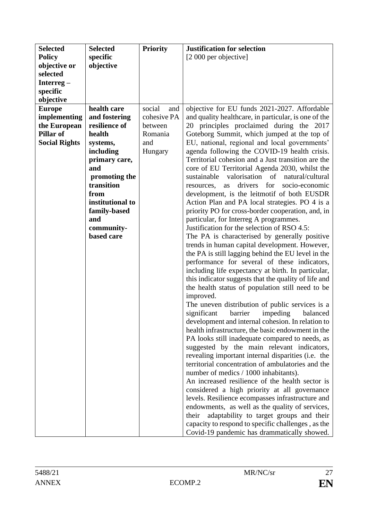| <b>Selected</b>      | <b>Selected</b>          | <b>Priority</b> | <b>Justification for selection</b>                                                             |
|----------------------|--------------------------|-----------------|------------------------------------------------------------------------------------------------|
| <b>Policy</b>        | specific                 |                 | [2 000 per objective]                                                                          |
| objective or         | objective                |                 |                                                                                                |
| selected             |                          |                 |                                                                                                |
| Interreg $-$         |                          |                 |                                                                                                |
| specific             |                          |                 |                                                                                                |
| objective            |                          |                 |                                                                                                |
| <b>Europe</b>        | health care              | social<br>and   | objective for EU funds 2021-2027. Affordable                                                   |
| implementing         | and fostering            | cohesive PA     | and quality healthcare, in particular, is one of the                                           |
| the European         | resilience of            | between         | 20 principles proclaimed during the 2017                                                       |
| Pillar of            | health                   | Romania         | Goteborg Summit, which jumped at the top of                                                    |
| <b>Social Rights</b> | systems,                 | and             | EU, national, regional and local governments'                                                  |
|                      | including                | Hungary         | agenda following the COVID-19 health crisis.                                                   |
|                      | primary care,            |                 | Territorial cohesion and a Just transition are the                                             |
|                      | and                      |                 | core of EU Territorial Agenda 2030, whilst the                                                 |
|                      | promoting the            |                 | valorisation<br>of<br>natural/cultural<br>sustainable                                          |
|                      | transition               |                 | drivers for<br>socio-economic<br>resources,<br>as                                              |
|                      | from                     |                 | development, is the leitmotif of both EUSDR                                                    |
|                      | institutional to         |                 | Action Plan and PA local strategies. PO 4 is a                                                 |
|                      | family-based             |                 | priority PO for cross-border cooperation, and, in                                              |
|                      | and                      |                 | particular, for Interreg A programmes.<br>Justification for the selection of RSO 4.5:          |
|                      | community-<br>based care |                 |                                                                                                |
|                      |                          |                 | The PA is characterised by generally positive<br>trends in human capital development. However, |
|                      |                          |                 | the PA is still lagging behind the EU level in the                                             |
|                      |                          |                 | performance for several of these indicators,                                                   |
|                      |                          |                 | including life expectancy at birth. In particular,                                             |
|                      |                          |                 | this indicator suggests that the quality of life and                                           |
|                      |                          |                 | the health status of population still need to be                                               |
|                      |                          |                 | improved.                                                                                      |
|                      |                          |                 | The uneven distribution of public services is a                                                |
|                      |                          |                 | significant<br>barrier<br>impeding<br>balanced                                                 |
|                      |                          |                 | development and internal cohesion. In relation to                                              |
|                      |                          |                 | health infrastructure, the basic endowment in the                                              |
|                      |                          |                 | PA looks still inadequate compared to needs, as                                                |
|                      |                          |                 | suggested by the main relevant indicators,                                                     |
|                      |                          |                 | revealing important internal disparities (i.e. the                                             |
|                      |                          |                 | territorial concentration of ambulatories and the                                              |
|                      |                          |                 | number of medics / 1000 inhabitants).                                                          |
|                      |                          |                 | An increased resilience of the health sector is                                                |
|                      |                          |                 | considered a high priority at all governance                                                   |
|                      |                          |                 | levels. Resilience ecompasses infrastructure and                                               |
|                      |                          |                 | endowments, as well as the quality of services,                                                |
|                      |                          |                 | adaptability to target groups and their<br>their                                               |
|                      |                          |                 | capacity to respond to specific challenges, as the                                             |
|                      |                          |                 | Covid-19 pandemic has drammatically showed.                                                    |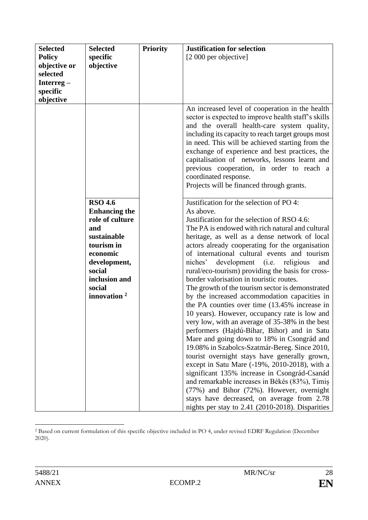| <b>Selected</b> | <b>Selected</b>      | <b>Priority</b> | <b>Justification for selection</b>                                                                                                                                                                                                                              |
|-----------------|----------------------|-----------------|-----------------------------------------------------------------------------------------------------------------------------------------------------------------------------------------------------------------------------------------------------------------|
| <b>Policy</b>   | specific             |                 | [2 000 per objective]                                                                                                                                                                                                                                           |
| objective or    | objective            |                 |                                                                                                                                                                                                                                                                 |
| selected        |                      |                 |                                                                                                                                                                                                                                                                 |
| Interreg $-$    |                      |                 |                                                                                                                                                                                                                                                                 |
| specific        |                      |                 |                                                                                                                                                                                                                                                                 |
| objective       |                      |                 |                                                                                                                                                                                                                                                                 |
|                 |                      |                 | An increased level of cooperation in the health<br>sector is expected to improve health staff's skills<br>and the overall health-care system quality,<br>including its capacity to reach target groups most<br>in need. This will be achieved starting from the |
|                 |                      |                 | exchange of experience and best practices, the<br>capitalisation of networks, lessons learnt and<br>previous cooperation, in order to reach a<br>coordinated response.<br>Projects will be financed through grants.                                             |
|                 | <b>RSO 4.6</b>       |                 | Justification for the selection of PO 4:                                                                                                                                                                                                                        |
|                 | <b>Enhancing the</b> |                 | As above.                                                                                                                                                                                                                                                       |
|                 | role of culture      |                 | Justification for the selection of RSO 4.6:                                                                                                                                                                                                                     |
|                 | and                  |                 | The PA is endowed with rich natural and cultural                                                                                                                                                                                                                |
|                 | sustainable          |                 | heritage, as well as a dense network of local                                                                                                                                                                                                                   |
|                 | tourism in           |                 | actors already cooperating for the organisation                                                                                                                                                                                                                 |
|                 | economic             |                 | of international cultural events and tourism                                                                                                                                                                                                                    |
|                 | development,         |                 | development (i.e. religious<br>niches'<br>and                                                                                                                                                                                                                   |
|                 | social               |                 | rural/eco-tourism) providing the basis for cross-                                                                                                                                                                                                               |
|                 | inclusion and        |                 | border valorisation in touristic routes.                                                                                                                                                                                                                        |
|                 | social               |                 | The growth of the tourism sector is demonstrated                                                                                                                                                                                                                |
|                 | innovation $2$       |                 | by the increased accommodation capacities in                                                                                                                                                                                                                    |
|                 |                      |                 | the PA counties over time (13.45% increase in                                                                                                                                                                                                                   |
|                 |                      |                 | 10 years). However, occupancy rate is low and                                                                                                                                                                                                                   |
|                 |                      |                 | very low, with an average of 35-38% in the best                                                                                                                                                                                                                 |
|                 |                      |                 | performers (Hajdú-Bihar, Bihor) and in Satu                                                                                                                                                                                                                     |
|                 |                      |                 | Mare and going down to 18% in Csongrád and                                                                                                                                                                                                                      |
|                 |                      |                 | 19.08% in Szabolcs-Szatmár-Bereg. Since 2010,                                                                                                                                                                                                                   |
|                 |                      |                 | tourist overnight stays have generally grown,                                                                                                                                                                                                                   |
|                 |                      |                 | except in Satu Mare (-19%, 2010-2018), with a                                                                                                                                                                                                                   |
|                 |                      |                 | significant 135% increase in Csongrád-Csanád                                                                                                                                                                                                                    |
|                 |                      |                 | and remarkable increases in Békés (83%), Timis                                                                                                                                                                                                                  |
|                 |                      |                 | (77%) and Bihor (72%). However, overnight                                                                                                                                                                                                                       |
|                 |                      |                 | stays have decreased, on average from 2.78                                                                                                                                                                                                                      |
|                 |                      |                 | nights per stay to 2.41 (2010-2018). Disparities                                                                                                                                                                                                                |

<sup>2</sup> Based on current formulation of this specific objective included in PO 4, under revised EDRF Regulation (December 2020).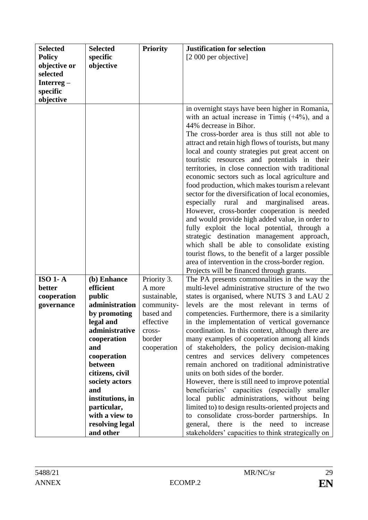| <b>Selected</b> | <b>Selected</b>  | <b>Priority</b> | <b>Justification for selection</b>                                                                                                                                                                                                                                                                                                                                                                                                                                                                                                                                                                                                                                                                                                                                                                                                                                                                                                                                      |
|-----------------|------------------|-----------------|-------------------------------------------------------------------------------------------------------------------------------------------------------------------------------------------------------------------------------------------------------------------------------------------------------------------------------------------------------------------------------------------------------------------------------------------------------------------------------------------------------------------------------------------------------------------------------------------------------------------------------------------------------------------------------------------------------------------------------------------------------------------------------------------------------------------------------------------------------------------------------------------------------------------------------------------------------------------------|
| <b>Policy</b>   | specific         |                 | [2 000 per objective]                                                                                                                                                                                                                                                                                                                                                                                                                                                                                                                                                                                                                                                                                                                                                                                                                                                                                                                                                   |
| objective or    | objective        |                 |                                                                                                                                                                                                                                                                                                                                                                                                                                                                                                                                                                                                                                                                                                                                                                                                                                                                                                                                                                         |
| selected        |                  |                 |                                                                                                                                                                                                                                                                                                                                                                                                                                                                                                                                                                                                                                                                                                                                                                                                                                                                                                                                                                         |
| Interreg-       |                  |                 |                                                                                                                                                                                                                                                                                                                                                                                                                                                                                                                                                                                                                                                                                                                                                                                                                                                                                                                                                                         |
| specific        |                  |                 |                                                                                                                                                                                                                                                                                                                                                                                                                                                                                                                                                                                                                                                                                                                                                                                                                                                                                                                                                                         |
| objective       |                  |                 |                                                                                                                                                                                                                                                                                                                                                                                                                                                                                                                                                                                                                                                                                                                                                                                                                                                                                                                                                                         |
|                 |                  |                 | in overnight stays have been higher in Romania,<br>with an actual increase in Timis $(+4%)$ , and a<br>44% decrease in Bihor.<br>The cross-border area is thus still not able to<br>attract and retain high flows of tourists, but many<br>local and county strategies put great accent on<br>touristic resources and potentials in their<br>territories, in close connection with traditional<br>economic sectors such as local agriculture and<br>food production, which makes tourism a relevant<br>sector for the diversification of local economies,<br>especially rural<br>and<br>marginalised<br>areas.<br>However, cross-border cooperation is needed<br>and would provide high added value, in order to<br>fully exploit the local potential, through a<br>strategic destination management approach,<br>which shall be able to consolidate existing<br>tourist flows, to the benefit of a larger possible<br>area of intervention in the cross-border region. |
|                 |                  |                 | Projects will be financed through grants.                                                                                                                                                                                                                                                                                                                                                                                                                                                                                                                                                                                                                                                                                                                                                                                                                                                                                                                               |
| $ISO 1-A$       | (b) Enhance      | Priority 3.     | The PA presents commonalities in the way the                                                                                                                                                                                                                                                                                                                                                                                                                                                                                                                                                                                                                                                                                                                                                                                                                                                                                                                            |
| better          | efficient        | A more          | multi-level administrative structure of the two                                                                                                                                                                                                                                                                                                                                                                                                                                                                                                                                                                                                                                                                                                                                                                                                                                                                                                                         |
| cooperation     | public           | sustainable,    | states is organised, where NUTS 3 and LAU 2                                                                                                                                                                                                                                                                                                                                                                                                                                                                                                                                                                                                                                                                                                                                                                                                                                                                                                                             |
| governance      | administration   | community-      | levels are the most relevant in terms of                                                                                                                                                                                                                                                                                                                                                                                                                                                                                                                                                                                                                                                                                                                                                                                                                                                                                                                                |
|                 | by promoting     | based and       | competencies. Furthermore, there is a similarity                                                                                                                                                                                                                                                                                                                                                                                                                                                                                                                                                                                                                                                                                                                                                                                                                                                                                                                        |
|                 | legal and        | effective       | in the implementation of vertical governance                                                                                                                                                                                                                                                                                                                                                                                                                                                                                                                                                                                                                                                                                                                                                                                                                                                                                                                            |
|                 | administrative   | cross-          | coordination. In this context, although there are                                                                                                                                                                                                                                                                                                                                                                                                                                                                                                                                                                                                                                                                                                                                                                                                                                                                                                                       |
|                 | cooperation      | border          | many examples of cooperation among all kinds                                                                                                                                                                                                                                                                                                                                                                                                                                                                                                                                                                                                                                                                                                                                                                                                                                                                                                                            |
|                 | and              | cooperation     | of stakeholders, the policy decision-making                                                                                                                                                                                                                                                                                                                                                                                                                                                                                                                                                                                                                                                                                                                                                                                                                                                                                                                             |
|                 | cooperation      |                 | centres and services delivery competences                                                                                                                                                                                                                                                                                                                                                                                                                                                                                                                                                                                                                                                                                                                                                                                                                                                                                                                               |
|                 | between          |                 | remain anchored on traditional administrative                                                                                                                                                                                                                                                                                                                                                                                                                                                                                                                                                                                                                                                                                                                                                                                                                                                                                                                           |
|                 | citizens, civil  |                 | units on both sides of the border.                                                                                                                                                                                                                                                                                                                                                                                                                                                                                                                                                                                                                                                                                                                                                                                                                                                                                                                                      |
|                 | society actors   |                 | However, there is still need to improve potential                                                                                                                                                                                                                                                                                                                                                                                                                                                                                                                                                                                                                                                                                                                                                                                                                                                                                                                       |
|                 | and              |                 | beneficiaries' capacities (especially smaller                                                                                                                                                                                                                                                                                                                                                                                                                                                                                                                                                                                                                                                                                                                                                                                                                                                                                                                           |
|                 | institutions, in |                 | local public administrations, without being                                                                                                                                                                                                                                                                                                                                                                                                                                                                                                                                                                                                                                                                                                                                                                                                                                                                                                                             |
|                 | particular,      |                 | limited to) to design results-oriented projects and                                                                                                                                                                                                                                                                                                                                                                                                                                                                                                                                                                                                                                                                                                                                                                                                                                                                                                                     |
|                 | with a view to   |                 | to consolidate cross-border partnerships. In                                                                                                                                                                                                                                                                                                                                                                                                                                                                                                                                                                                                                                                                                                                                                                                                                                                                                                                            |
|                 | resolving legal  |                 | there<br>is the<br>need to increase<br>general,                                                                                                                                                                                                                                                                                                                                                                                                                                                                                                                                                                                                                                                                                                                                                                                                                                                                                                                         |
|                 | and other        |                 | stakeholders' capacities to think strategically on                                                                                                                                                                                                                                                                                                                                                                                                                                                                                                                                                                                                                                                                                                                                                                                                                                                                                                                      |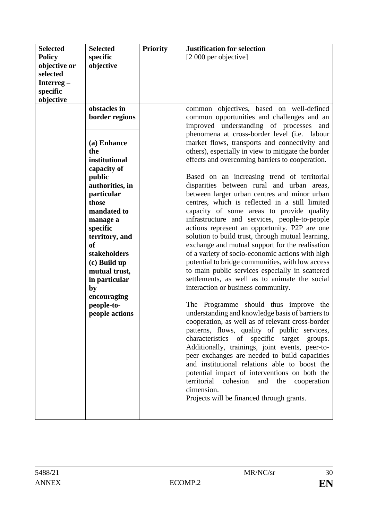| <b>Selected</b> | <b>Selected</b> | <b>Priority</b> | <b>Justification for selection</b>                                                               |
|-----------------|-----------------|-----------------|--------------------------------------------------------------------------------------------------|
| <b>Policy</b>   | specific        |                 | [2 000 per objective]                                                                            |
| objective or    | objective       |                 |                                                                                                  |
| selected        |                 |                 |                                                                                                  |
| Interreg $-$    |                 |                 |                                                                                                  |
| specific        |                 |                 |                                                                                                  |
| objective       |                 |                 |                                                                                                  |
|                 | obstacles in    |                 | common objectives, based on well-defined                                                         |
|                 | border regions  |                 | common opportunities and challenges and an                                                       |
|                 |                 |                 | improved understanding of processes and                                                          |
|                 |                 |                 | phenomena at cross-border level (i.e. labour                                                     |
|                 | (a) Enhance     |                 | market flows, transports and connectivity and                                                    |
|                 | the             |                 | others), especially in view to mitigate the border                                               |
|                 | institutional   |                 | effects and overcoming barriers to cooperation.                                                  |
|                 | capacity of     |                 |                                                                                                  |
|                 | public          |                 | Based on an increasing trend of territorial                                                      |
|                 | authorities, in |                 | disparities between rural and urban areas,                                                       |
|                 | particular      |                 | between larger urban centres and minor urban                                                     |
|                 | those           |                 | centres, which is reflected in a still limited                                                   |
|                 | mandated to     |                 | capacity of some areas to provide quality                                                        |
|                 | manage a        |                 | infrastructure and services, people-to-people                                                    |
|                 | specific        |                 | actions represent an opportunity. P2P are one                                                    |
|                 | territory, and  |                 | solution to build trust, through mutual learning,                                                |
|                 | <b>of</b>       |                 | exchange and mutual support for the realisation                                                  |
|                 | stakeholders    |                 | of a variety of socio-economic actions with high                                                 |
|                 | (c) Build up    |                 | potential to bridge communities, with low access                                                 |
|                 | mutual trust,   |                 | to main public services especially in scattered                                                  |
|                 | in particular   |                 | settlements, as well as to animate the social                                                    |
|                 | by              |                 | interaction or business community.                                                               |
|                 | encouraging     |                 |                                                                                                  |
|                 | people-to-      |                 | The Programme should thus improve the<br>understanding and knowledge basis of barriers to        |
|                 | people actions  |                 |                                                                                                  |
|                 |                 |                 | cooperation, as well as of relevant cross-border<br>patterns, flows, quality of public services, |
|                 |                 |                 | characteristics of specific target groups.                                                       |
|                 |                 |                 | Additionally, trainings, joint events, peer-to-                                                  |
|                 |                 |                 | peer exchanges are needed to build capacities                                                    |
|                 |                 |                 | and institutional relations able to boost the                                                    |
|                 |                 |                 | potential impact of interventions on both the                                                    |
|                 |                 |                 | territorial<br>cohesion<br>and<br>the<br>cooperation                                             |
|                 |                 |                 | dimension.                                                                                       |
|                 |                 |                 | Projects will be financed through grants.                                                        |
|                 |                 |                 |                                                                                                  |
|                 |                 |                 |                                                                                                  |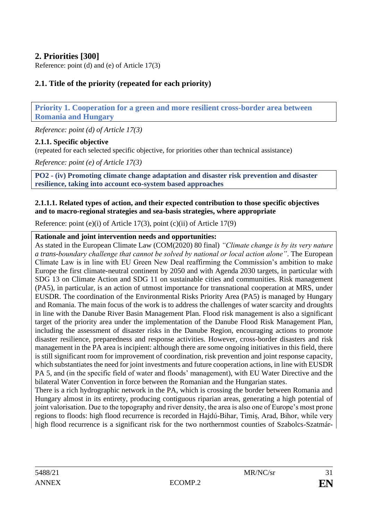# <span id="page-30-0"></span>**2. Priorities [300]**

Reference: point (d) and (e) of Article 17(3)

# <span id="page-30-1"></span>**2.1. Title of the priority (repeated for each priority)**

<span id="page-30-2"></span>**Priority 1. Cooperation for a green and more resilient cross-border area between Romania and Hungary**

*Reference: point (d) of Article 17(3)*

### <span id="page-30-3"></span>**2.1.1. Specific objective**

(repeated for each selected specific objective, for priorities other than technical assistance)

*Reference: point (e) of Article 17(3)*

<span id="page-30-4"></span>**PO2 - (iv) Promoting climate change adaptation and disaster risk prevention and disaster resilience, taking into account eco-system based approaches**

#### <span id="page-30-5"></span>**2.1.1.1. Related types of action, and their expected contribution to those specific objectives and to macro-regional strategies and sea-basis strategies, where appropriate**

Reference: point (e)(i) of Article 17(3), point (c)(ii) of Article 17(9)

#### **Rationale and joint intervention needs and opportunities:**

As stated in the European Climate Law (COM(2020) 80 final) *"Climate change is by its very nature a trans-boundary challenge that cannot be solved by national or local action alone"*. The European Climate Law is in line with EU Green New Deal reaffirming the Commission's ambition to make Europe the first climate-neutral continent by 2050 and with Agenda 2030 targets, in particular with SDG 13 on Climate Action and SDG 11 on sustainable cities and communities. Risk management (PA5), in particular, is an action of utmost importance for transnational cooperation at MRS, under EUSDR. The coordination of the Environmental Risks Priority Area (PA5) is managed by Hungary and Romania. The main focus of the work is to address the challenges of water scarcity and droughts in line with the Danube River Basin Management Plan. Flood risk management is also a significant target of the priority area under the implementation of the Danube Flood Risk Management Plan, including the assessment of disaster risks in the Danube Region, encouraging actions to promote disaster resilience, preparedness and response activities. However, cross-border disasters and risk management in the PA area is incipient: although there are some ongoing initiatives in this field, there is still significant room for improvement of coordination, risk prevention and joint response capacity, which substantiates the need for joint investments and future cooperation actions, in line with EUSDR PA 5, and (in the specific field of water and floods' management), with EU Water Directive and the bilateral Water Convention in force between the Romanian and the Hungarian states.

There is a rich hydrographic network in the PA, which is crossing the border between Romania and Hungary almost in its entirety, producing contiguous riparian areas, generating a high potential of joint valorisation. Due to the topography and river density, the area is also one of Europe's most prone regions to floods: high flood recurrence is recorded in Hajdú-Bihar, Timiș, Arad, Bihor, while very high flood recurrence is a significant risk for the two northernmost counties of Szabolcs-Szatmár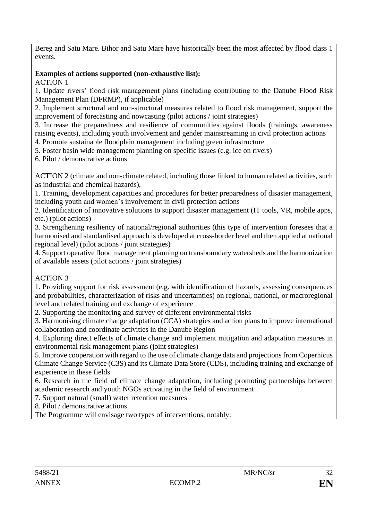Bereg and Satu Mare. Bihor and Satu Mare have historically been the most affected by flood class 1 events.

# **Examples of actions supported (non-exhaustive list):**

ACTION 1

1. Update rivers' flood risk management plans (including contributing to the Danube Flood Risk Management Plan (DFRMP), if applicable)

2. Implement structural and non-structural measures related to flood risk management, support the improvement of forecasting and nowcasting (pilot actions / joint strategies)

3. Increase the preparedness and resilience of communities against floods (trainings, awareness raising events), including youth involvement and gender mainstreaming in civil protection actions

4. Promote sustainable floodplain management including green infrastructure

5. Foster basin wide management planning on specific issues (e.g. ice on rivers)

6. Pilot / demonstrative actions

ACTION 2 (climate and non-climate related, including those linked to human related activities, such as industrial and chemical hazards),

1. Training, development capacities and procedures for better preparedness of disaster management, including youth and women's involvement in civil protection actions

2. Identification of innovative solutions to support disaster management (IT tools, VR, mobile apps, etc.) (pilot actions)

3. Strengthening resiliency of national/regional authorities (this type of intervention foresees that a harmonised and standardised approach is developed at cross-border level and then applied at national regional level) (pilot actions / joint strategies)

4. Support operative flood management planning on transboundary watersheds and the harmonization of available assets (pilot actions / joint strategies)

# ACTION 3

1. Providing support for risk assessment (e.g. with identification of hazards, assessing consequences and probabilities, characterization of risks and uncertainties) on regional, national, or macroregional level and related training and exchange of experience

2. Supporting the monitoring and survey of different environmental risks

3. Harmonising climate change adaptation (CCA) strategies and action plans to improve international collaboration and coordinate activities in the Danube Region

4. Exploring direct effects of climate change and implement mitigation and adaptation measures in environmental risk management plans (joint strategies)

5. Improve cooperation with regard to the use of climate change data and projections from Copernicus Climate Change Service (C3S) and its Climate Data Store (CDS), including training and exchange of experience in these fields

6. Research in the field of climate change adaptation, including promoting partnerships between academic research and youth NGOs activating in the field of environment

7. Support natural (small) water retention measures

8. Pilot / demonstrative actions.

The Programme will envisage two types of interventions, notably: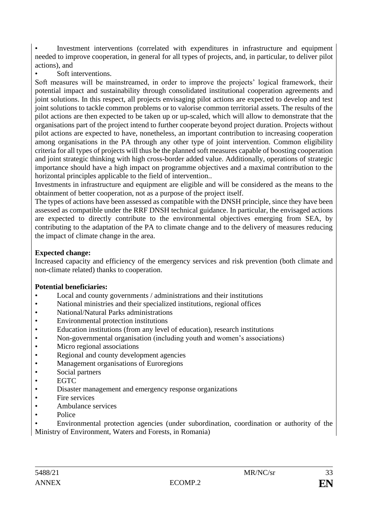• Investment interventions (correlated with expenditures in infrastructure and equipment needed to improve cooperation, in general for all types of projects, and, in particular, to deliver pilot actions), and

Soft interventions.

Soft measures will be mainstreamed, in order to improve the projects' logical framework, their potential impact and sustainability through consolidated institutional cooperation agreements and joint solutions. In this respect, all projects envisaging pilot actions are expected to develop and test joint solutions to tackle common problems or to valorise common territorial assets. The results of the pilot actions are then expected to be taken up or up-scaled, which will allow to demonstrate that the organisations part of the project intend to further cooperate beyond project duration. Projects without pilot actions are expected to have, nonetheless, an important contribution to increasing cooperation among organisations in the PA through any other type of joint intervention. Common eligibility criteria for all types of projects will thus be the planned soft measures capable of boosting cooperation and joint strategic thinking with high cross-border added value. Additionally, operations of strategic importance should have a high impact on programme objectives and a maximal contribution to the horizontal principles applicable to the field of intervention..

Investments in infrastructure and equipment are eligible and will be considered as the means to the obtainment of better cooperation, not as a purpose of the project itself.

The types of actions have been assessed as compatible with the DNSH principle, since they have been assessed as compatible under the RRF DNSH technical guidance. In particular, the envisaged actions are expected to directly contribute to the environmental objectives emerging from SEA, by contributing to the adaptation of the PA to climate change and to the delivery of measures reducing the impact of climate change in the area.

## **Expected change:**

Increased capacity and efficiency of the emergency services and risk prevention (both climate and non-climate related) thanks to cooperation.

# **Potential beneficiaries:**

- Local and county governments / administrations and their institutions
- National ministries and their specialized institutions, regional offices
- National/Natural Parks administrations
- Environmental protection institutions
- Education institutions (from any level of education), research institutions
- Non-governmental organisation (including youth and women's associations)
- Micro regional associations
- Regional and county development agencies
- Management organisations of Euroregions
- Social partners
- EGTC
- Disaster management and emergency response organizations
- Fire services
- Ambulance services
- Police

• Environmental protection agencies (under subordination, coordination or authority of the Ministry of Environment, Waters and Forests, in Romania)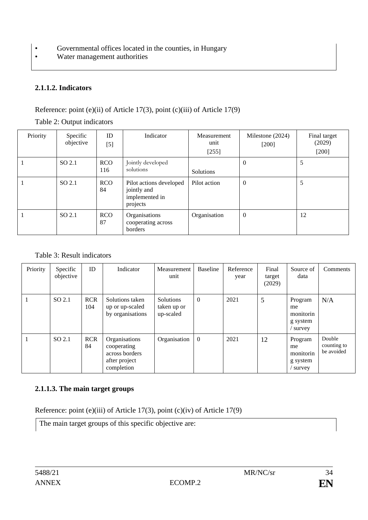- Governmental offices located in the counties, in Hungary
- Water management authorities

# <span id="page-33-0"></span>**2.1.1.2. Indicators**

## Reference: point (e)(ii) of Article 17(3), point (c)(iii) of Article 17(9)

| Priority | Specific<br>objective | ID<br>$[5]$       | Indicator                                                            | Measurement<br>unit<br>[255] | Milestone (2024)<br>$[200]$ | Final target<br>(2029)<br>$[200]$ |
|----------|-----------------------|-------------------|----------------------------------------------------------------------|------------------------------|-----------------------------|-----------------------------------|
|          | SO 2.1                | <b>RCO</b><br>116 | Jointly developed<br>solutions                                       | Solutions                    | $\theta$                    | 5                                 |
|          | SO 2.1                | <b>RCO</b><br>84  | Pilot actions developed<br>jointly and<br>implemented in<br>projects | Pilot action                 | $\theta$                    | 5                                 |
|          | SO 2.1                | <b>RCO</b><br>87  | Organisations<br>cooperating across<br>borders                       | Organisation                 | $\theta$                    | 12                                |

## Table 2: Output indicators

## Table 3: Result indicators

| Priority | Specific<br>objective | ID                | Indicator                                                                     | Measurement<br>unit                   | <b>Baseline</b> | Reference<br>year | Final<br>target<br>(2029) | Source of<br>data                                | Comments                            |
|----------|-----------------------|-------------------|-------------------------------------------------------------------------------|---------------------------------------|-----------------|-------------------|---------------------------|--------------------------------------------------|-------------------------------------|
|          | SO 2.1                | <b>RCR</b><br>104 | Solutions taken<br>up or up-scaled<br>by organisations                        | Solutions<br>taken up or<br>up-scaled | $\theta$        | 2021              | 5                         | Program<br>me<br>monitorin<br>g system<br>survey | N/A                                 |
|          | SO 2.1                | <b>RCR</b><br>84  | Organisations<br>cooperating<br>across borders<br>after project<br>completion | Organisation                          | $\overline{0}$  | 2021              | 12                        | Program<br>me<br>monitorin<br>g system<br>survey | Double<br>counting to<br>be avoided |

# <span id="page-33-1"></span>**2.1.1.3. The main target groups**

Reference: point (e)(iii) of Article 17(3), point (c)(iv) of Article 17(9)

The main target groups of this specific objective are: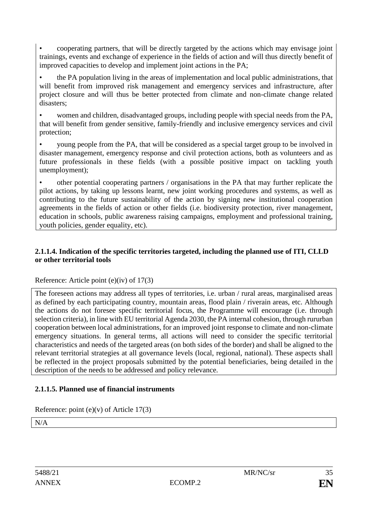• cooperating partners, that will be directly targeted by the actions which may envisage joint trainings, events and exchange of experience in the fields of action and will thus directly benefit of improved capacities to develop and implement joint actions in the PA;

• the PA population living in the areas of implementation and local public administrations, that will benefit from improved risk management and emergency services and infrastructure, after project closure and will thus be better protected from climate and non-climate change related disasters;

• women and children, disadvantaged groups, including people with special needs from the PA, that will benefit from gender sensitive, family-friendly and inclusive emergency services and civil protection;

• young people from the PA, that will be considered as a special target group to be involved in disaster management, emergency response and civil protection actions, both as volunteers and as future professionals in these fields (with a possible positive impact on tackling youth unemployment);

• other potential cooperating partners / organisations in the PA that may further replicate the pilot actions, by taking up lessons learnt, new joint working procedures and systems, as well as contributing to the future sustainability of the action by signing new institutional cooperation agreements in the fields of action or other fields (i.e. biodiversity protection, river management, education in schools, public awareness raising campaigns, employment and professional training, youth policies, gender equality, etc).

## <span id="page-34-0"></span>**2.1.1.4. Indication of the specific territories targeted, including the planned use of ITI, CLLD or other territorial tools**

### Reference: Article point (e)(iv) of 17(3)

The foreseen actions may address all types of territories, i.e. urban / rural areas, marginalised areas as defined by each participating country, mountain areas, flood plain / riverain areas, etc. Although the actions do not foresee specific territorial focus, the Programme will encourage (i.e. through selection criteria), in line with EU territorial Agenda 2030, the PA internal cohesion, through rururban cooperation between local administrations, for an improved joint response to climate and non-climate emergency situations. In general terms, all actions will need to consider the specific territorial characteristics and needs of the targeted areas (on both sides of the border) and shall be aligned to the relevant territorial strategies at all governance levels (local, regional, national). These aspects shall be reflected in the project proposals submitted by the potential beneficiaries, being detailed in the description of the needs to be addressed and policy relevance.

# <span id="page-34-1"></span>**2.1.1.5. Planned use of financial instruments**

Reference: point (e)(v) of Article 17(3)

N/A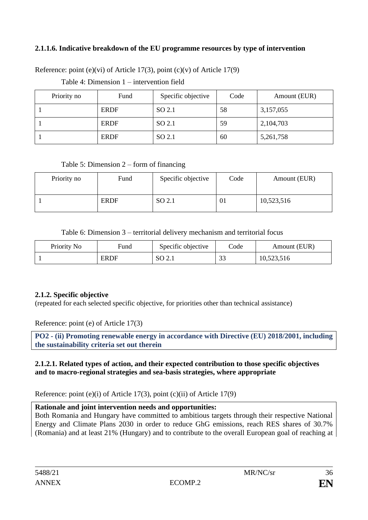## <span id="page-35-0"></span>**2.1.1.6. Indicative breakdown of the EU programme resources by type of intervention**

Reference: point (e)(vi) of Article 17(3), point (c)(v) of Article 17(9)

Table 4: Dimension 1 – intervention field

| Priority no | Fund        | Specific objective | Code | Amount (EUR) |
|-------------|-------------|--------------------|------|--------------|
|             | <b>ERDF</b> | SO 2.1             | 58   | 3,157,055    |
|             | <b>ERDF</b> | SO 2.1             | 59   | 2,104,703    |
|             | <b>ERDF</b> | SO 2.1             | 60   | 5,261,758    |

#### Table 5: Dimension 2 – form of financing

| Priority no | Fund        | Specific objective | Code | Amount (EUR) |
|-------------|-------------|--------------------|------|--------------|
|             | <b>ERDF</b> | SO 2.1             | 01   | 10,523,516   |

Table 6: Dimension 3 – territorial delivery mechanism and territorial focus

| Priority No | Fund        | Specific objective | Code             | Amount (EUR) |
|-------------|-------------|--------------------|------------------|--------------|
|             | <b>ERDF</b> | SO 2.1             | $\Omega$<br>- 32 | 10,523,516   |

### <span id="page-35-1"></span>**2.1.2. Specific objective**

(repeated for each selected specific objective, for priorities other than technical assistance)

Reference: point (e) of Article 17(3)

<span id="page-35-2"></span>**PO2 - (ii) Promoting renewable energy in accordance with Directive (EU) 2018/2001, including the sustainability criteria set out therein**

#### <span id="page-35-3"></span>**2.1.2.1. Related types of action, and their expected contribution to those specific objectives and to macro-regional strategies and sea-basis strategies, where appropriate**

Reference: point (e)(i) of Article 17(3), point (c)(ii) of Article 17(9)

### **Rationale and joint intervention needs and opportunities:**

Both Romania and Hungary have committed to ambitious targets through their respective National Energy and Climate Plans 2030 in order to reduce GhG emissions, reach RES shares of 30.7% (Romania) and at least 21% (Hungary) and to contribute to the overall European goal of reaching at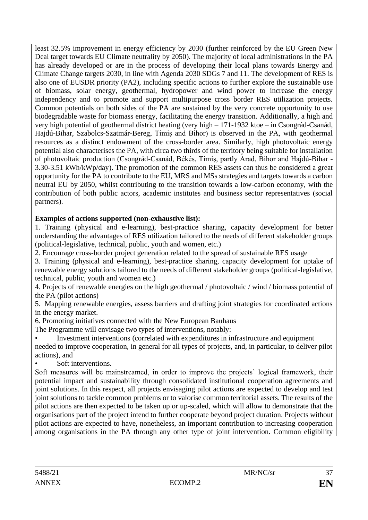least 32.5% improvement in energy efficiency by 2030 (further reinforced by the EU Green New Deal target towards EU Climate neutrality by 2050). The majority of local administrations in the PA has already developed or are in the process of developing their local plans towards Energy and Climate Change targets 2030, in line with Agenda 2030 SDGs 7 and 11. The development of RES is also one of EUSDR priority (PA2), including specific actions to further explore the sustainable use of biomass, solar energy, geothermal, hydropower and wind power to increase the energy independency and to promote and support multipurpose cross border RES utilization projects. Common potentials on both sides of the PA are sustained by the very concrete opportunity to use biodegradable waste for biomass energy, facilitating the energy transition. Additionally, a high and very high potential of geothermal district heating (very high – 171-1932 ktoe – in Csongrád-Csanád, Hajdú-Bihar, Szabolcs-Szatmár-Bereg, Timiș and Bihor) is observed in the PA, with geothermal resources as a distinct endowment of the cross-border area. Similarly, high photovoltaic energy potential also characterises the PA, with circa two thirds of the territory being suitable for installation of photovoltaic production (Csongrád-Csanád, Békés, Timiș, partly Arad, Bihor and Hajdú-Bihar - 3.30-3.51 kWh/kWp/day). The promotion of the common RES assets can thus be considered a great opportunity for the PA to contribute to the EU, MRS and MSs strategies and targets towards a carbon neutral EU by 2050, whilst contributing to the transition towards a low-carbon economy, with the contribution of both public actors, academic institutes and business sector representatives (social partners).

# **Examples of actions supported (non-exhaustive list):**

1. Training (physical and e-learning), best-practice sharing, capacity development for better understanding the advantages of RES utilization tailored to the needs of different stakeholder groups (political-legislative, technical, public, youth and women, etc.)

2. Encourage cross-border project generation related to the spread of sustainable RES usage

3. Training (physical and e-learning), best-practice sharing, capacity development for uptake of renewable energy solutions tailored to the needs of different stakeholder groups (political-legislative, technical, public, youth and women etc.)

4. Projects of renewable energies on the high geothermal / photovoltaic / wind / biomass potential of the PA (pilot actions)

5. Mapping renewable energies, assess barriers and drafting joint strategies for coordinated actions in the energy market.

6. Promoting initiatives connected with the New European Bauhaus

The Programme will envisage two types of interventions, notably:

- Investment interventions (correlated with expenditures in infrastructure and equipment needed to improve cooperation, in general for all types of projects, and, in particular, to deliver pilot actions), and
- Soft interventions.

Soft measures will be mainstreamed, in order to improve the projects' logical framework, their potential impact and sustainability through consolidated institutional cooperation agreements and joint solutions. In this respect, all projects envisaging pilot actions are expected to develop and test joint solutions to tackle common problems or to valorise common territorial assets. The results of the pilot actions are then expected to be taken up or up-scaled, which will allow to demonstrate that the organisations part of the project intend to further cooperate beyond project duration. Projects without pilot actions are expected to have, nonetheless, an important contribution to increasing cooperation among organisations in the PA through any other type of joint intervention. Common eligibility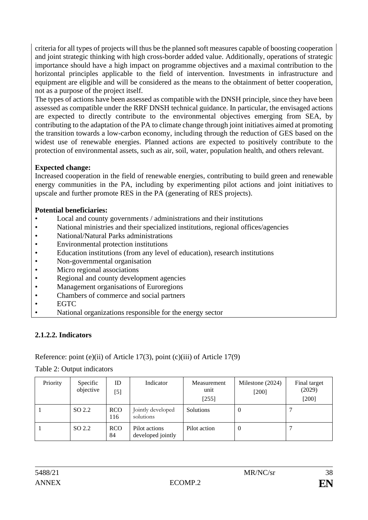criteria for all types of projects will thus be the planned soft measures capable of boosting cooperation and joint strategic thinking with high cross-border added value. Additionally, operations of strategic importance should have a high impact on programme objectives and a maximal contribution to the horizontal principles applicable to the field of intervention. Investments in infrastructure and equipment are eligible and will be considered as the means to the obtainment of better cooperation, not as a purpose of the project itself.

The types of actions have been assessed as compatible with the DNSH principle, since they have been assessed as compatible under the RRF DNSH technical guidance. In particular, the envisaged actions are expected to directly contribute to the environmental objectives emerging from SEA, by contributing to the adaptation of the PA to climate change through joint initiatives aimed at promoting the transition towards a low-carbon economy, including through the reduction of GES based on the widest use of renewable energies. Planned actions are expected to positively contribute to the protection of environmental assets, such as air, soil, water, population health, and others relevant.

## **Expected change:**

Increased cooperation in the field of renewable energies, contributing to build green and renewable energy communities in the PA, including by experimenting pilot actions and joint initiatives to upscale and further promote RES in the PA (generating of RES projects).

## **Potential beneficiaries:**

- Local and county governments / administrations and their institutions
- National ministries and their specialized institutions, regional offices/agencies
- National/Natural Parks administrations
- Environmental protection institutions
- Education institutions (from any level of education), research institutions
- Non-governmental organisation
- Micro regional associations
- Regional and county development agencies
- Management organisations of Euroregions
- Chambers of commerce and social partners
- EGTC
- National organizations responsible for the energy sector

# **2.1.2.2. Indicators**

# Reference: point (e)(ii) of Article 17(3), point (c)(iii) of Article 17(9)

Table 2: Output indicators

| Priority | Specific<br>objective | ID<br>$[5]$       | Indicator                          | Measurement<br>unit<br>$[255]$ | Milestone (2024)<br>$[200]$ | Final target<br>(2029)<br>$[200]$ |
|----------|-----------------------|-------------------|------------------------------------|--------------------------------|-----------------------------|-----------------------------------|
|          | SO 2.2                | <b>RCO</b><br>116 | Jointly developed<br>solutions     | Solutions                      | 0                           |                                   |
|          | SO 2.2                | <b>RCO</b><br>84  | Pilot actions<br>developed jointly | Pilot action                   | 0                           |                                   |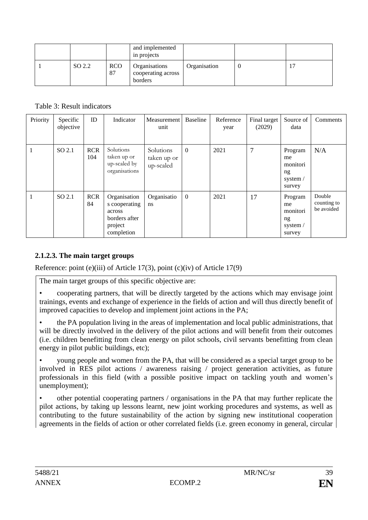|        |                  | and implemented<br>in projects                 |              |  |
|--------|------------------|------------------------------------------------|--------------|--|
| SO 2.2 | <b>RCO</b><br>87 | Organisations<br>cooperating across<br>borders | Organisation |  |

Table 3: Result indicators

| Priority | Specific<br>objective | ID                | Indicator                                                                         | Measurement<br>unit                   | Baseline         | Reference<br>year | Final target<br>(2029) | Source of<br>data                                     | Comments                            |
|----------|-----------------------|-------------------|-----------------------------------------------------------------------------------|---------------------------------------|------------------|-------------------|------------------------|-------------------------------------------------------|-------------------------------------|
|          | SO 2.1                | <b>RCR</b><br>104 | Solutions<br>taken up or<br>up-scaled by<br>organisations                         | Solutions<br>taken up or<br>up-scaled | $\boldsymbol{0}$ | 2021              | 7                      | Program<br>me<br>monitori<br>ng<br>system /<br>survey | N/A                                 |
|          | SO 2.1                | <b>RCR</b><br>84  | Organisation<br>s cooperating<br>across<br>borders after<br>project<br>completion | Organisatio<br>ns.                    | $\boldsymbol{0}$ | 2021              | 17                     | Program<br>me<br>monitori<br>ng<br>system /<br>survey | Double<br>counting to<br>be avoided |

# **2.1.2.3. The main target groups**

Reference: point (e)(iii) of Article 17(3), point (c)(iv) of Article 17(9)

The main target groups of this specific objective are:

• cooperating partners, that will be directly targeted by the actions which may envisage joint trainings, events and exchange of experience in the fields of action and will thus directly benefit of improved capacities to develop and implement joint actions in the PA;

• the PA population living in the areas of implementation and local public administrations, that will be directly involved in the delivery of the pilot actions and will benefit from their outcomes (i.e. children benefitting from clean energy on pilot schools, civil servants benefitting from clean energy in pilot public buildings, etc);

• young people and women from the PA, that will be considered as a special target group to be involved in RES pilot actions / awareness raising / project generation activities, as future professionals in this field (with a possible positive impact on tackling youth and women's unemployment);

• other potential cooperating partners / organisations in the PA that may further replicate the pilot actions, by taking up lessons learnt, new joint working procedures and systems, as well as contributing to the future sustainability of the action by signing new institutional cooperation agreements in the fields of action or other correlated fields (i.e. green economy in general, circular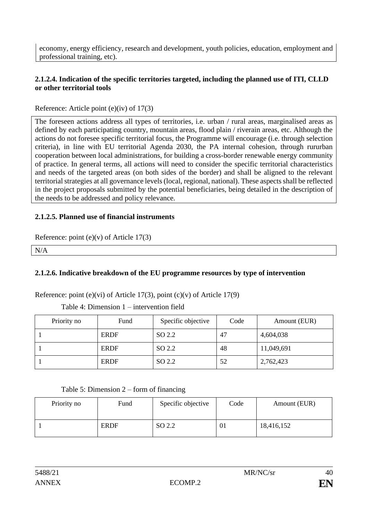economy, energy efficiency, research and development, youth policies, education, employment and professional training, etc).

## **2.1.2.4. Indication of the specific territories targeted, including the planned use of ITI, CLLD or other territorial tools**

### Reference: Article point (e)(iv) of 17(3)

The foreseen actions address all types of territories, i.e. urban / rural areas, marginalised areas as defined by each participating country, mountain areas, flood plain / riverain areas, etc. Although the actions do not foresee specific territorial focus, the Programme will encourage (i.e. through selection criteria), in line with EU territorial Agenda 2030, the PA internal cohesion, through rururban cooperation between local administrations, for building a cross-border renewable energy community of practice. In general terms, all actions will need to consider the specific territorial characteristics and needs of the targeted areas (on both sides of the border) and shall be aligned to the relevant territorial strategies at all governance levels (local, regional, national). These aspects shall be reflected in the project proposals submitted by the potential beneficiaries, being detailed in the description of the needs to be addressed and policy relevance.

### **2.1.2.5. Planned use of financial instruments**

Reference: point (e)(v) of Article 17(3)

N/A

# **2.1.2.6. Indicative breakdown of the EU programme resources by type of intervention**

Reference: point (e)(vi) of Article 17(3), point (c)(v) of Article 17(9)

Table 4: Dimension 1 – intervention field

| Priority no | Fund        | Specific objective | Code | Amount (EUR) |
|-------------|-------------|--------------------|------|--------------|
|             | <b>ERDF</b> | SO 2.2             | 47   | 4,604,038    |
|             | <b>ERDF</b> | SO 2.2             | 48   | 11,049,691   |
|             | <b>ERDF</b> | SO 2.2             | 52   | 2,762,423    |

Table 5: Dimension 2 – form of financing

| Priority no | Fund        | Specific objective | Code | Amount (EUR) |
|-------------|-------------|--------------------|------|--------------|
|             | <b>ERDF</b> | SO 2.2             | ΟI   | 18,416,152   |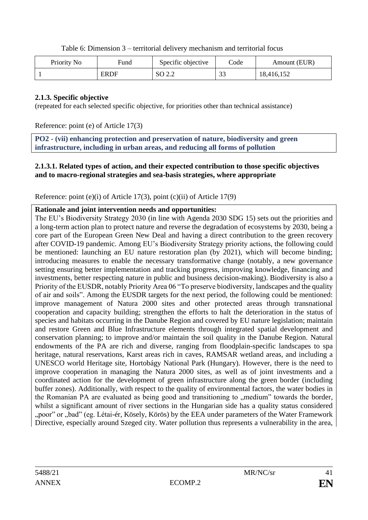Table 6: Dimension 3 – territorial delivery mechanism and territorial focus

| Priority No | Fund        | Specific objective | Code          | Amount (EUR) |
|-------------|-------------|--------------------|---------------|--------------|
|             | <b>ERDF</b> | SO 2.2             | $\sim$<br>ر ر | 18,416,152   |

### **2.1.3. Specific objective**

(repeated for each selected specific objective, for priorities other than technical assistance)

Reference: point (e) of Article 17(3)

**PO2 - (vii) enhancing protection and preservation of nature, biodiversity and green infrastructure, including in urban areas, and reducing all forms of pollution**

### **2.1.3.1. Related types of action, and their expected contribution to those specific objectives and to macro-regional strategies and sea-basis strategies, where appropriate**

Reference: point (e)(i) of Article 17(3), point (c)(ii) of Article 17(9)

### **Rationale and joint intervention needs and opportunities:**

The EU's Biodiversity Strategy 2030 (in line with Agenda 2030 SDG 15) sets out the priorities and a long-term action plan to protect nature and reverse the degradation of ecosystems by 2030, being a core part of the European Green New Deal and having a direct contribution to the green recovery after COVID-19 pandemic. Among EU's Biodiversity Strategy priority actions, the following could be mentioned: launching an EU nature restoration plan (by 2021), which will become binding; introducing measures to enable the necessary transformative change (notably, a new governance setting ensuring better implementation and tracking progress, improving knowledge, financing and investments, better respecting nature in public and business decision-making). Biodiversity is also a Priority of the EUSDR, notably Priority Area 06 "To preserve biodiversity, landscapes and the quality of air and soils". Among the EUSDR targets for the next period, the following could be mentioned: improve management of Natura 2000 sites and other protected areas through transnational cooperation and capacity building; strengthen the efforts to halt the deterioration in the status of species and habitats occurring in the Danube Region and covered by EU nature legislation; maintain and restore Green and Blue Infrastructure elements through integrated spatial development and conservation planning; to improve and/or maintain the soil quality in the Danube Region. Natural endowments of the PA are rich and diverse, ranging from floodplain-specific landscapes to spa heritage, natural reservations, Karst areas rich in caves, RAMSAR wetland areas, and including a UNESCO world Heritage site, Hortobágy National Park (Hungary). However, there is the need to improve cooperation in managing the Natura 2000 sites, as well as of joint investments and a coordinated action for the development of green infrastructure along the green border (including buffer zones). Additionally, with respect to the quality of environmental factors, the water bodies in the Romanian PA are evaluated as being good and transitioning to "medium" towards the border, whilst a significant amount of river sections in the Hungarian side has a quality status considered "poor" or "bad" (eg. Létai-ér, Kösely, Körös) by the EEA under parameters of the Water Framework Directive, especially around Szeged city. Water pollution thus represents a vulnerability in the area,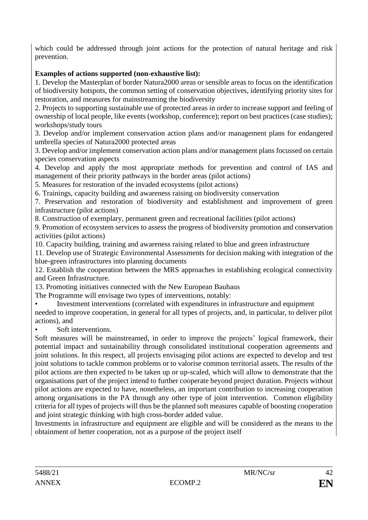which could be addressed through joint actions for the protection of natural heritage and risk prevention.

# **Examples of actions supported (non-exhaustive list):**

1. Develop the Masterplan of border Natura2000 areas or sensible areas to focus on the identification of biodiversity hotspots, the common setting of conservation objectives, identifying priority sites for restoration, and measures for mainstreaming the biodiversity

2. Projects to supporting sustainable use of protected areas in order to increase support and feeling of ownership of local people, like events (workshop, conference); report on best practices (case studies); workshops/study tours

3. Develop and/or implement conservation action plans and/or management plans for endangered umbrella species of Natura2000 protected areas

3. Develop and/or implement conservation action plans and/or management plans focussed on certain species conservation aspects

4. Develop and apply the most appropriate methods for prevention and control of IAS and management of their priority pathways in the border areas (pilot actions)

5. Measures for restoration of the invaded ecosystems (pilot actions)

6. Trainings, capacity building and awareness raising on biodiversity conservation

7. Preservation and restoration of biodiversity and establishment and improvement of green infrastructure (pilot actions)

8. Construction of exemplary, permanent green and recreational facilities (pilot actions)

9. Promotion of ecosystem services to assess the progress of biodiversity promotion and conservation activities (pilot actions)

10. Capacity building, training and awareness raising related to blue and green infrastructure

11. Develop use of Strategic Environmental Assessments for decision making with integration of the blue-green infrastructures into planning documents

12. Establish the cooperation between the MRS approaches in establishing ecological connectivity and Green Infrastructure.

13. Promoting initiatives connected with the New European Bauhaus

The Programme will envisage two types of interventions, notably:

• Investment interventions (correlated with expenditures in infrastructure and equipment

needed to improve cooperation, in general for all types of projects, and, in particular, to deliver pilot actions), and

Soft interventions.

Soft measures will be mainstreamed, in order to improve the projects' logical framework, their potential impact and sustainability through consolidated institutional cooperation agreements and joint solutions. In this respect, all projects envisaging pilot actions are expected to develop and test joint solutions to tackle common problems or to valorise common territorial assets. The results of the pilot actions are then expected to be taken up or up-scaled, which will allow to demonstrate that the organisations part of the project intend to further cooperate beyond project duration. Projects without pilot actions are expected to have, nonetheless, an important contribution to increasing cooperation among organisations in the PA through any other type of joint intervention. Common eligibility criteria for all types of projects will thus be the planned soft measures capable of boosting cooperation and joint strategic thinking with high cross-border added value.

Investments in infrastructure and equipment are eligible and will be considered as the means to the obtainment of better cooperation, not as a purpose of the project itself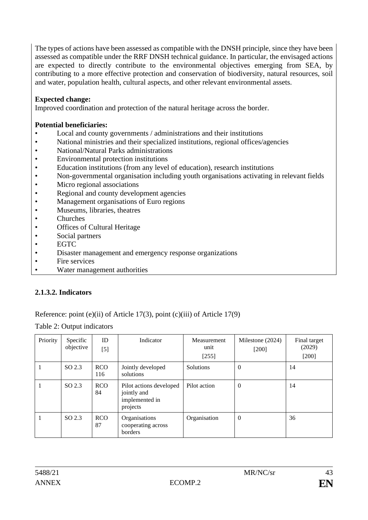The types of actions have been assessed as compatible with the DNSH principle, since they have been assessed as compatible under the RRF DNSH technical guidance. In particular, the envisaged actions are expected to directly contribute to the environmental objectives emerging from SEA, by contributing to a more effective protection and conservation of biodiversity, natural resources, soil and water, population health, cultural aspects, and other relevant environmental assets.

## **Expected change:**

Improved coordination and protection of the natural heritage across the border.

### **Potential beneficiaries:**

- Local and county governments / administrations and their institutions
- National ministries and their specialized institutions, regional offices/agencies
- National/Natural Parks administrations
- Environmental protection institutions
- Education institutions (from any level of education), research institutions
- Non-governmental organisation including youth organisations activating in relevant fields
- Micro regional associations
- Regional and county development agencies
- Management organisations of Euro regions
- Museums, libraries, theatres
- Churches
- Offices of Cultural Heritage
- Social partners
- EGTC
- Disaster management and emergency response organizations
- Fire services
- Water management authorities

## **2.1.3.2. Indicators**

## Reference: point (e)(ii) of Article 17(3), point (c)(iii) of Article 17(9)

### Table 2: Output indicators

| Priority | Specific<br>objective | ID<br>$[5]$       | Indicator                                                            | Measurement<br>unit<br>$[255]$ | Milestone (2024)<br>$[200]$ | Final target<br>(2029)<br>$[200]$ |
|----------|-----------------------|-------------------|----------------------------------------------------------------------|--------------------------------|-----------------------------|-----------------------------------|
|          | SO 2.3                | <b>RCO</b><br>116 | Jointly developed<br>solutions                                       | Solutions                      | $\theta$                    | 14                                |
|          | SO 2.3                | <b>RCO</b><br>84  | Pilot actions developed<br>jointly and<br>implemented in<br>projects | Pilot action                   | $\Omega$                    | 14                                |
|          | SO <sub>2.3</sub>     | <b>RCO</b><br>87  | Organisations<br>cooperating across<br>borders                       | Organisation                   | $\overline{0}$              | 36                                |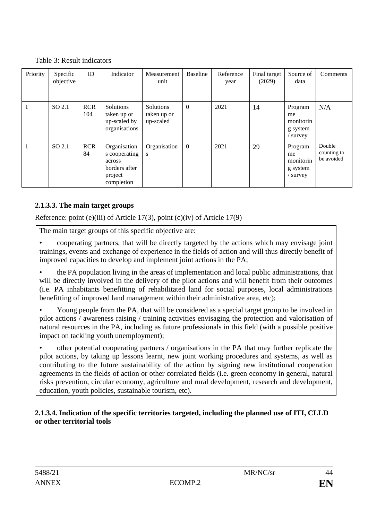|  |  | Table 3: Result indicators |
|--|--|----------------------------|
|--|--|----------------------------|

| Priority | Specific<br>objective | ID                | Indicator                                                                         | Measurement<br>unit                          | Baseline       | Reference<br>year | Final target<br>(2029) | Source of<br>data                                  | Comments                            |
|----------|-----------------------|-------------------|-----------------------------------------------------------------------------------|----------------------------------------------|----------------|-------------------|------------------------|----------------------------------------------------|-------------------------------------|
|          | SO 2.1                | <b>RCR</b><br>104 | Solutions<br>taken up or<br>up-scaled by<br>organisations                         | <b>Solutions</b><br>taken up or<br>up-scaled | $\overline{0}$ | 2021              | 14                     | Program<br>me<br>monitorin<br>g system<br>survey   | N/A                                 |
|          | SO 2.1                | <b>RCR</b><br>84  | Organisation<br>s cooperating<br>across<br>borders after<br>project<br>completion | Organisation<br>S                            | $\overline{0}$ | 2021              | 29                     | Program<br>me<br>monitorin<br>g system<br>/ survey | Double<br>counting to<br>be avoided |

# **2.1.3.3. The main target groups**

Reference: point (e)(iii) of Article 17(3), point (c)(iv) of Article 17(9)

The main target groups of this specific objective are:

• cooperating partners, that will be directly targeted by the actions which may envisage joint trainings, events and exchange of experience in the fields of action and will thus directly benefit of improved capacities to develop and implement joint actions in the PA;

• the PA population living in the areas of implementation and local public administrations, that will be directly involved in the delivery of the pilot actions and will benefit from their outcomes (i.e. PA inhabitants benefitting of rehabilitated land for social purposes, local administrations benefitting of improved land management within their administrative area, etc);

• Young people from the PA, that will be considered as a special target group to be involved in pilot actions / awareness raising / training activities envisaging the protection and valorisation of natural resources in the PA, including as future professionals in this field (with a possible positive impact on tackling youth unemployment);

• other potential cooperating partners / organisations in the PA that may further replicate the pilot actions, by taking up lessons learnt, new joint working procedures and systems, as well as contributing to the future sustainability of the action by signing new institutional cooperation agreements in the fields of action or other correlated fields (i.e. green economy in general, natural risks prevention, circular economy, agriculture and rural development, research and development, education, youth policies, sustainable tourism, etc).

# **2.1.3.4. Indication of the specific territories targeted, including the planned use of ITI, CLLD or other territorial tools**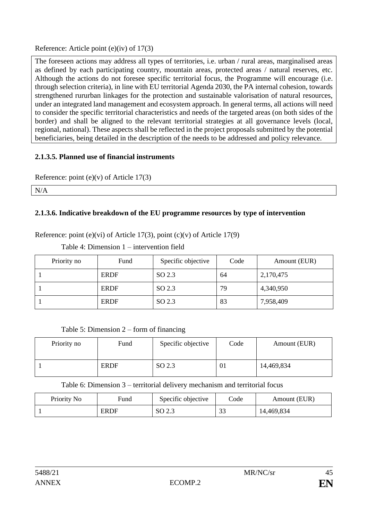Reference: Article point (e)(iv) of 17(3)

The foreseen actions may address all types of territories, i.e. urban / rural areas, marginalised areas as defined by each participating country, mountain areas, protected areas / natural reserves, etc. Although the actions do not foresee specific territorial focus, the Programme will encourage (i.e. through selection criteria), in line with EU territorial Agenda 2030, the PA internal cohesion, towards strengthened rururban linkages for the protection and sustainable valorisation of natural resources, under an integrated land management and ecosystem approach. In general terms, all actions will need to consider the specific territorial characteristics and needs of the targeted areas (on both sides of the border) and shall be aligned to the relevant territorial strategies at all governance levels (local, regional, national). These aspects shall be reflected in the project proposals submitted by the potential beneficiaries, being detailed in the description of the needs to be addressed and policy relevance.

# **2.1.3.5. Planned use of financial instruments**

Reference: point (e)(v) of Article 17(3)

N/A

# **2.1.3.6. Indicative breakdown of the EU programme resources by type of intervention**

Reference: point (e)(vi) of Article 17(3), point (c)(v) of Article 17(9)

Table 4: Dimension 1 – intervention field

| Priority no | Fund        | Specific objective | Code | Amount (EUR) |
|-------------|-------------|--------------------|------|--------------|
|             | <b>ERDF</b> | SO 2.3             | 64   | 2,170,475    |
|             | <b>ERDF</b> | SO 2.3             | 79   | 4,340,950    |
|             | <b>ERDF</b> | SO 2.3             | 83   | 7,958,409    |

| Table 5: Dimension $2$ – form of financing |  |  |
|--------------------------------------------|--|--|
|--------------------------------------------|--|--|

| Priority no | Fund        | Specific objective | Code | Amount (EUR) |
|-------------|-------------|--------------------|------|--------------|
|             | <b>ERDF</b> | SO 2.3             | 01   | 14,469,834   |

Table 6: Dimension 3 – territorial delivery mechanism and territorial focus

| Priority No | Fund        | Specific objective | Code         | Amount (EUR) |
|-------------|-------------|--------------------|--------------|--------------|
|             | <b>ERDF</b> | SO 2.3             | $\sim$<br>32 | 14,469,834   |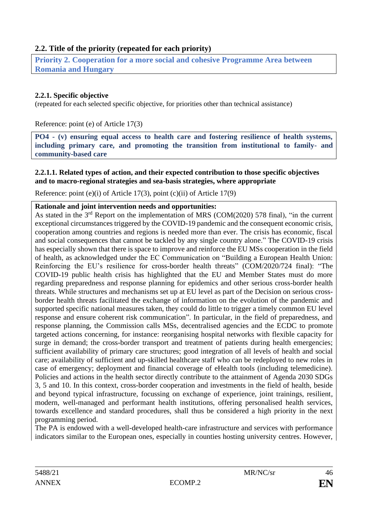# **2.2. Title of the priority (repeated for each priority)**

**Priority 2. Cooperation for a more social and cohesive Programme Area between Romania and Hungary**

### **2.2.1. Specific objective**

(repeated for each selected specific objective, for priorities other than technical assistance)

Reference: point (e) of Article 17(3)

**PO4 - (v) ensuring equal access to health care and fostering resilience of health systems, including primary care, and promoting the transition from institutional to family- and community-based care**

#### **2.2.1.1. Related types of action, and their expected contribution to those specific objectives and to macro-regional strategies and sea-basis strategies, where appropriate**

Reference: point (e)(i) of Article 17(3), point (c)(ii) of Article 17(9)

#### **Rationale and joint intervention needs and opportunities:**

As stated in the 3<sup>rd</sup> Report on the implementation of MRS (COM(2020) 578 final), "in the current exceptional circumstances triggered by the COVID-19 pandemic and the consequent economic crisis, cooperation among countries and regions is needed more than ever. The crisis has economic, fiscal and social consequences that cannot be tackled by any single country alone." The COVID-19 crisis has especially shown that there is space to improve and reinforce the EU MSs cooperation in the field of health, as acknowledged under the EC Communication on "Building a European Health Union: Reinforcing the EU's resilience for cross-border health threats" (COM/2020/724 final): "The COVID-19 public health crisis has highlighted that the EU and Member States must do more regarding preparedness and response planning for epidemics and other serious cross-border health threats. While structures and mechanisms set up at EU level as part of the Decision on serious crossborder health threats facilitated the exchange of information on the evolution of the pandemic and supported specific national measures taken, they could do little to trigger a timely common EU level response and ensure coherent risk communication". In particular, in the field of preparedness, and response planning, the Commission calls MSs, decentralised agencies and the ECDC to promote targeted actions concerning, for instance: reorganising hospital networks with flexible capacity for surge in demand; the cross-border transport and treatment of patients during health emergencies; sufficient availability of primary care structures; good integration of all levels of health and social care; availability of sufficient and up-skilled healthcare staff who can be redeployed to new roles in case of emergency; deployment and financial coverage of eHealth tools (including telemedicine). Policies and actions in the health sector directly contribute to the attainment of Agenda 2030 SDGs 3, 5 and 10. In this context, cross-border cooperation and investments in the field of health, beside and beyond typical infrastructure, focussing on exchange of experience, joint trainings, resilient, modern, well-managed and performant health institutions, offering personalised health services, towards excellence and standard procedures, shall thus be considered a high priority in the next programming period.

The PA is endowed with a well-developed health-care infrastructure and services with performance indicators similar to the European ones, especially in counties hosting university centres. However,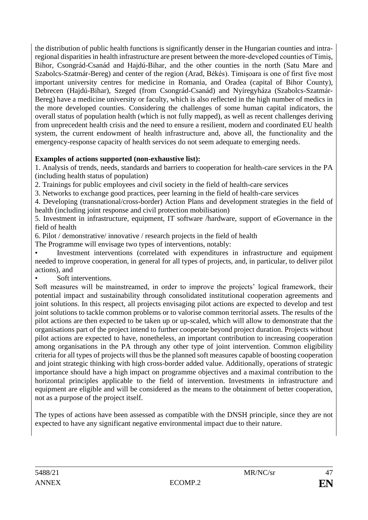the distribution of public health functions is significantly denser in the Hungarian counties and intraregional disparities in health infrastructure are present between the more-developed counties of Timiș, Bihor, Csongrád-Csanád and Hajdú-Bihar, and the other counties in the north (Satu Mare and Szabolcs-Szatmár-Bereg) and center of the region (Arad, Békés). Timișoara is one of first five most important university centres for medicine in Romania, and Oradea (capital of Bihor County), Debrecen (Hajdú-Bihar), Szeged (from Csongrád-Csanád) and Nyíregyháza (Szabolcs-Szatmár-Bereg) have a medicine university or faculty, which is also reflected in the high number of medics in the more developed counties. Considering the challenges of some human capital indicators, the overall status of population health (which is not fully mapped), as well as recent challenges deriving from unprecedent health crisis and the need to ensure a resilient, modern and coordinated EU health system, the current endowment of health infrastructure and, above all, the functionality and the emergency-response capacity of health services do not seem adequate to emerging needs.

# **Examples of actions supported (non-exhaustive list):**

1. Analysis of trends, needs, standards and barriers to cooperation for health-care services in the PA (including health status of population)

2. Trainings for public employees and civil society in the field of health-care services

3. Networks to exchange good practices, peer learning in the field of health-care services

4. Developing (transnational/cross-border) Action Plans and development strategies in the field of health (including joint response and civil protection mobilisation)

5. Investment in infrastructure, equipment, IT software /hardware, support of eGovernance in the field of health

6. Pilot / demonstrative/ innovative / research projects in the field of health

The Programme will envisage two types of interventions, notably:

• Investment interventions (correlated with expenditures in infrastructure and equipment needed to improve cooperation, in general for all types of projects, and, in particular, to deliver pilot actions), and

Soft interventions.

Soft measures will be mainstreamed, in order to improve the projects' logical framework, their potential impact and sustainability through consolidated institutional cooperation agreements and joint solutions. In this respect, all projects envisaging pilot actions are expected to develop and test joint solutions to tackle common problems or to valorise common territorial assets. The results of the pilot actions are then expected to be taken up or up-scaled, which will allow to demonstrate that the organisations part of the project intend to further cooperate beyond project duration. Projects without pilot actions are expected to have, nonetheless, an important contribution to increasing cooperation among organisations in the PA through any other type of joint intervention. Common eligibility criteria for all types of projects will thus be the planned soft measures capable of boosting cooperation and joint strategic thinking with high cross-border added value. Additionally, operations of strategic importance should have a high impact on programme objectives and a maximal contribution to the horizontal principles applicable to the field of intervention. Investments in infrastructure and equipment are eligible and will be considered as the means to the obtainment of better cooperation, not as a purpose of the project itself.

The types of actions have been assessed as compatible with the DNSH principle, since they are not expected to have any significant negative environmental impact due to their nature.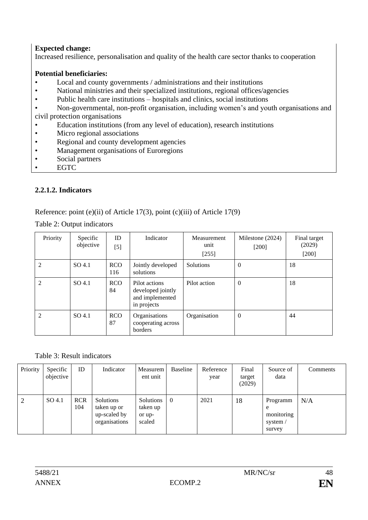# **Expected change:**

Increased resilience, personalisation and quality of the health care sector thanks to cooperation

## **Potential beneficiaries:**

- Local and county governments / administrations and their institutions
- National ministries and their specialized institutions, regional offices/agencies
- Public health care institutions hospitals and clinics, social institutions
- Non-governmental, non-profit organisation, including women's and youth organisations and

civil protection organisations

- Education institutions (from any level of education), research institutions
- Micro regional associations
- Regional and county development agencies
- Management organisations of Euroregions
- Social partners
- EGTC

## **2.2.1.2. Indicators**

Reference: point (e)(ii) of Article 17(3), point (c)(iii) of Article 17(9)

Table 2: Output indicators

| Priority | Specific<br>objective | ID<br>[5]         | Indicator                                                            | Measurement<br>unit<br>$[255]$ | Milestone (2024)<br>$[200]$ | Final target<br>(2029)<br>$[200]$ |
|----------|-----------------------|-------------------|----------------------------------------------------------------------|--------------------------------|-----------------------------|-----------------------------------|
| 2        | SO <sub>4.1</sub>     | <b>RCO</b><br>116 | Jointly developed<br>solutions                                       | Solutions                      | $\theta$                    | 18                                |
| 2        | SO <sub>4.1</sub>     | <b>RCO</b><br>84  | Pilot actions<br>developed jointly<br>and implemented<br>in projects | Pilot action                   | $\overline{0}$              | 18                                |
| 2        | SO <sub>4.1</sub>     | <b>RCO</b><br>87  | Organisations<br>cooperating across<br>borders                       | Organisation                   | $\overline{0}$              | 44                                |

Table 3: Result indicators

| Priority | Specific<br>objective | ID                | Indicator                                                 | Measurem<br>ent unit                      | Baseline       | Reference<br>year | Final<br>target<br>(2029) | Source of<br>data                                 | Comments |
|----------|-----------------------|-------------------|-----------------------------------------------------------|-------------------------------------------|----------------|-------------------|---------------------------|---------------------------------------------------|----------|
| 2        | SO 4.1                | <b>RCR</b><br>104 | Solutions<br>taken up or<br>up-scaled by<br>organisations | Solutions<br>taken up<br>or up-<br>scaled | $\overline{0}$ | 2021              | 18                        | Programm<br>e<br>monitoring<br>system /<br>survey | N/A      |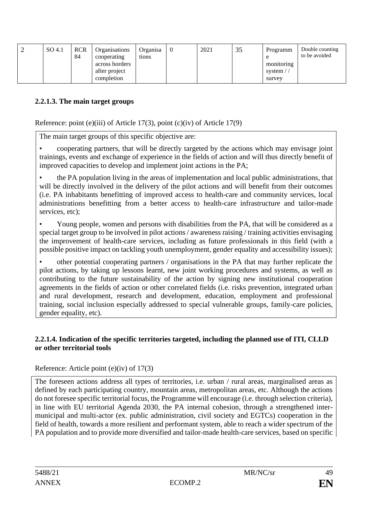|  | SO 4.1 | <b>RCR</b><br>84 | <b>Organisations</b><br>cooperating<br>across borders<br>after project<br>completion | Organisa<br>tions | $\theta$ | 2021 | 35 | Programm<br>monitoring<br>system /<br>survey | Double counting<br>to be avoided |
|--|--------|------------------|--------------------------------------------------------------------------------------|-------------------|----------|------|----|----------------------------------------------|----------------------------------|
|--|--------|------------------|--------------------------------------------------------------------------------------|-------------------|----------|------|----|----------------------------------------------|----------------------------------|

## **2.2.1.3. The main target groups**

Reference: point (e)(iii) of Article 17(3), point (c)(iv) of Article 17(9)

The main target groups of this specific objective are:

• cooperating partners, that will be directly targeted by the actions which may envisage joint trainings, events and exchange of experience in the fields of action and will thus directly benefit of improved capacities to develop and implement joint actions in the PA;

• the PA population living in the areas of implementation and local public administrations, that will be directly involved in the delivery of the pilot actions and will benefit from their outcomes (i.e. PA inhabitants benefitting of improved access to health-care and community services, local administrations benefitting from a better access to health-care infrastructure and tailor-made services, etc);

• Young people, women and persons with disabilities from the PA, that will be considered as a special target group to be involved in pilot actions / awareness raising / training activities envisaging the improvement of health-care services, including as future professionals in this field (with a possible positive impact on tackling youth unemployment, gender equality and accessibility issues);

• other potential cooperating partners / organisations in the PA that may further replicate the pilot actions, by taking up lessons learnt, new joint working procedures and systems, as well as contributing to the future sustainability of the action by signing new institutional cooperation agreements in the fields of action or other correlated fields (i.e. risks prevention, integrated urban and rural development, research and development, education, employment and professional training, social inclusion especially addressed to special vulnerable groups, family-care policies, gender equality, etc).

## **2.2.1.4. Indication of the specific territories targeted, including the planned use of ITI, CLLD or other territorial tools**

## Reference: Article point (e)(iv) of 17(3)

The foreseen actions address all types of territories, i.e. urban / rural areas, marginalised areas as defined by each participating country, mountain areas, metropolitan areas, etc. Although the actions do not foresee specific territorial focus, the Programme will encourage (i.e. through selection criteria), in line with EU territorial Agenda 2030, the PA internal cohesion, through a strengthened intermunicipal and multi-actor (ex. public administration, civil society and EGTCs) cooperation in the field of health, towards a more resilient and performant system, able to reach a wider spectrum of the PA population and to provide more diversified and tailor-made health-care services, based on specific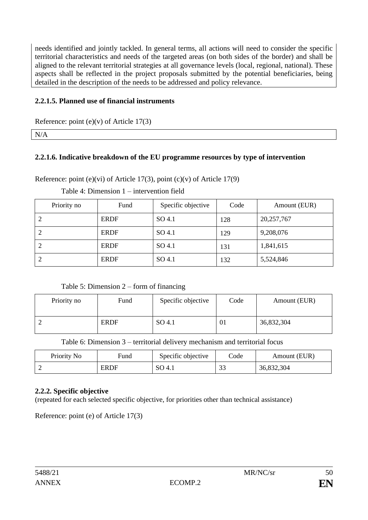needs identified and jointly tackled. In general terms, all actions will need to consider the specific territorial characteristics and needs of the targeted areas (on both sides of the border) and shall be aligned to the relevant territorial strategies at all governance levels (local, regional, national). These aspects shall be reflected in the project proposals submitted by the potential beneficiaries, being detailed in the description of the needs to be addressed and policy relevance.

## **2.2.1.5. Planned use of financial instruments**

Reference: point  $(e)(v)$  of Article 17(3)

N/A

# **2.2.1.6. Indicative breakdown of the EU programme resources by type of intervention**

Reference: point (e)(vi) of Article 17(3), point (c)(v) of Article 17(9)

| Priority no | Fund        | Specific objective | Code | Amount (EUR) |
|-------------|-------------|--------------------|------|--------------|
| 2           | <b>ERDF</b> | SO <sub>4.1</sub>  | 128  | 20,257,767   |
| 2           | <b>ERDF</b> | SO <sub>4.1</sub>  | 129  | 9,208,076    |
| 2           | <b>ERDF</b> | SO <sub>4.1</sub>  | 131  | 1,841,615    |
| 2           | <b>ERDF</b> | SO 4.1             | 132  | 5,524,846    |

Table 4: Dimension 1 – intervention field

Table 5: Dimension 2 – form of financing

| Priority no | Fund        | Specific objective | Code | Amount (EUR) |
|-------------|-------------|--------------------|------|--------------|
| ∸           | <b>ERDF</b> | SO 4.1             | 01   | 36,832,304   |

Table 6: Dimension 3 – territorial delivery mechanism and territorial focus

| Priority No | Fund        | Specific objective | Code           | Amount (EUR) |
|-------------|-------------|--------------------|----------------|--------------|
|             | <b>ERDF</b> | $SO\,4.1$          | $\cap$<br>- 32 | 36,832,304   |

# **2.2.2. Specific objective**

(repeated for each selected specific objective, for priorities other than technical assistance)

Reference: point (e) of Article 17(3)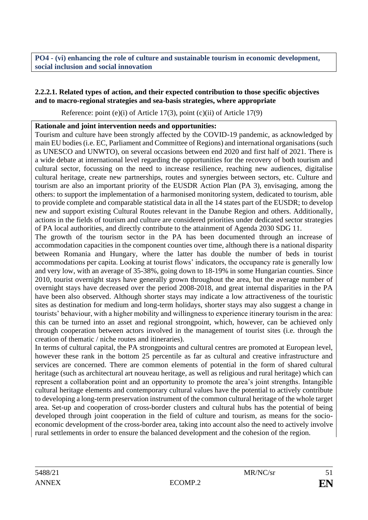**PO4 - (vi) enhancing the role of culture and sustainable tourism in economic development, social inclusion and social innovation**

### **2.2.2.1. Related types of action, and their expected contribution to those specific objectives and to macro-regional strategies and sea-basis strategies, where appropriate**

Reference: point (e)(i) of Article 17(3), point (c)(ii) of Article 17(9)

### **Rationale and joint intervention needs and opportunities:**

Tourism and culture have been strongly affected by the COVID-19 pandemic, as acknowledged by main EU bodies (i.e. EC, Parliament and Committee of Regions) and international organisations (such as UNESCO and UNWTO), on several occasions between end 2020 and first half of 2021. There is a wide debate at international level regarding the opportunities for the recovery of both tourism and cultural sector, focussing on the need to increase resilience, reaching new audiences, digitalise cultural heritage, create new partnerships, routes and synergies between sectors, etc. Culture and tourism are also an important priority of the EUSDR Action Plan (PA 3), envisaging, among the others: to support the implementation of a harmonised monitoring system, dedicated to tourism, able to provide complete and comparable statistical data in all the 14 states part of the EUSDR; to develop new and support existing Cultural Routes relevant in the Danube Region and others. Additionally, actions in the fields of tourism and culture are considered priorities under dedicated sector strategies of PA local authorities, and directly contribute to the attainment of Agenda 2030 SDG 11.

The growth of the tourism sector in the PA has been documented through an increase of accommodation capacities in the component counties over time, although there is a national disparity between Romania and Hungary, where the latter has double the number of beds in tourist accommodations per capita. Looking at tourist flows' indicators, the occupancy rate is generally low and very low, with an average of 35-38%, going down to 18-19% in some Hungarian counties. Since 2010, tourist overnight stays have generally grown throughout the area, but the average number of overnight stays have decreased over the period 2008-2018, and great internal disparities in the PA have been also observed. Although shorter stays may indicate a low attractiveness of the touristic sites as destination for medium and long-term holidays, shorter stays may also suggest a change in tourists' behaviour, with a higher mobility and willingness to experience itinerary tourism in the area: this can be turned into an asset and regional strongpoint, which, however, can be achieved only through cooperation between actors involved in the management of tourist sites (i.e. through the creation of thematic / niche routes and itineraries).

In terms of cultural capital, the PA strongpoints and cultural centres are promoted at European level, however these rank in the bottom 25 percentile as far as cultural and creative infrastructure and services are concerned. There are common elements of potential in the form of shared cultural heritage (such as architectural art nouveau heritage, as well as religious and rural heritage) which can represent a collaboration point and an opportunity to promote the area's joint strengths. Intangible cultural heritage elements and contemporary cultural values have the potential to actively contribute to developing a long-term preservation instrument of the common cultural heritage of the whole target area. Set-up and cooperation of cross-border clusters and cultural hubs has the potential of being developed through joint cooperation in the field of culture and tourism, as means for the socioeconomic development of the cross-border area, taking into account also the need to actively involve rural settlements in order to ensure the balanced development and the cohesion of the region.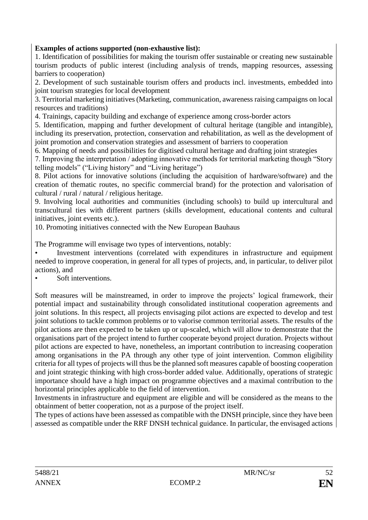# **Examples of actions supported (non-exhaustive list):**

1. Identification of possibilities for making the tourism offer sustainable or creating new sustainable tourism products of public interest (including analysis of trends, mapping resources, assessing barriers to cooperation)

2. Development of such sustainable tourism offers and products incl. investments, embedded into joint tourism strategies for local development

3. Territorial marketing initiatives (Marketing, communication, awareness raising campaigns on local resources and traditions)

4. Trainings, capacity building and exchange of experience among cross-border actors

5. Identification, mapping and further development of cultural heritage (tangible and intangible), including its preservation, protection, conservation and rehabilitation, as well as the development of joint promotion and conservation strategies and assessment of barriers to cooperation

6. Mapping of needs and possibilities for digitised cultural heritage and drafting joint strategies

7. Improving the interpretation / adopting innovative methods for territorial marketing though "Story telling models" ("Living history" and "Living heritage")

8. Pilot actions for innovative solutions (including the acquisition of hardware/software) and the creation of thematic routes, no specific commercial brand) for the protection and valorisation of cultural / rural / natural / religious heritage.

9. Involving local authorities and communities (including schools) to build up intercultural and transcultural ties with different partners (skills development, educational contents and cultural initiatives, joint events etc.).

10. Promoting initiatives connected with the New European Bauhaus

The Programme will envisage two types of interventions, notably:

• Investment interventions (correlated with expenditures in infrastructure and equipment needed to improve cooperation, in general for all types of projects, and, in particular, to deliver pilot actions), and

• Soft interventions.

Soft measures will be mainstreamed, in order to improve the projects' logical framework, their potential impact and sustainability through consolidated institutional cooperation agreements and joint solutions. In this respect, all projects envisaging pilot actions are expected to develop and test joint solutions to tackle common problems or to valorise common territorial assets. The results of the pilot actions are then expected to be taken up or up-scaled, which will allow to demonstrate that the organisations part of the project intend to further cooperate beyond project duration. Projects without pilot actions are expected to have, nonetheless, an important contribution to increasing cooperation among organisations in the PA through any other type of joint intervention. Common eligibility criteria for all types of projects will thus be the planned soft measures capable of boosting cooperation and joint strategic thinking with high cross-border added value. Additionally, operations of strategic importance should have a high impact on programme objectives and a maximal contribution to the horizontal principles applicable to the field of intervention.

Investments in infrastructure and equipment are eligible and will be considered as the means to the obtainment of better cooperation, not as a purpose of the project itself.

The types of actions have been assessed as compatible with the DNSH principle, since they have been assessed as compatible under the RRF DNSH technical guidance. In particular, the envisaged actions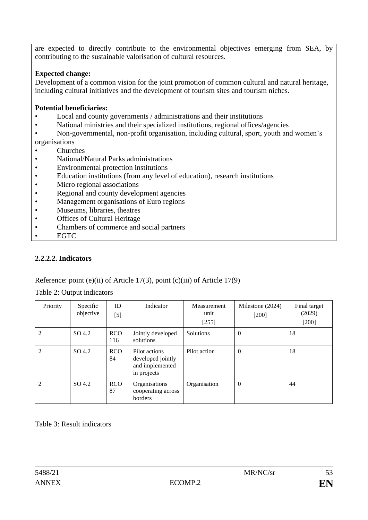are expected to directly contribute to the environmental objectives emerging from SEA, by contributing to the sustainable valorisation of cultural resources.

# **Expected change:**

Development of a common vision for the joint promotion of common cultural and natural heritage, including cultural initiatives and the development of tourism sites and tourism niches.

## **Potential beneficiaries:**

- Local and county governments / administrations and their institutions
- National ministries and their specialized institutions, regional offices/agencies
- Non-governmental, non-profit organisation, including cultural, sport, youth and women's organisations
- Churches
- National/Natural Parks administrations
- Environmental protection institutions
- Education institutions (from any level of education), research institutions
- Micro regional associations
- Regional and county development agencies
- Management organisations of Euro regions
- Museums, libraries, theatres
- Offices of Cultural Heritage
- Chambers of commerce and social partners
- EGTC

# **2.2.2.2. Indicators**

Reference: point (e)(ii) of Article 17(3), point (c)(iii) of Article 17(9)

| Priority       | Specific<br>objective | ID<br>$[5]$       | Indicator                                                            | Measurement<br>unit<br>$[255]$ | Milestone (2024)<br>$[200]$ | Final target<br>(2029)<br>$[200]$ |
|----------------|-----------------------|-------------------|----------------------------------------------------------------------|--------------------------------|-----------------------------|-----------------------------------|
| 2              | SO 4.2                | <b>RCO</b><br>116 | Jointly developed<br>solutions                                       | Solutions                      | $\overline{0}$              | 18                                |
| 2              | SO <sub>4.2</sub>     | <b>RCO</b><br>84  | Pilot actions<br>developed jointly<br>and implemented<br>in projects | Pilot action                   | $\theta$                    | 18                                |
| $\mathfrak{D}$ | SO 4.2                | <b>RCO</b><br>87  | Organisations<br>cooperating across<br>borders                       | Organisation                   | $\theta$                    | 44                                |

Table 2: Output indicators

Table 3: Result indicators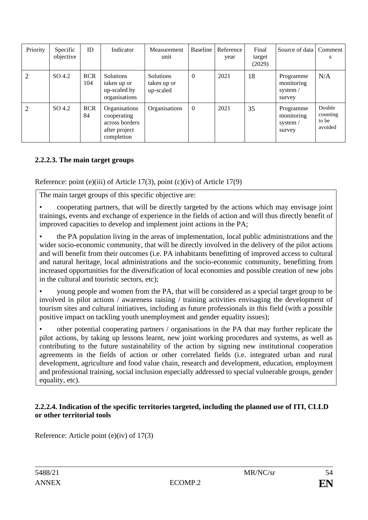| Priority | Specific<br>objective | ID                | Indicator                                                                     | Measurement<br>unit                   | <b>Baseline</b> | Reference<br>year | Final<br>target<br>(2029) | Source of data                                | Comment<br>s                           |
|----------|-----------------------|-------------------|-------------------------------------------------------------------------------|---------------------------------------|-----------------|-------------------|---------------------------|-----------------------------------------------|----------------------------------------|
| 2        | SO 4.2                | <b>RCR</b><br>104 | <b>Solutions</b><br>taken up or<br>up-scaled by<br>organisations              | Solutions<br>taken up or<br>up-scaled | $\mathbf{0}$    | 2021              | 18                        | Programme<br>monitoring<br>system /<br>survey | N/A                                    |
| 2        | SO 4.2                | <b>RCR</b><br>84  | Organisations<br>cooperating<br>across borders<br>after project<br>completion | Organisations                         | $\overline{0}$  | 2021              | 35                        | Programme<br>monitoring<br>system /<br>survey | Double<br>counting<br>to be<br>avoided |

# **2.2.2.3. The main target groups**

Reference: point (e)(iii) of Article 17(3), point (c)(iv) of Article 17(9)

The main target groups of this specific objective are:

• cooperating partners, that will be directly targeted by the actions which may envisage joint trainings, events and exchange of experience in the fields of action and will thus directly benefit of improved capacities to develop and implement joint actions in the PA;

• the PA population living in the areas of implementation, local public administrations and the wider socio-economic community, that will be directly involved in the delivery of the pilot actions and will benefit from their outcomes (i.e. PA inhabitants benefitting of improved access to cultural and natural heritage, local administrations and the socio-economic community, benefitting from increased opportunities for the diversification of local economies and possible creation of new jobs in the cultural and touristic sectors, etc);

• young people and women from the PA, that will be considered as a special target group to be involved in pilot actions / awareness raising / training activities envisaging the development of tourism sites and cultural initiatives, including as future professionals in this field (with a possible positive impact on tackling youth unemployment and gender equality issues);

• other potential cooperating partners / organisations in the PA that may further replicate the pilot actions, by taking up lessons learnt, new joint working procedures and systems, as well as contributing to the future sustainability of the action by signing new institutional cooperation agreements in the fields of action or other correlated fields (i.e. integrated urban and rural development, agriculture and food value chain, research and development, education, employment and professional training, social inclusion especially addressed to special vulnerable groups, gender equality, etc).

### **2.2.2.4. Indication of the specific territories targeted, including the planned use of ITI, CLLD or other territorial tools**

Reference: Article point (e)(iv) of 17(3)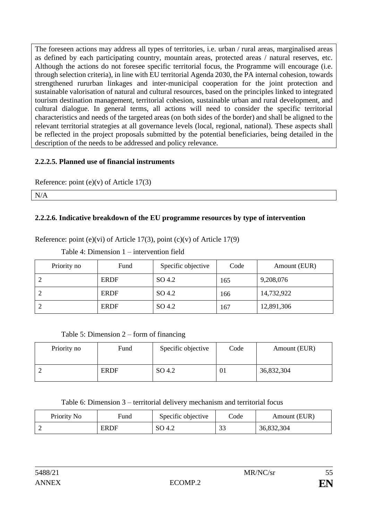The foreseen actions may address all types of territories, i.e. urban / rural areas, marginalised areas as defined by each participating country, mountain areas, protected areas / natural reserves, etc. Although the actions do not foresee specific territorial focus, the Programme will encourage (i.e. through selection criteria), in line with EU territorial Agenda 2030, the PA internal cohesion, towards strengthened rururban linkages and inter-municipal cooperation for the joint protection and sustainable valorisation of natural and cultural resources, based on the principles linked to integrated tourism destination management, territorial cohesion, sustainable urban and rural development, and cultural dialogue. In general terms, all actions will need to consider the specific territorial characteristics and needs of the targeted areas (on both sides of the border) and shall be aligned to the relevant territorial strategies at all governance levels (local, regional, national). These aspects shall be reflected in the project proposals submitted by the potential beneficiaries, being detailed in the description of the needs to be addressed and policy relevance.

# **2.2.2.5. Planned use of financial instruments**

Reference: point (e)(v) of Article 17(3)

N/A

# **2.2.2.6. Indicative breakdown of the EU programme resources by type of intervention**

Reference: point (e)(vi) of Article 17(3), point (c)(v) of Article 17(9)

Table 4: Dimension 1 – intervention field

| Priority no   | Fund        | Specific objective<br>Code |     | Amount (EUR) |
|---------------|-------------|----------------------------|-----|--------------|
| $\mathcal{D}$ | <b>ERDF</b> | SO 4.2                     | 165 | 9,208,076    |
| $\mathcal{D}$ | <b>ERDF</b> | SO 4.2                     | 166 | 14,732,922   |
| 2             | <b>ERDF</b> | SO 4.2                     | 167 | 12,891,306   |

# Table 5: Dimension 2 – form of financing

| Priority no | Fund        | Specific objective | Code | Amount (EUR) |
|-------------|-------------|--------------------|------|--------------|
| ∽           | <b>ERDF</b> | SO 4.2             | 01   | 36,832,304   |

# Table 6: Dimension 3 – territorial delivery mechanism and territorial focus

| Priority No | Fund        | Specific objective | Code      | Amount (EUR) |
|-------------|-------------|--------------------|-----------|--------------|
|             | <b>ERDF</b> | SO 4.2             | າາ<br>ں ر | 36,832,304   |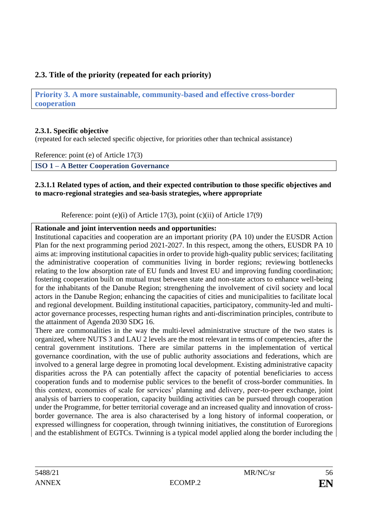# **2.3. Title of the priority (repeated for each priority)**

**Priority 3. A more sustainable, community-based and effective cross-border cooperation** 

## **2.3.1. Specific objective**

(repeated for each selected specific objective, for priorities other than technical assistance)

Reference: point (e) of Article 17(3)

**ISO 1 – A Better Cooperation Governance** 

### **2.3.1.1 Related types of action, and their expected contribution to those specific objectives and to macro-regional strategies and sea-basis strategies, where appropriate**

Reference: point (e)(i) of Article 17(3), point (c)(ii) of Article 17(9)

**Rationale and joint intervention needs and opportunities:**

Institutional capacities and cooperation are an important priority (PA 10) under the EUSDR Action Plan for the next programming period 2021-2027. In this respect, among the others, EUSDR PA 10 aims at: improving institutional capacities in order to provide high-quality public services; facilitating the administrative cooperation of communities living in border regions; reviewing bottlenecks relating to the low absorption rate of EU funds and Invest EU and improving funding coordination; fostering cooperation built on mutual trust between state and non-state actors to enhance well-being for the inhabitants of the Danube Region; strengthening the involvement of civil society and local actors in the Danube Region; enhancing the capacities of cities and municipalities to facilitate local and regional development. Building institutional capacities, participatory, community-led and multiactor governance processes, respecting human rights and anti-discrimination principles, contribute to the attainment of Agenda 2030 SDG 16.

There are commonalities in the way the multi-level administrative structure of the two states is organized, where NUTS 3 and LAU 2 levels are the most relevant in terms of competencies, after the central government institutions. There are similar patterns in the implementation of vertical governance coordination, with the use of public authority associations and federations, which are involved to a general large degree in promoting local development. Existing administrative capacity disparities across the PA can potentially affect the capacity of potential beneficiaries to access cooperation funds and to modernise public services to the benefit of cross-border communities. In this context, economies of scale for services' planning and delivery, peer-to-peer exchange, joint analysis of barriers to cooperation, capacity building activities can be pursued through cooperation under the Programme, for better territorial coverage and an increased quality and innovation of crossborder governance. The area is also characterised by a long history of informal cooperation, or expressed willingness for cooperation, through twinning initiatives, the constitution of Euroregions and the establishment of EGTCs. Twinning is a typical model applied along the border including the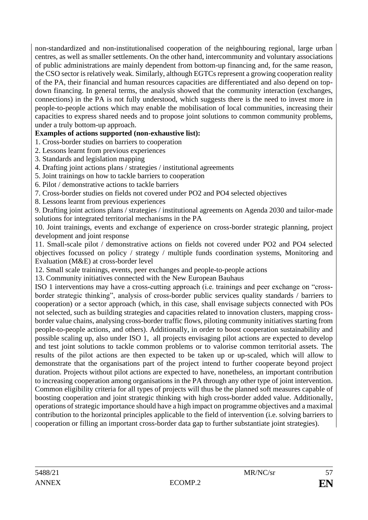non-standardized and non-institutionalised cooperation of the neighbouring regional, large urban centres, as well as smaller settlements. On the other hand, intercommunity and voluntary associations of public administrations are mainly dependent from bottom-up financing and, for the same reason, the CSO sector is relatively weak. Similarly, although EGTCs represent a growing cooperation reality of the PA, their financial and human resources capacities are differentiated and also depend on topdown financing. In general terms, the analysis showed that the community interaction (exchanges, connections) in the PA is not fully understood, which suggests there is the need to invest more in people-to-people actions which may enable the mobilisation of local communities, increasing their capacities to express shared needs and to propose joint solutions to common community problems, under a truly bottom-up approach.

## **Examples of actions supported (non-exhaustive list):**

1. Cross-border studies on barriers to cooperation

- 2. Lessons learnt from previous experiences
- 3. Standards and legislation mapping
- 4. Drafting joint actions plans / strategies / institutional agreements
- 5. Joint trainings on how to tackle barriers to cooperation
- 6. Pilot / demonstrative actions to tackle barriers
- 7. Cross-border studies on fields not covered under PO2 and PO4 selected objectives
- 8. Lessons learnt from previous experiences

9. Drafting joint actions plans / strategies / institutional agreements on Agenda 2030 and tailor-made solutions for integrated territorial mechanisms in the PA

10. Joint trainings, events and exchange of experience on cross-border strategic planning, project development and joint response

11. Small-scale pilot / demonstrative actions on fields not covered under PO2 and PO4 selected objectives focussed on policy / strategy / multiple funds coordination systems, Monitoring and Evaluation (M&E) at cross-border level

12. Small scale trainings, events, peer exchanges and people-to-people actions

13. Community initiatives connected with the New European Bauhaus

ISO 1 interventions may have a cross-cutting approach (i.e. trainings and peer exchange on "crossborder strategic thinking", analysis of cross-border public services quality standards / barriers to cooperation) or a sector approach (which, in this case, shall envisage subjects connected with POs not selected, such as building strategies and capacities related to innovation clusters, mapping crossborder value chains, analysing cross-border traffic flows, piloting community initiatives starting from people-to-people actions, and others). Additionally, in order to boost cooperation sustainability and possible scaling up, also under ISO 1, all projects envisaging pilot actions are expected to develop and test joint solutions to tackle common problems or to valorise common territorial assets. The results of the pilot actions are then expected to be taken up or up-scaled, which will allow to demonstrate that the organisations part of the project intend to further cooperate beyond project duration. Projects without pilot actions are expected to have, nonetheless, an important contribution to increasing cooperation among organisations in the PA through any other type of joint intervention. Common eligibility criteria for all types of projects will thus be the planned soft measures capable of boosting cooperation and joint strategic thinking with high cross-border added value. Additionally, operations of strategic importance should have a high impact on programme objectives and a maximal contribution to the horizontal principles applicable to the field of intervention (i.e. solving barriers to cooperation or filling an important cross-border data gap to further substantiate joint strategies).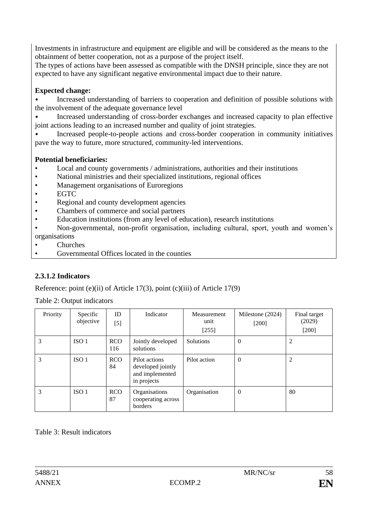Investments in infrastructure and equipment are eligible and will be considered as the means to the obtainment of better cooperation, not as a purpose of the project itself.

The types of actions have been assessed as compatible with the DNSH principle, since they are not expected to have any significant negative environmental impact due to their nature.

# **Expected change:**

• Increased understanding of barriers to cooperation and definition of possible solutions with the involvement of the adequate governance level

• Increased understanding of cross-border exchanges and increased capacity to plan effective joint actions leading to an increased number and quality of joint strategies.

• Increased people-to-people actions and cross-border cooperation in community initiatives pave the way to future, more structured, community-led interventions.

## **Potential beneficiaries:**

- Local and county governments / administrations, authorities and their institutions
- National ministries and their specialized institutions, regional offices
- Management organisations of Euroregions
- EGTC
- Regional and county development agencies
- Chambers of commerce and social partners
- Education institutions (from any level of education), research institutions
- Non-governmental, non-profit organisation, including cultural, sport, youth and women's organisations
- Churches
- Governmental Offices located in the counties

# **2.3.1.2 Indicators**

Reference: point (e)(ii) of Article 17(3), point (c)(iii) of Article 17(9)

Table 2: Output indicators

| Priority | Specific<br>objective | ID<br>$[5]$       | Indicator                                                            | Measurement<br>unit<br>$[255]$ | Milestone (2024)<br>$[200]$ | Final target<br>(2029)<br>$[200]$ |
|----------|-----------------------|-------------------|----------------------------------------------------------------------|--------------------------------|-----------------------------|-----------------------------------|
| 3        | ISO <sub>1</sub>      | <b>RCO</b><br>116 | Jointly developed<br>solutions                                       | Solutions                      | $\theta$                    | 2                                 |
| 3        | ISO <sub>1</sub>      | <b>RCO</b><br>84  | Pilot actions<br>developed jointly<br>and implemented<br>in projects | Pilot action                   | $\overline{0}$              | 2                                 |
| 3        | ISO <sub>1</sub>      | <b>RCO</b><br>87  | Organisations<br>cooperating across<br>borders                       | Organisation                   | $\overline{0}$              | 80                                |

Table 3: Result indicators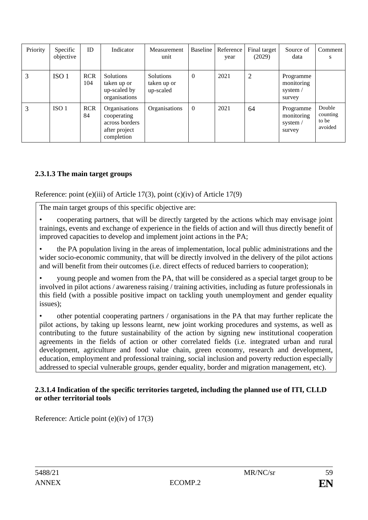| Priority | Specific<br>objective | ID                | Indicator                                                                     | <b>Measurement</b><br>unit                   | <b>Baseline</b> | Reference<br>year | Final target<br>(2029) | Source of<br>data                               | Comment<br>S                           |
|----------|-----------------------|-------------------|-------------------------------------------------------------------------------|----------------------------------------------|-----------------|-------------------|------------------------|-------------------------------------------------|----------------------------------------|
| 3        | ISO <sub>1</sub>      | <b>RCR</b><br>104 | Solutions<br>taken up or<br>up-scaled by<br>organisations                     | <b>Solutions</b><br>taken up or<br>up-scaled | $\mathbf{0}$    | 2021              | 2                      | Programme<br>monitoring<br>system /<br>survey   |                                        |
| 3        | ISO <sub>1</sub>      | <b>RCR</b><br>84  | Organisations<br>cooperating<br>across borders<br>after project<br>completion | Organisations                                | $\overline{0}$  | 2021              | 64                     | Programme<br>monitoring<br>system $/$<br>survey | Double<br>counting<br>to be<br>avoided |

# **2.3.1.3 The main target groups**

Reference: point (e)(iii) of Article 17(3), point (c)(iv) of Article 17(9)

The main target groups of this specific objective are:

• cooperating partners, that will be directly targeted by the actions which may envisage joint trainings, events and exchange of experience in the fields of action and will thus directly benefit of improved capacities to develop and implement joint actions in the PA;

• the PA population living in the areas of implementation, local public administrations and the wider socio-economic community, that will be directly involved in the delivery of the pilot actions and will benefit from their outcomes (i.e. direct effects of reduced barriers to cooperation);

• young people and women from the PA, that will be considered as a special target group to be involved in pilot actions / awareness raising / training activities, including as future professionals in this field (with a possible positive impact on tackling youth unemployment and gender equality issues);

• other potential cooperating partners / organisations in the PA that may further replicate the pilot actions, by taking up lessons learnt, new joint working procedures and systems, as well as contributing to the future sustainability of the action by signing new institutional cooperation agreements in the fields of action or other correlated fields (i.e. integrated urban and rural development, agriculture and food value chain, green economy, research and development, education, employment and professional training, social inclusion and poverty reduction especially addressed to special vulnerable groups, gender equality, border and migration management, etc).

### **2.3.1.4 Indication of the specific territories targeted, including the planned use of ITI, CLLD or other territorial tools**

Reference: Article point (e)(iv) of 17(3)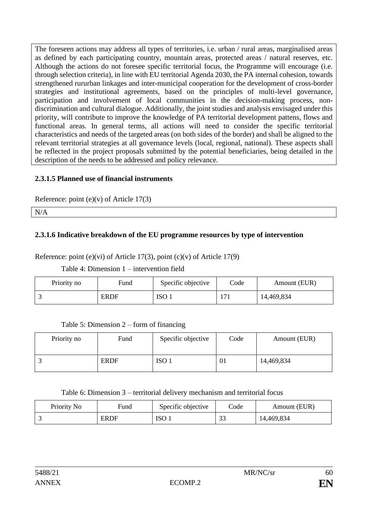The foreseen actions may address all types of territories, i.e. urban / rural areas, marginalised areas as defined by each participating country, mountain areas, protected areas / natural reserves, etc. Although the actions do not foresee specific territorial focus, the Programme will encourage (i.e. through selection criteria), in line with EU territorial Agenda 2030, the PA internal cohesion, towards strengthened rururban linkages and inter-municipal cooperation for the development of cross-border strategies and institutional agreements, based on the principles of multi-level governance, participation and involvement of local communities in the decision-making process, nondiscrimination and cultural dialogue. Additionally, the joint studies and analysis envisaged under this priority, will contribute to improve the knowledge of PA territorial development pattens, flows and functional areas. In general terms, all actions will need to consider the specific territorial characteristics and needs of the targeted areas (on both sides of the border) and shall be aligned to the relevant territorial strategies at all governance levels (local, regional, national). These aspects shall be reflected in the project proposals submitted by the potential beneficiaries, being detailed in the description of the needs to be addressed and policy relevance.

# **2.3.1.5 Planned use of financial instruments**

Reference: point  $(e)(v)$  of Article 17(3)

N/A

# **2.3.1.6 Indicative breakdown of the EU programme resources by type of intervention**

Reference: point (e)(vi) of Article 17(3), point (c)(v) of Article 17(9)

Table 4: Dimension 1 – intervention field

| Priority no | Fund        | Specific objective | Code | Amount (EUR) |
|-------------|-------------|--------------------|------|--------------|
|             | <b>ERDF</b> | ISO <sub>1</sub>   | 171  | 14,469,834   |

## Table 5: Dimension 2 – form of financing

| Priority no | Fund        | Specific objective | Code | Amount (EUR) |
|-------------|-------------|--------------------|------|--------------|
|             | <b>ERDF</b> | ISO <sub>1</sub>   | 01   | 14,469,834   |

Table 6: Dimension 3 – territorial delivery mechanism and territorial focus

| Priority No | Fund        | Specific objective | Code             | Amount (EUR) |
|-------------|-------------|--------------------|------------------|--------------|
|             | <b>ERDF</b> | ISO <sup>3</sup>   | $\bigcap$<br>ں ر | 14,469,834   |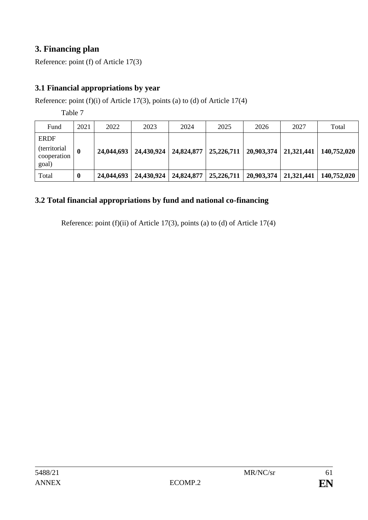# **3. Financing plan**

Reference: point (f) of Article 17(3)

# **3.1 Financial appropriations by year**

Reference: point (f)(i) of Article 17(3), points (a) to (d) of Article 17(4)

Table 7

| Fund                                                        | 2021 | 2022       | 2023 | 2024                                 | 2025 | 2026                    | 2027                    | Total       |
|-------------------------------------------------------------|------|------------|------|--------------------------------------|------|-------------------------|-------------------------|-------------|
| <b>ERDF</b><br><i>(territorial)</i><br>cooperation<br>goal) | 0    | 24,044,693 |      | 24,430,924   24,824,877   25,226,711 |      |                         | 20,903,374   21,321,441 | 140,752,020 |
| Total                                                       | 0    | 24,044,693 |      | 24,430,924   24,824,877   25,226,711 |      | 20,903,374   21,321,441 |                         | 140,752,020 |

# **3.2 Total financial appropriations by fund and national co-financing**

Reference: point (f)(ii) of Article 17(3), points (a) to (d) of Article 17(4)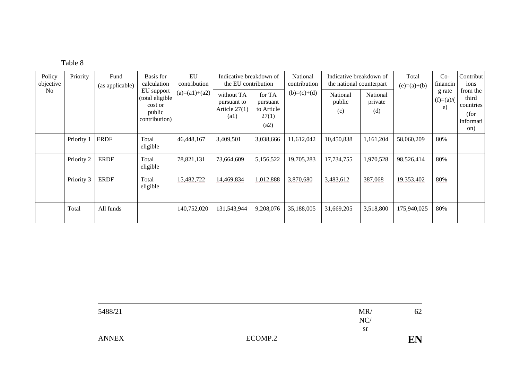| Table 8 |  |
|---------|--|
|---------|--|

| Policy<br>objective | Priority   | Fund<br>(as applicable) | Basis for<br>calculation                                            | EU<br>contribution | Indicative breakdown of<br>the EU contribution                     |                                                   | National<br>contribution | Indicative breakdown of<br>the national counterpart |                            | Total<br>$Co-$<br>Contribut  <br>financin<br>ions<br>$(e)=(a)+(b)$ |                             |                                                            |
|---------------------|------------|-------------------------|---------------------------------------------------------------------|--------------------|--------------------------------------------------------------------|---------------------------------------------------|--------------------------|-----------------------------------------------------|----------------------------|--------------------------------------------------------------------|-----------------------------|------------------------------------------------------------|
| No                  |            |                         | EU support<br>(total eligible<br>cost or<br>public<br>contribution) | $(a)=(a1)+(a2)$    | without TA<br>pursuant to<br>Article $27(1)$<br>$\left( a1\right)$ | for TA<br>pursuant<br>to Article<br>27(1)<br>(a2) | $(b)=(c)+(d)$            | National<br>public<br>(c)                           | National<br>private<br>(d) |                                                                    | g rate<br>$(f)=(a)/($<br>e) | from the<br>third<br>countries<br>(for<br>informati<br>on) |
|                     | Priority 1 | <b>ERDF</b>             | Total<br>eligible                                                   | 46,448,167         | 3,409,501                                                          | 3,038,666                                         | 11,612,042               | 10,450,838                                          | 1,161,204                  | 58,060,209                                                         | 80%                         |                                                            |
|                     | Priority 2 | <b>ERDF</b>             | Total<br>eligible                                                   | 78,821,131         | 73,664,609                                                         | 5,156,522                                         | 19,705,283               | 17,734,755                                          | 1,970,528                  | 98,526,414                                                         | 80%                         |                                                            |
|                     | Priority 3 | <b>ERDF</b>             | Total<br>eligible                                                   | 15,482,722         | 14,469,834                                                         | 1,012,888                                         | 3,870,680                | 3,483,612                                           | 387,068                    | 19,353,402                                                         | 80%                         |                                                            |
|                     | Total      | All funds               |                                                                     | 140,752,020        | 131,543,944                                                        | 9,208,076                                         | 35,188,005               | 31,669,205                                          | 3,518,800                  | 175,940,025                                                        | 80%                         |                                                            |

| 5488/21      |         | MR<br>NC/ | 62 |
|--------------|---------|-----------|----|
|              |         | sr        |    |
| <b>ANNEX</b> | ECOMP.2 |           | EN |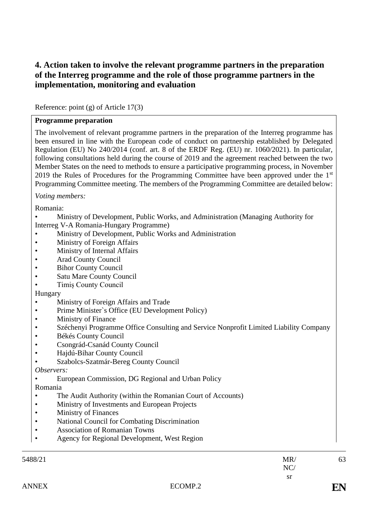# **4. Action taken to involve the relevant programme partners in the preparation of the Interreg programme and the role of those programme partners in the implementation, monitoring and evaluation**

Reference: point (g) of Article 17(3)

#### **Programme preparation**

The involvement of relevant programme partners in the preparation of the Interreg programme has been ensured in line with the European code of conduct on partnership established by Delegated Regulation (EU) No 240/2014 (conf. art. 8 of the ERDF Reg. (EU) nr. 1060/2021). In particular, following consultations held during the course of 2019 and the agreement reached between the two Member States on the need to methods to ensure a participative programming process, in November 2019 the Rules of Procedures for the Programming Committee have been approved under the  $1<sup>st</sup>$ Programming Committee meeting. The members of the Programming Committee are detailed below:

*Voting members:* 

Romania:

• Ministry of Development, Public Works, and Administration (Managing Authority for

Interreg V-A Romania-Hungary Programme)

- Ministry of Development, Public Works and Administration
- Ministry of Foreign Affairs
- Ministry of Internal Affairs
- Arad County Council
- **Bihor County Council**
- Satu Mare County Council
- Timiș County Council

### Hungary

- Ministry of Foreign Affairs and Trade
- Prime Minister`s Office (EU Development Policy)
- Ministry of Finance
- Széchenyi Programme Office Consulting and Service Nonprofit Limited Liability Company
- Békés County Council
- Csongrád-Csanád County Council
- Hajdú-Bihar County Council
- Szabolcs-Szatmár-Bereg County Council

### *Observers:*

• European Commission, DG Regional and Urban Policy

### Romania

- The Audit Authority (within the Romanian Court of Accounts)
- Ministry of Investments and European Projects
- Ministry of Finances
- National Council for Combating Discrimination
- Association of Romanian Towns
- Agency for Regional Development, West Region

63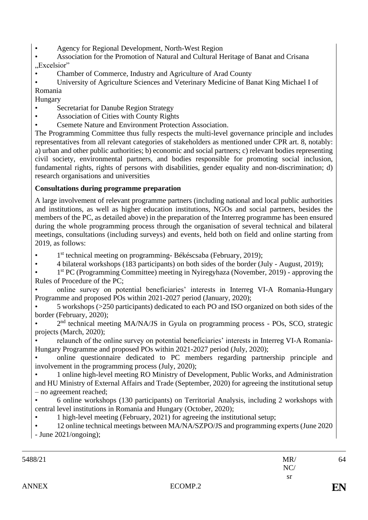- Agency for Regional Development, North-West Region
- Association for the Promotion of Natural and Cultural Heritage of Banat and Crisana "Excelsior"
- Chamber of Commerce, Industry and Agriculture of Arad County

• University of Agriculture Sciences and Veterinary Medicine of Banat King Michael I of Romania

Hungary

- Secretariat for Danube Region Strategy
- Association of Cities with County Rights
- Csemete Nature and Environment Protection Association.

The Programming Committee thus fully respects the multi-level governance principle and includes representatives from all relevant categories of stakeholders as mentioned under CPR art. 8, notably: a) urban and other public authorities; b) economic and social partners; c) relevant bodies representing civil society, environmental partners, and bodies responsible for promoting social inclusion, fundamental rights, rights of persons with disabilities, gender equality and non-discrimination; d) research organisations and universities

# **Consultations during programme preparation**

A large involvement of relevant programme partners (including national and local public authorities and institutions, as well as higher education institutions, NGOs and social partners, besides the members of the PC, as detailed above) in the preparation of the Interreg programme has been ensured during the whole programming process through the organisation of several technical and bilateral meetings, consultations (including surveys) and events, held both on field and online starting from 2019, as follows:

- 1<sup>st</sup> technical meeting on programming-Békéscsaba (February, 2019);
- 4 bilateral workshops (183 participants) on both sides of the border (July August, 2019);
- 1<sup>st</sup> PC (Programming Committee) meeting in Nyiregyhaza (November, 2019) approving the Rules of Procedure of the PC;

• online survey on potential beneficiaries' interests in Interreg VI-A Romania-Hungary Programme and proposed POs within 2021-2027 period (January, 2020);

• 5 workshops (>250 participants) dedicated to each PO and ISO organized on both sides of the border (February, 2020);

• 2<sup>nd</sup> technical meeting MA/NA/JS in Gyula on programming process - POs, SCO, strategic projects (March, 2020);

• relaunch of the online survey on potential beneficiaries' interests in Interreg VI-A Romania-Hungary Programme and proposed POs within 2021-2027 period (July, 2020);

• online questionnaire dedicated to PC members regarding partnership principle and involvement in the programming process (July, 2020);

• 1 online high-level meeting RO Ministry of Development, Public Works, and Administration and HU Ministry of External Affairs and Trade (September, 2020) for agreeing the institutional setup – no agreement reached;

• 6 online workshops (130 participants) on Territorial Analysis, including 2 workshops with central level institutions in Romania and Hungary (October, 2020);

• 1 high-level meeting (February, 2021) for agreeing the institutional setup;

• 12 online technical meetings between MA/NA/SZPO/JS and programming experts (June 2020 - June 2021/ongoing);

64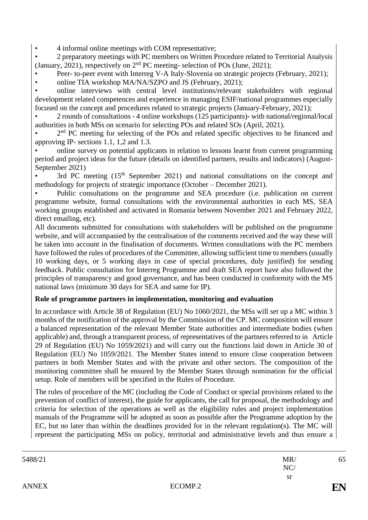• 4 informal online meetings with COM representative;

• 2 preparatory meetings with PC members on Written Procedure related to Territorial Analysis (January, 2021), respectively on  $2<sup>nd</sup> PC$  meeting- selection of POs (June, 2021);

• Peer- to-peer event with Interreg V-A Italy-Slovenia on strategic projects (February, 2021);

• online TIA workshop MA/NA/SZPO and JS (February, 2021);

• online interviews with central level institutions/relevant stakeholders with regional development related competences and experience in managing ESIF/national programmes especially focused on the concept and procedures related to strategic projects (January-February, 2021);

• 2 rounds of consultations - 4 online workshops (125 participants)- with national/regional/local authorities in both MSs on scenario for selecting POs and related SOs (April, 2021).

• 2<sup>nd</sup> PC meeting for selecting of the POs and related specific objectives to be financed and approving IP- sections 1.1, 1,2 and 1.3.

• online survey on potential applicants in relation to lessons learnt from current programming period and project ideas for the future (details on identified partners, results and indicators) (August-September 2021)

3rd PC meeting  $(15<sup>th</sup>$  September 2021) and national consultations on the concept and methodology for projects of strategic importance (October – December 2021).

• Public consultations on the programme and SEA procedure (i.e. publication on current programme website, formal consultations with the environmental authorities in each MS, SEA working groups established and activated in Romania between November 2021 and February 2022, direct emailing, etc).

All documents submitted for consultations with stakeholders will be published on the programme website, and will accompanied by the centralisation of the comments received and the way these will be taken into account in the finalisation of documents. Written consultations with the PC members have followed the rules of procedures of the Committee, allowing sufficient time to members (usually 10 working days, or 5 working days in case of special procedures, duly justified) for sending feedback. Public consultation for Interreg Programme and draft SEA report have also followed the principles of transparency and good governance, and has been conducted in conformity with the MS national laws (minimum 30 days for SEA and same for IP).

### **Role of programme partners in implementation, monitoring and evaluation**

In accordance with Article 38 of Regulation (EU) No 1060/2021, the MSs will set up a MC within 3 months of the notification of the approval by the Commission of the CP. MC composition will ensure a balanced representation of the relevant Member State authorities and intermediate bodies (when applicable) and, through a transparent process, of representatives of the partners referred to in Article 29 of Regulation (EU) No 1059/2021) and will carry out the functions laid down in Article 30 of Regulation (EU) No 1059/2021. The Member States intend to ensure close cooperation between partners in both Member States and with the private and other sectors. The composition of the monitoring committee shall be ensured by the Member States through nomination for the official setup. Role of members will be specified in the Rules of Procedure.

The rules of procedure of the MC (including the Code of Conduct or special provisions related to the prevention of conflict of interest), the guide for applicants, the call for proposal, the methodology and criteria for selection of the operations as well as the eligibility rules and project implementation manuals of the Programme will be adopted as soon as possible after the Programme adoption by the EC, but no later than within the deadlines provided for in the relevant regulation(s). The MC will represent the participating MSs on policy, territorial and administrative levels and thus ensure a

| 5488/21      |         | MR/ | 65 |
|--------------|---------|-----|----|
|              |         | NC/ |    |
|              |         | sr  |    |
| <b>ANNEX</b> | ECOMP.2 |     | EN |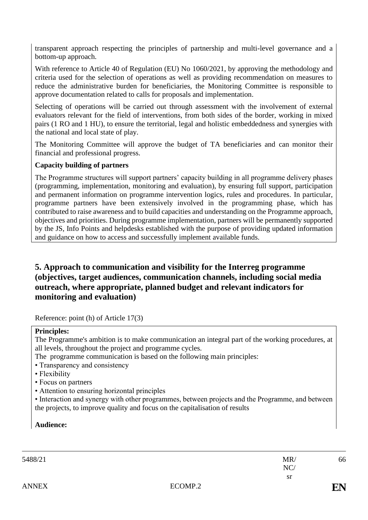transparent approach respecting the principles of partnership and multi-level governance and a bottom-up approach.

With reference to Article 40 of Regulation (EU) No 1060/2021, by approving the methodology and criteria used for the selection of operations as well as providing recommendation on measures to reduce the administrative burden for beneficiaries, the Monitoring Committee is responsible to approve documentation related to calls for proposals and implementation.

Selecting of operations will be carried out through assessment with the involvement of external evaluators relevant for the field of interventions, from both sides of the border, working in mixed pairs (1 RO and 1 HU), to ensure the territorial, legal and holistic embeddedness and synergies with the national and local state of play.

The Monitoring Committee will approve the budget of TA beneficiaries and can monitor their financial and professional progress.

### **Capacity building of partners**

The Programme structures will support partners' capacity building in all programme delivery phases (programming, implementation, monitoring and evaluation), by ensuring full support, participation and permanent information on programme intervention logics, rules and procedures. In particular, programme partners have been extensively involved in the programming phase, which has contributed to raise awareness and to build capacities and understanding on the Programme approach, objectives and priorities. During programme implementation, partners will be permanently supported by the JS, Info Points and helpdesks established with the purpose of providing updated information and guidance on how to access and successfully implement available funds.

# **5. Approach to communication and visibility for the Interreg programme (objectives, target audiences, communication channels, including social media outreach, where appropriate, planned budget and relevant indicators for monitoring and evaluation)**

Reference: point (h) of Article 17(3)

### **Principles:**

The Programme's ambition is to make communication an integral part of the working procedures, at all levels, throughout the project and programme cycles.

The programme communication is based on the following main principles:

- Transparency and consistency
- Flexibility
- Focus on partners
- Attention to ensuring horizontal principles

• Interaction and synergy with other programmes, between projects and the Programme, and between the projects, to improve quality and focus on the capitalisation of results

**Audience:**

| 5488/21      |         | MR/       | 66 |
|--------------|---------|-----------|----|
|              |         | NC/       |    |
|              |         | <b>sr</b> |    |
| <b>ANNEX</b> | ECOMP.2 |           | EN |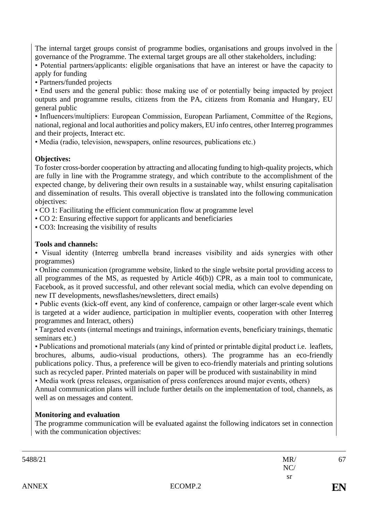The internal target groups consist of programme bodies, organisations and groups involved in the governance of the Programme. The external target groups are all other stakeholders, including:

• Potential partners/applicants: eligible organisations that have an interest or have the capacity to apply for funding

• Partners/funded projects

• End users and the general public: those making use of or potentially being impacted by project outputs and programme results, citizens from the PA, citizens from Romania and Hungary, EU general public

• Influencers/multipliers: European Commission, European Parliament, Committee of the Regions, national, regional and local authorities and policy makers, EU info centres, other Interreg programmes and their projects, Interact etc.

• Media (radio, television, newspapers, online resources, publications etc.)

## **Objectives:**

To foster cross-border cooperation by attracting and allocating funding to high-quality projects, which are fully in line with the Programme strategy, and which contribute to the accomplishment of the expected change, by delivering their own results in a sustainable way, whilst ensuring capitalisation and dissemination of results. This overall objective is translated into the following communication objectives:

• CO 1: Facilitating the efficient communication flow at programme level

• CO 2: Ensuring effective support for applicants and beneficiaries

• CO3: Increasing the visibility of results

### **Tools and channels:**

• Visual identity (Interreg umbrella brand increases visibility and aids synergies with other programmes)

• Online communication (programme website, linked to the single website portal providing access to all programmes of the MS, as requested by Article 46(b)) CPR, as a main tool to communicate, Facebook, as it proved successful, and other relevant social media, which can evolve depending on new IT developments, newsflashes/newsletters, direct emails)

• Public events (kick-off event, any kind of conference, campaign or other larger-scale event which is targeted at a wider audience, participation in multiplier events, cooperation with other Interreg programmes and Interact, others)

• Targeted events (internal meetings and trainings, information events, beneficiary trainings, thematic seminars etc.)

• Publications and promotional materials (any kind of printed or printable digital product i.e. leaflets, brochures, albums, audio-visual productions, others). The programme has an eco-friendly publications policy. Thus, a preference will be given to eco-friendly materials and printing solutions such as recycled paper. Printed materials on paper will be produced with sustainability in mind

• Media work (press releases, organisation of press conferences around major events, others)

Annual communication plans will include further details on the implementation of tool, channels, as well as on messages and content.

## **Monitoring and evaluation**

The programme communication will be evaluated against the following indicators set in connection with the communication objectives:

| 67 | MR/       |         | 5488/21      |
|----|-----------|---------|--------------|
|    | NC/       |         |              |
|    | <b>sr</b> |         |              |
| EN |           | ECOMP.2 | <b>ANNEX</b> |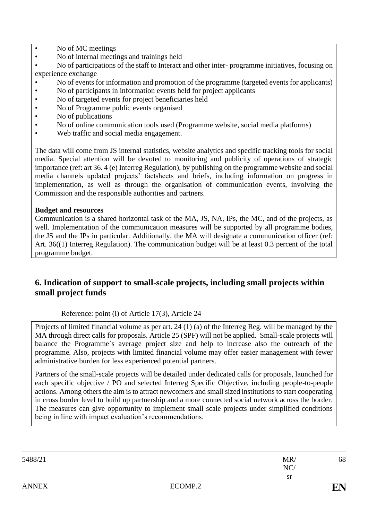- No of MC meetings
- No of internal meetings and trainings held

• No of participations of the staff to Interact and other inter- programme initiatives, focusing on experience exchange

- No of events for information and promotion of the programme (targeted events for applicants)
- No of participants in information events held for project applicants
- No of targeted events for project beneficiaries held
- No of Programme public events organised
- No of publications
- No of online communication tools used (Programme website, social media platforms)
- Web traffic and social media engagement.

The data will come from JS internal statistics, website analytics and specific tracking tools for social media. Special attention will be devoted to monitoring and publicity of operations of strategic importance (ref: art 36. 4 (e) Interreg Regulation), by publishing on the programme website and social media channels updated projects' factsheets and briefs, including information on progress in implementation, as well as through the organisation of communication events, involving the Commission and the responsible authorities and partners.

### **Budget and resources**

Communication is a shared horizontal task of the MA, JS, NA, IPs, the MC, and of the projects, as well. Implementation of the communication measures will be supported by all programme bodies, the JS and the IPs in particular. Additionally, the MA will designate a communication officer (ref: Art. 36((1) Interreg Regulation). The communication budget will be at least 0.3 percent of the total programme budget.

# **6. Indication of support to small-scale projects, including small projects within small project funds**

Reference: point (i) of Article 17(3), Article 24

Projects of limited financial volume as per art. 24 (1) (a) of the Interreg Reg. will be managed by the MA through direct calls for proposals. Article 25 (SPF) will not be applied. Small-scale projects will balance the Programme`s average project size and help to increase also the outreach of the programme. Also, projects with limited financial volume may offer easier management with fewer administrative burden for less experienced potential partners.

Partners of the small-scale projects will be detailed under dedicated calls for proposals, launched for each specific objective / PO and selected Interreg Specific Objective, including people-to-people actions. Among others the aim is to attract newcomers and small sized institutions to start cooperating in cross border level to build up partnership and a more connected social network across the border. The measures can give opportunity to implement small scale projects under simplified conditions being in line with impact evaluation's recommendations.

| 5488/21      |         | MR/       | 68 |
|--------------|---------|-----------|----|
|              |         | NC/       |    |
|              |         | <b>sr</b> |    |
| <b>ANNEX</b> | ECOMP.2 |           | EN |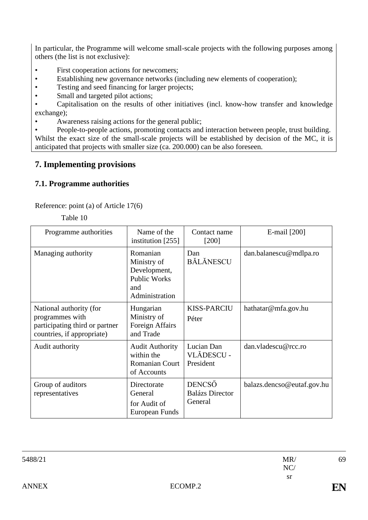In particular, the Programme will welcome small-scale projects with the following purposes among others (the list is not exclusive):

- First cooperation actions for newcomers;
- Establishing new governance networks (including new elements of cooperation);
- Testing and seed financing for larger projects;
- Small and targeted pilot actions;

• Capitalisation on the results of other initiatives (incl. know-how transfer and knowledge exchange);

Awareness raising actions for the general public;

• People-to-people actions, promoting contacts and interaction between people, trust building. Whilst the exact size of the small-scale projects will be established by decision of the MC, it is anticipated that projects with smaller size (ca. 200.000) can be also foreseen.

# **7. Implementing provisions**

## **7.1. Programme authorities**

Reference: point (a) of Article 17(6)

Table 10

| Programme authorities                                                                                      | Name of the<br>institution $[255]$                                                      | Contact name<br>$[200]$                            | E-mail [200]               |
|------------------------------------------------------------------------------------------------------------|-----------------------------------------------------------------------------------------|----------------------------------------------------|----------------------------|
| Managing authority                                                                                         | Romanian<br>Ministry of<br>Development,<br><b>Public Works</b><br>and<br>Administration | Dan<br><b>BĂLĂNESCU</b>                            | dan.balanescu@mdlpa.ro     |
| National authority (for<br>programmes with<br>participating third or partner<br>countries, if appropriate) | Hungarian<br>Ministry of<br>Foreign Affairs<br>and Trade                                | <b>KISS-PARCIU</b><br>Péter                        | hathatar@mfa.gov.hu        |
| Audit authority                                                                                            | <b>Audit Authority</b><br>within the<br><b>Romanian Court</b><br>of Accounts            | Lucian Dan<br>VLĂDESCU -<br>President              | dan.vladescu@rcc.ro        |
| Group of auditors<br>representatives                                                                       | Directorate<br>General<br>for Audit of<br>European Funds                                | <b>DENCSŐ</b><br><b>Balázs Director</b><br>General | balazs.dencso@eutaf.gov.hu |

| 5488/21      |         | MR/       | 69 |
|--------------|---------|-----------|----|
|              |         | NC/       |    |
|              |         | <b>sr</b> |    |
| <b>ANNEX</b> | ECOMP.2 |           | EN |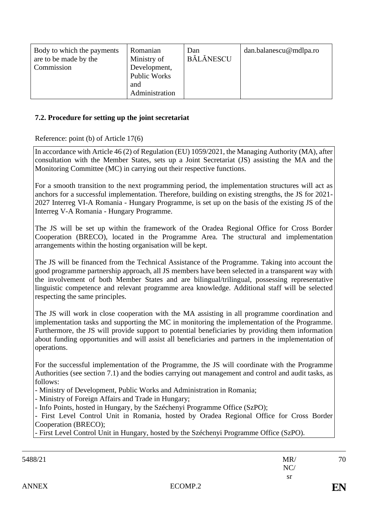| Body to which the payments<br>are to be made by the<br>Commission | Romanian<br>Ministry of<br>Development,<br>Public Works<br>and<br>Administration | Dan<br>BĂLĂNESCU | dan.balanescu@mdlpa.ro |
|-------------------------------------------------------------------|----------------------------------------------------------------------------------|------------------|------------------------|
|-------------------------------------------------------------------|----------------------------------------------------------------------------------|------------------|------------------------|

#### **7.2. Procedure for setting up the joint secretariat**

#### Reference: point (b) of Article 17(6)

In accordance with Article 46 (2) of Regulation (EU) 1059/2021, the Managing Authority (MA), after consultation with the Member States, sets up a Joint Secretariat (JS) assisting the MA and the Monitoring Committee (MC) in carrying out their respective functions.

For a smooth transition to the next programming period, the implementation structures will act as anchors for a successful implementation. Therefore, building on existing strengths, the JS for 2021- 2027 Interreg VI-A Romania - Hungary Programme, is set up on the basis of the existing JS of the Interreg V-A Romania - Hungary Programme.

The JS will be set up within the framework of the Oradea Regional Office for Cross Border Cooperation (BRECO), located in the Programme Area. The structural and implementation arrangements within the hosting organisation will be kept.

The JS will be financed from the Technical Assistance of the Programme. Taking into account the good programme partnership approach, all JS members have been selected in a transparent way with the involvement of both Member States and are bilingual/trilingual, possessing representative linguistic competence and relevant programme area knowledge. Additional staff will be selected respecting the same principles.

The JS will work in close cooperation with the MA assisting in all programme coordination and implementation tasks and supporting the MC in monitoring the implementation of the Programme. Furthermore, the JS will provide support to potential beneficiaries by providing them information about funding opportunities and will assist all beneficiaries and partners in the implementation of operations.

For the successful implementation of the Programme, the JS will coordinate with the Programme Authorities (see section 7.1) and the bodies carrying out management and control and audit tasks, as follows:

- Ministry of Development, Public Works and Administration in Romania;

- Ministry of Foreign Affairs and Trade in Hungary;

- Info Points, hosted in Hungary, by the Széchenyi Programme Office (SzPO);

- First Level Control Unit in Romania, hosted by Oradea Regional Office for Cross Border Cooperation (BRECO);

- First Level Control Unit in Hungary, hosted by the Széchenyi Programme Office (SzPO).

| 5488/21      |         | MR/       | 70             |
|--------------|---------|-----------|----------------|
|              |         | NC/       |                |
|              |         | <b>sr</b> |                |
| <b>ANNEX</b> | ECOMP.2 |           | $\mathbf {EN}$ |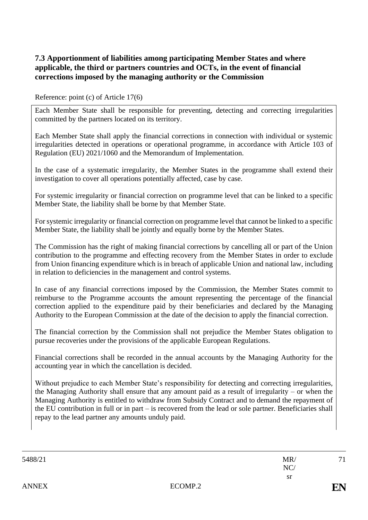## **7.3 Apportionment of liabilities among participating Member States and where applicable, the third or partners countries and OCTs, in the event of financial corrections imposed by the managing authority or the Commission**

### Reference: point (c) of Article 17(6)

Each Member State shall be responsible for preventing, detecting and correcting irregularities committed by the partners located on its territory.

Each Member State shall apply the financial corrections in connection with individual or systemic irregularities detected in operations or operational programme, in accordance with Article 103 of Regulation (EU) 2021/1060 and the Memorandum of Implementation.

In the case of a systematic irregularity, the Member States in the programme shall extend their investigation to cover all operations potentially affected, case by case.

For systemic irregularity or financial correction on programme level that can be linked to a specific Member State, the liability shall be borne by that Member State.

For systemic irregularity or financial correction on programme level that cannot be linked to a specific Member State, the liability shall be jointly and equally borne by the Member States.

The Commission has the right of making financial corrections by cancelling all or part of the Union contribution to the programme and effecting recovery from the Member States in order to exclude from Union financing expenditure which is in breach of applicable Union and national law, including in relation to deficiencies in the management and control systems.

In case of any financial corrections imposed by the Commission, the Member States commit to reimburse to the Programme accounts the amount representing the percentage of the financial correction applied to the expenditure paid by their beneficiaries and declared by the Managing Authority to the European Commission at the date of the decision to apply the financial correction.

The financial correction by the Commission shall not prejudice the Member States obligation to pursue recoveries under the provisions of the applicable European Regulations.

Financial corrections shall be recorded in the annual accounts by the Managing Authority for the accounting year in which the cancellation is decided.

Without prejudice to each Member State's responsibility for detecting and correcting irregularities, the Managing Authority shall ensure that any amount paid as a result of irregularity – or when the Managing Authority is entitled to withdraw from Subsidy Contract and to demand the repayment of the EU contribution in full or in part – is recovered from the lead or sole partner. Beneficiaries shall repay to the lead partner any amounts unduly paid.

| 5488/21      |         | MR/<br>NC/ | 71        |
|--------------|---------|------------|-----------|
|              |         | sr         |           |
| <b>ANNEX</b> | ECOMP.2 |            | <b>FN</b> |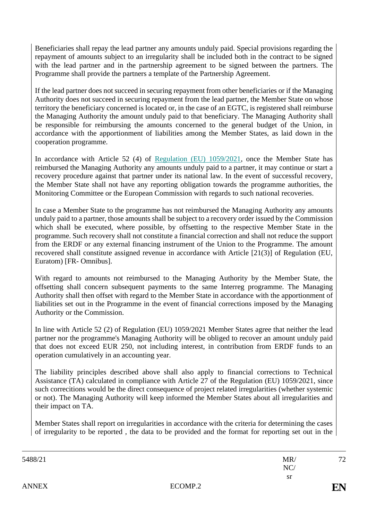Beneficiaries shall repay the lead partner any amounts unduly paid. Special provisions regarding the repayment of amounts subject to an irregularity shall be included both in the contract to be signed with the lead partner and in the partnership agreement to be signed between the partners. The Programme shall provide the partners a template of the Partnership Agreement.

If the lead partner does not succeed in securing repayment from other beneficiaries or if the Managing Authority does not succeed in securing repayment from the lead partner, the Member State on whose territory the beneficiary concerned is located or, in the case of an EGTC, is registered shall reimburse the Managing Authority the amount unduly paid to that beneficiary. The Managing Authority shall be responsible for reimbursing the amounts concerned to the general budget of the Union, in accordance with the apportionment of liabilities among the Member States, as laid down in the cooperation programme.

In accordance with Article 52 (4) of Regulation (EU) 1059/2021, once the Member State has reimbursed the Managing Authority any amounts unduly paid to a partner, it may continue or start a recovery procedure against that partner under its national law. In the event of successful recovery, the Member State shall not have any reporting obligation towards the programme authorities, the Monitoring Committee or the European Commission with regards to such national recoveries.

In case a Member State to the programme has not reimbursed the Managing Authority any amounts unduly paid to a partner, those amounts shall be subject to a recovery order issued by the Commission which shall be executed, where possible, by offsetting to the respective Member State in the programme. Such recovery shall not constitute a financial correction and shall not reduce the support from the ERDF or any external financing instrument of the Union to the Programme. The amount recovered shall constitute assigned revenue in accordance with Article [21(3)] of Regulation (EU, Euratom) [FR- Omnibus].

With regard to amounts not reimbursed to the Managing Authority by the Member State, the offsetting shall concern subsequent payments to the same Interreg programme. The Managing Authority shall then offset with regard to the Member State in accordance with the apportionment of liabilities set out in the Programme in the event of financial corrections imposed by the Managing Authority or the Commission.

In line with Article 52 (2) of Regulation (EU) 1059/2021 Member States agree that neither the lead partner nor the programme's Managing Authority will be obliged to recover an amount unduly paid that does not exceed EUR 250, not including interest, in contribution from ERDF funds to an operation cumulatively in an accounting year.

The liability principles described above shall also apply to financial corrections to Technical Assistance (TA) calculated in compliance with Article 27 of the Regulation (EU) 1059/2021, since such correcitions would be the direct consequence of project related irregularities (whether systemic or not). The Managing Authority will keep informed the Member States about all irregularities and their impact on TA.

Member States shall report on irregularities in accordance with the criteria for determining the cases of irregularity to be reported , the data to be provided and the format for reporting set out in the

| 72             | MR/       |         | 5488/21      |
|----------------|-----------|---------|--------------|
|                | NC/       |         |              |
|                | <b>sr</b> |         |              |
| $\mathbf {EN}$ |           | ECOMP.2 | <b>ANNEX</b> |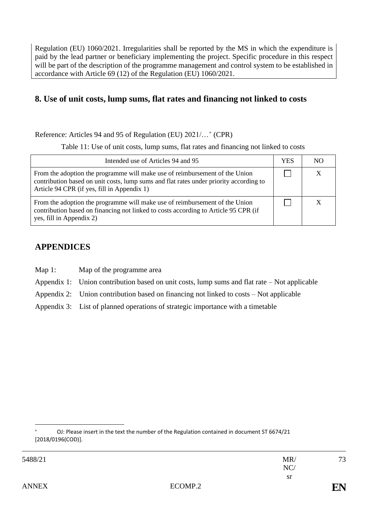Regulation (EU) 1060/2021. Irregularities shall be reported by the MS in which the expenditure is paid by the lead partner or beneficiary implementing the project. Specific procedure in this respect will be part of the description of the programme management and control system to be established in accordance with Article 69 (12) of the Regulation (EU) 1060/2021.

## **8. Use of unit costs, lump sums, flat rates and financing not linked to costs**

Reference: Articles 94 and 95 of Regulation (EU) 2021/...<sup>+</sup> (CPR)

Table 11: Use of unit costs, lump sums, flat rates and financing not linked to costs

| Intended use of Articles 94 and 95                                                                                                                                                                                   | YES | NΩ |
|----------------------------------------------------------------------------------------------------------------------------------------------------------------------------------------------------------------------|-----|----|
| From the adoption the programme will make use of reimbursement of the Union<br>contribution based on unit costs, lump sums and flat rates under priority according to<br>Article 94 CPR (if yes, fill in Appendix 1) |     |    |
| From the adoption the programme will make use of reimbursement of the Union<br>contribution based on financing not linked to costs according to Article 95 CPR (if<br>yes, fill in Appendix 2)                       |     |    |

## **APPENDICES**

- Map 1: Map of the programme area
- Appendix 1: Union contribution based on unit costs, lump sums and flat rate Not applicable
- Appendix 2: Union contribution based on financing not linked to costs Not applicable
- Appendix 3: List of planned operations of strategic importance with a timetable

73

OJ: Please insert in the text the number of the Regulation contained in document ST 6674/21 [2018/0196(COD)].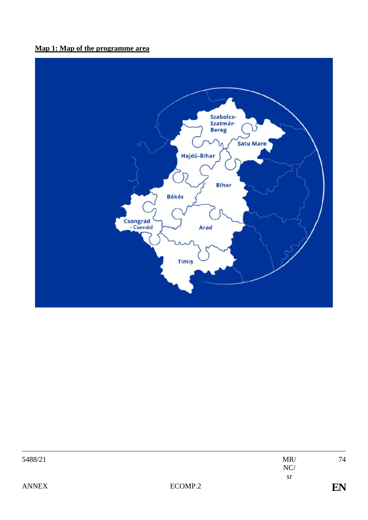## **Map 1: Map of the programme area**



| 5488/21      |         | MR        | 74             |
|--------------|---------|-----------|----------------|
|              |         | NC/       |                |
|              |         | <b>sr</b> |                |
| <b>ANNEX</b> | ECOMP.2 |           | $\mathbf {EN}$ |